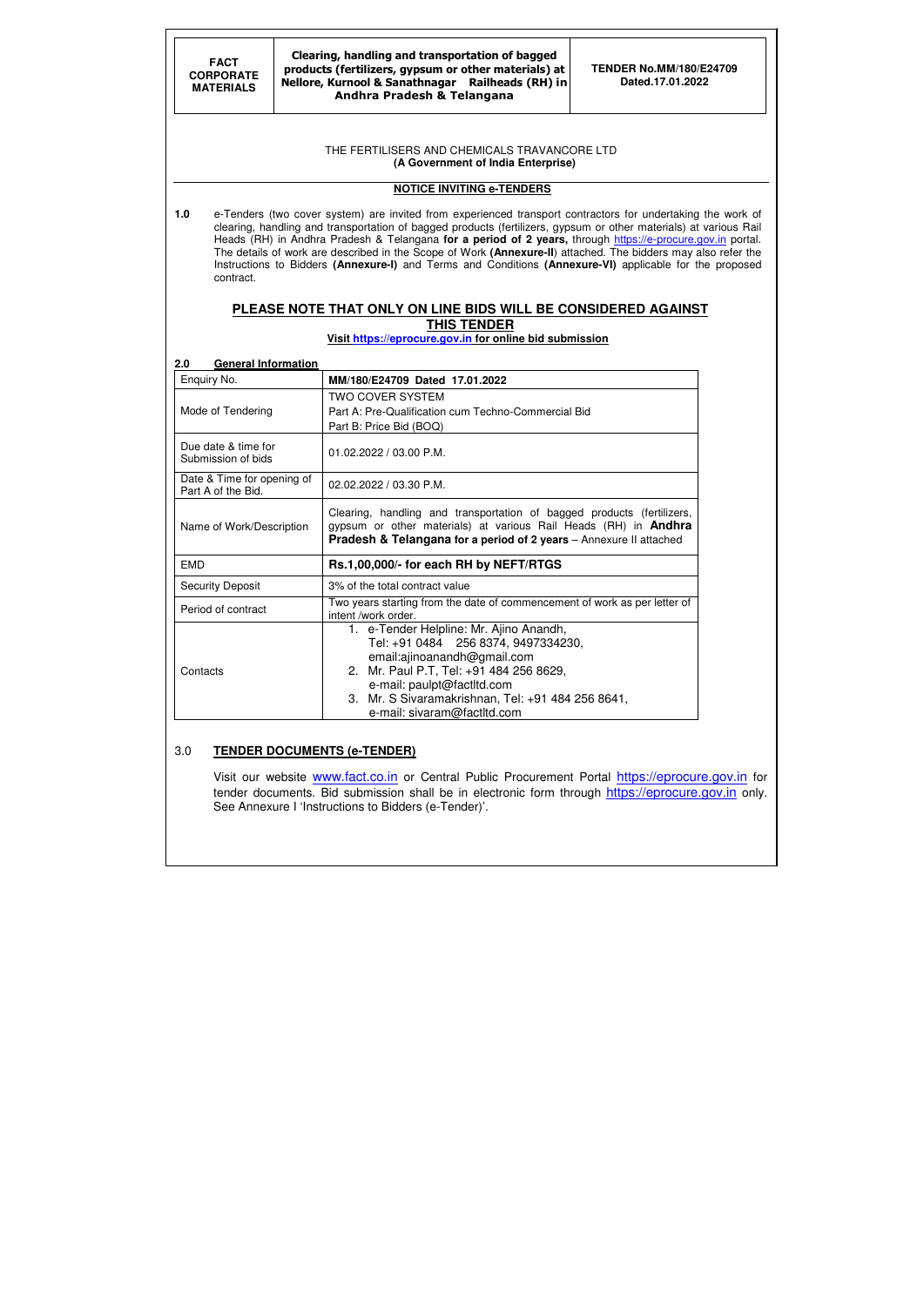#### Clearing, handling and transportation of bagged products (fertilizers, gypsum or other materials) at Nellore, Kurnool & Sanathnagar Railheads (RH) in Andhra Pradesh & Telangana

#### THE FERTILISERS AND CHEMICALS TRAVANCORE LTD  **(A Government of India Enterprise)**

# **NOTICE INVITING e-TENDERS**

**1.0** e-Tenders (two cover system) are invited from experienced transport contractors for undertaking the work of clearing, handling and transportation of bagged products (fertilizers, gypsum or other materials) at various Rail Heads (RH) in Andhra Pradesh & Telangana **for a period of 2 years**, through https://e-procure.gov.in portal. The details of work are described in the Scope of Work **(Annexure-II**) attached. The bidders may also refer the Instructions to Bidders **(Annexure-I)** and Terms and Conditions **(Annexure-VI)** applicable for the proposed contract.

# **PLEASE NOTE THAT ONLY ON LINE BIDS WILL BE CONSIDERED AGAINST THIS TENDER**

**Visit https://eprocure.gov.in for online bid submission** 

### **2.0 General Information**

Visit our website www.fact.co.in or Central Public Procurement Portal https://eprocure.gov.in for tender documents. Bid submission shall be in electronic form through https://eprocure.gov.in only. See Annexure I 'Instructions to Bidders (e-Tender)'.

| Enquiry No.                                      | MM/180/E24709 Dated 17.01.2022                                                                                                                                                                                                    |
|--------------------------------------------------|-----------------------------------------------------------------------------------------------------------------------------------------------------------------------------------------------------------------------------------|
| Mode of Tendering                                | <b>TWO COVER SYSTEM</b><br>Part A: Pre-Qualification cum Techno-Commercial Bid<br>Part B: Price Bid (BOQ)                                                                                                                         |
| Due date & time for<br>Submission of bids        | 01.02.2022 / 03.00 P.M.                                                                                                                                                                                                           |
| Date & Time for opening of<br>Part A of the Bid. | 02.02.2022 / 03.30 P.M.                                                                                                                                                                                                           |
| Name of Work/Description                         | Clearing, handling and transportation of bagged products (fertilizers,<br>gypsum or other materials) at various Rail Heads (RH) in <b>Andhra</b><br><b>Pradesh &amp; Telangana for a period of 2 years</b> - Annexure II attached |
| <b>EMD</b>                                       | Rs.1,00,000/- for each RH by NEFT/RTGS                                                                                                                                                                                            |
| <b>Security Deposit</b>                          | 3% of the total contract value                                                                                                                                                                                                    |
| Period of contract                               | Two years starting from the date of commencement of work as per letter of<br>intent /work order.                                                                                                                                  |
|                                                  | 1. e-Tender Helpline: Mr. Ajino Anandh,<br>Tel: +91 0484 256 8374, 9497334230,                                                                                                                                                    |

## 3.0 **TENDER DOCUMENTS (e-TENDER)**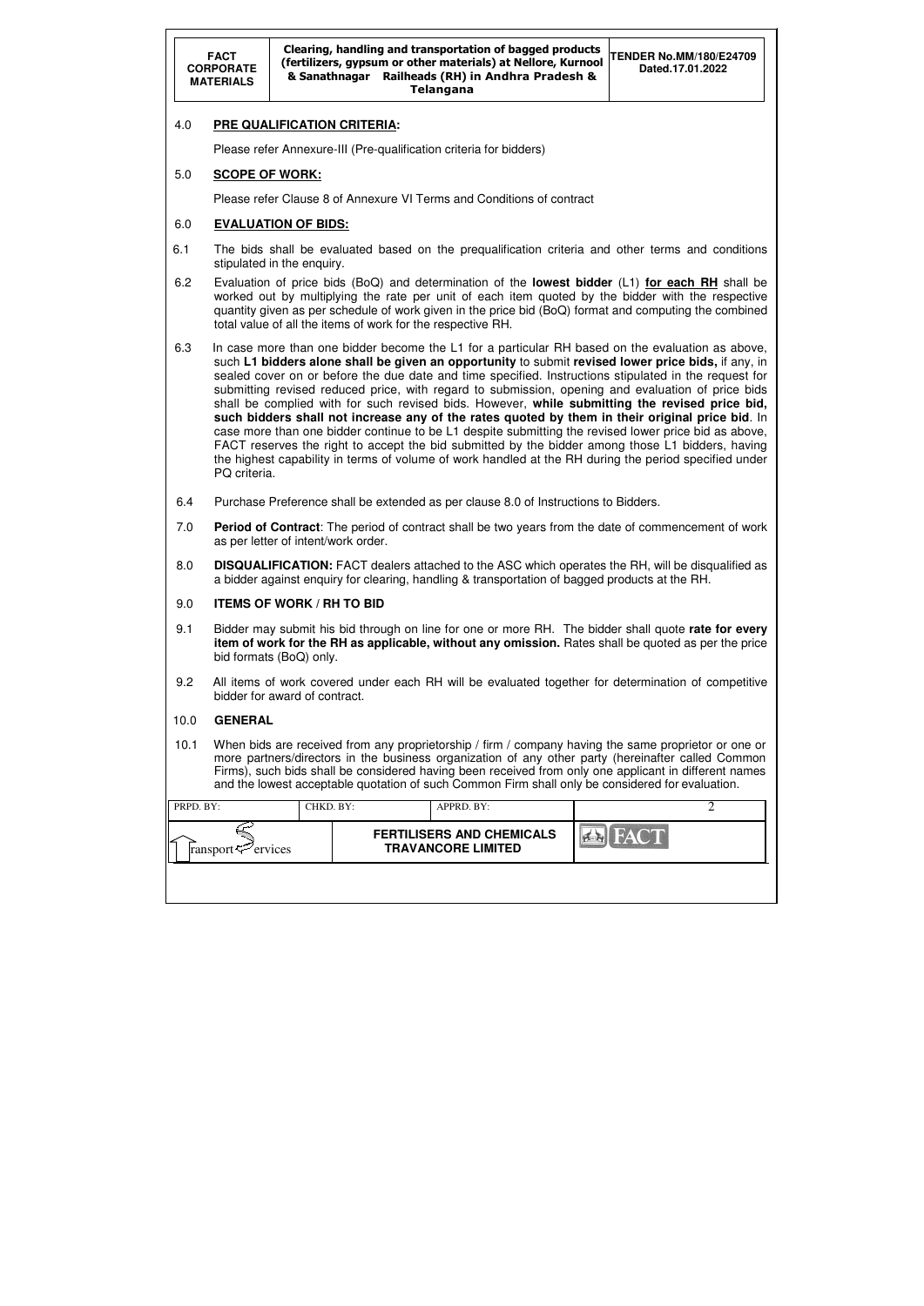|           | <b>FACT</b><br><b>CORPORATE</b><br><b>MATERIALS</b>                                                                                                                                                                                                                                                                                                                                                                                                                                                                                                                                                                                                                                                                                                                                                                                                                                                                                                            |                                     |  |  | Clearing, handling and transportation of bagged products<br>(fertilizers, gypsum or other materials) at Nellore, Kurnool<br>& Sanathnagar Railheads (RH) in Andhra Pradesh &<br><b>Telangana</b> |  | <b>TENDER No.MM/180/E24709</b><br>Dated.17.01.2022                                                                                                                                                                                                                                                                   |  |  |  |
|-----------|----------------------------------------------------------------------------------------------------------------------------------------------------------------------------------------------------------------------------------------------------------------------------------------------------------------------------------------------------------------------------------------------------------------------------------------------------------------------------------------------------------------------------------------------------------------------------------------------------------------------------------------------------------------------------------------------------------------------------------------------------------------------------------------------------------------------------------------------------------------------------------------------------------------------------------------------------------------|-------------------------------------|--|--|--------------------------------------------------------------------------------------------------------------------------------------------------------------------------------------------------|--|----------------------------------------------------------------------------------------------------------------------------------------------------------------------------------------------------------------------------------------------------------------------------------------------------------------------|--|--|--|
| 4.0       | <b>PRE QUALIFICATION CRITERIA:</b>                                                                                                                                                                                                                                                                                                                                                                                                                                                                                                                                                                                                                                                                                                                                                                                                                                                                                                                             |                                     |  |  |                                                                                                                                                                                                  |  |                                                                                                                                                                                                                                                                                                                      |  |  |  |
|           |                                                                                                                                                                                                                                                                                                                                                                                                                                                                                                                                                                                                                                                                                                                                                                                                                                                                                                                                                                |                                     |  |  | Please refer Annexure-III (Pre-qualification criteria for bidders)                                                                                                                               |  |                                                                                                                                                                                                                                                                                                                      |  |  |  |
| 5.0       | <b>SCOPE OF WORK:</b>                                                                                                                                                                                                                                                                                                                                                                                                                                                                                                                                                                                                                                                                                                                                                                                                                                                                                                                                          |                                     |  |  |                                                                                                                                                                                                  |  |                                                                                                                                                                                                                                                                                                                      |  |  |  |
|           |                                                                                                                                                                                                                                                                                                                                                                                                                                                                                                                                                                                                                                                                                                                                                                                                                                                                                                                                                                |                                     |  |  | Please refer Clause 8 of Annexure VI Terms and Conditions of contract                                                                                                                            |  |                                                                                                                                                                                                                                                                                                                      |  |  |  |
| 6.0       |                                                                                                                                                                                                                                                                                                                                                                                                                                                                                                                                                                                                                                                                                                                                                                                                                                                                                                                                                                | <b>EVALUATION OF BIDS:</b>          |  |  |                                                                                                                                                                                                  |  |                                                                                                                                                                                                                                                                                                                      |  |  |  |
| 6.1       |                                                                                                                                                                                                                                                                                                                                                                                                                                                                                                                                                                                                                                                                                                                                                                                                                                                                                                                                                                | stipulated in the enquiry.          |  |  |                                                                                                                                                                                                  |  | The bids shall be evaluated based on the prequalification criteria and other terms and conditions                                                                                                                                                                                                                    |  |  |  |
| 6.2       |                                                                                                                                                                                                                                                                                                                                                                                                                                                                                                                                                                                                                                                                                                                                                                                                                                                                                                                                                                |                                     |  |  | total value of all the items of work for the respective RH.                                                                                                                                      |  | Evaluation of price bids (BoQ) and determination of the <b>lowest bidder</b> (L1) for each RH shall be<br>worked out by multiplying the rate per unit of each item quoted by the bidder with the respective<br>quantity given as per schedule of work given in the price bid (BoQ) format and computing the combined |  |  |  |
| 6.3       | In case more than one bidder become the L1 for a particular RH based on the evaluation as above,<br>such L1 bidders alone shall be given an opportunity to submit revised lower price bids, if any, in<br>sealed cover on or before the due date and time specified. Instructions stipulated in the request for<br>submitting revised reduced price, with regard to submission, opening and evaluation of price bids<br>shall be complied with for such revised bids. However, while submitting the revised price bid,<br>such bidders shall not increase any of the rates quoted by them in their original price bid. In<br>case more than one bidder continue to be L1 despite submitting the revised lower price bid as above,<br>FACT reserves the right to accept the bid submitted by the bidder among those L1 bidders, having<br>the highest capability in terms of volume of work handled at the RH during the period specified under<br>PQ criteria. |                                     |  |  |                                                                                                                                                                                                  |  |                                                                                                                                                                                                                                                                                                                      |  |  |  |
| 6.4       |                                                                                                                                                                                                                                                                                                                                                                                                                                                                                                                                                                                                                                                                                                                                                                                                                                                                                                                                                                |                                     |  |  | Purchase Preference shall be extended as per clause 8.0 of Instructions to Bidders.                                                                                                              |  |                                                                                                                                                                                                                                                                                                                      |  |  |  |
| 7.0       |                                                                                                                                                                                                                                                                                                                                                                                                                                                                                                                                                                                                                                                                                                                                                                                                                                                                                                                                                                | as per letter of intent/work order. |  |  |                                                                                                                                                                                                  |  | Period of Contract: The period of contract shall be two years from the date of commencement of work                                                                                                                                                                                                                  |  |  |  |
| 8.0       |                                                                                                                                                                                                                                                                                                                                                                                                                                                                                                                                                                                                                                                                                                                                                                                                                                                                                                                                                                |                                     |  |  |                                                                                                                                                                                                  |  | <b>DISQUALIFICATION:</b> FACT dealers attached to the ASC which operates the RH, will be disqualified as<br>a bidder against enquiry for clearing, handling & transportation of bagged products at the RH.                                                                                                           |  |  |  |
| 9.0       |                                                                                                                                                                                                                                                                                                                                                                                                                                                                                                                                                                                                                                                                                                                                                                                                                                                                                                                                                                | <b>ITEMS OF WORK / RH TO BID</b>    |  |  |                                                                                                                                                                                                  |  |                                                                                                                                                                                                                                                                                                                      |  |  |  |
| 9.1       |                                                                                                                                                                                                                                                                                                                                                                                                                                                                                                                                                                                                                                                                                                                                                                                                                                                                                                                                                                | bid formats (BoQ) only.             |  |  |                                                                                                                                                                                                  |  | Bidder may submit his bid through on line for one or more RH. The bidder shall quote rate for every<br>item of work for the RH as applicable, without any omission. Rates shall be quoted as per the price                                                                                                           |  |  |  |
| 9.2       |                                                                                                                                                                                                                                                                                                                                                                                                                                                                                                                                                                                                                                                                                                                                                                                                                                                                                                                                                                | bidder for award of contract.       |  |  |                                                                                                                                                                                                  |  | All items of work covered under each RH will be evaluated together for determination of competitive                                                                                                                                                                                                                  |  |  |  |
| 10.0      | <b>GENERAL</b>                                                                                                                                                                                                                                                                                                                                                                                                                                                                                                                                                                                                                                                                                                                                                                                                                                                                                                                                                 |                                     |  |  |                                                                                                                                                                                                  |  |                                                                                                                                                                                                                                                                                                                      |  |  |  |
| 10.1      | When bids are received from any proprietorship / firm / company having the same proprietor or one or<br>more partners/directors in the business organization of any other party (hereinafter called Common<br>Firms), such bids shall be considered having been received from only one applicant in different names<br>and the lowest acceptable quotation of such Common Firm shall only be considered for evaluation.                                                                                                                                                                                                                                                                                                                                                                                                                                                                                                                                        |                                     |  |  |                                                                                                                                                                                                  |  |                                                                                                                                                                                                                                                                                                                      |  |  |  |
| PRPD. BY: |                                                                                                                                                                                                                                                                                                                                                                                                                                                                                                                                                                                                                                                                                                                                                                                                                                                                                                                                                                | CHKD. BY:                           |  |  | APPRD. BY:                                                                                                                                                                                       |  | $\overline{2}$                                                                                                                                                                                                                                                                                                       |  |  |  |
|           | ransport <sup>ry</sup> ervices                                                                                                                                                                                                                                                                                                                                                                                                                                                                                                                                                                                                                                                                                                                                                                                                                                                                                                                                 |                                     |  |  | <b>FERTILISERS AND CHEMICALS</b><br><b>TRAVANCORE LIMITED</b>                                                                                                                                    |  |                                                                                                                                                                                                                                                                                                                      |  |  |  |
|           |                                                                                                                                                                                                                                                                                                                                                                                                                                                                                                                                                                                                                                                                                                                                                                                                                                                                                                                                                                |                                     |  |  |                                                                                                                                                                                                  |  |                                                                                                                                                                                                                                                                                                                      |  |  |  |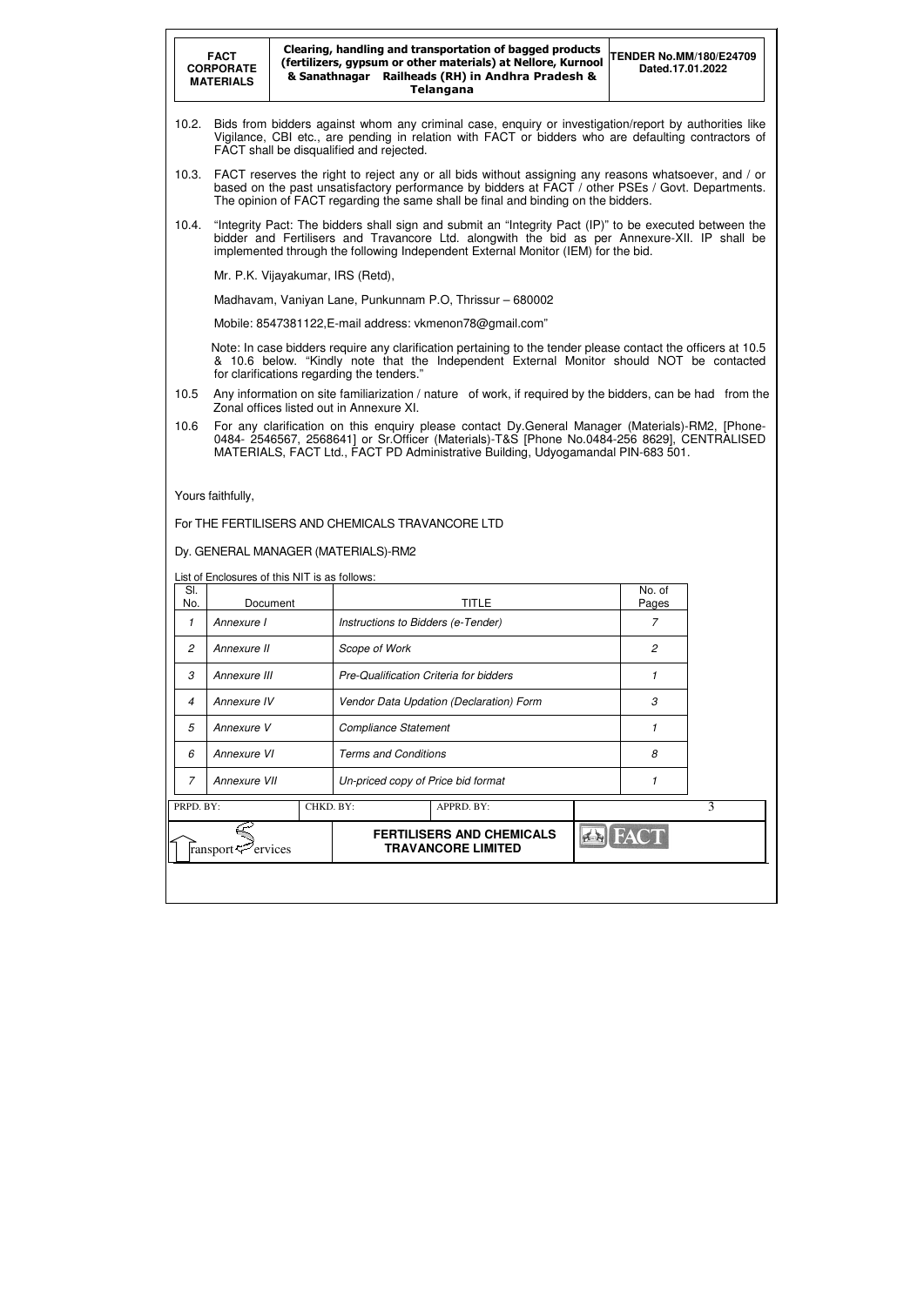|                | Clearing, handling and transportation of bagged products<br><b>TENDER No.MM/180/E24709</b><br><b>FACT</b><br>(fertilizers, gypsum or other materials) at Nellore, Kurnool<br><b>CORPORATE</b><br>Dated.17.01.2022<br>& Sanathnagar Railheads (RH) in Andhra Pradesh &<br><b>MATERIALS</b><br><b>Telangana</b> |          |                                               |                                                                                                                                                                                                                                                                                              |                 |   |  |  |  |
|----------------|---------------------------------------------------------------------------------------------------------------------------------------------------------------------------------------------------------------------------------------------------------------------------------------------------------------|----------|-----------------------------------------------|----------------------------------------------------------------------------------------------------------------------------------------------------------------------------------------------------------------------------------------------------------------------------------------------|-----------------|---|--|--|--|
| 10.2.          | Bids from bidders against whom any criminal case, enquiry or investigation/report by authorities like<br>Vigilance, CBI etc., are pending in relation with FACT or bidders who are defaulting contractors of<br>FACT shall be disqualified and rejected.                                                      |          |                                               |                                                                                                                                                                                                                                                                                              |                 |   |  |  |  |
| 10.3.          | FACT reserves the right to reject any or all bids without assigning any reasons whatsoever, and / or<br>based on the past unsatisfactory performance by bidders at FACT / other PSEs / Govt. Departments.<br>The opinion of FACT regarding the same shall be final and binding on the bidders.                |          |                                               |                                                                                                                                                                                                                                                                                              |                 |   |  |  |  |
| 10.4.          |                                                                                                                                                                                                                                                                                                               |          |                                               | "Integrity Pact: The bidders shall sign and submit an "Integrity Pact (IP)" to be executed between the<br>bidder and Fertilisers and Travancore Ltd. alongwith the bid as per Annexure-XII. IP shall be<br>implemented through the following Independent External Monitor (IEM) for the bid. |                 |   |  |  |  |
|                |                                                                                                                                                                                                                                                                                                               |          | Mr. P.K. Vijayakumar, IRS (Retd),             |                                                                                                                                                                                                                                                                                              |                 |   |  |  |  |
|                |                                                                                                                                                                                                                                                                                                               |          |                                               | Madhavam, Vaniyan Lane, Punkunnam P.O, Thrissur - 680002                                                                                                                                                                                                                                     |                 |   |  |  |  |
|                |                                                                                                                                                                                                                                                                                                               |          |                                               | Mobile: 8547381122, E-mail address: vkmenon78@gmail.com"                                                                                                                                                                                                                                     |                 |   |  |  |  |
|                |                                                                                                                                                                                                                                                                                                               |          | for clarifications regarding the tenders."    | Note: In case bidders require any clarification pertaining to the tender please contact the officers at 10.5<br>& 10.6 below. "Kindly note that the Independent External Monitor should NOT be contacted                                                                                     |                 |   |  |  |  |
| 10.5           |                                                                                                                                                                                                                                                                                                               |          | Zonal offices listed out in Annexure XI.      | Any information on site familiarization / nature of work, if required by the bidders, can be had from the                                                                                                                                                                                    |                 |   |  |  |  |
| 10.6           |                                                                                                                                                                                                                                                                                                               |          |                                               | For any clarification on this enquiry please contact Dy.General Manager (Materials)-RM2, [Phone-<br>0484- 2546567, 2568641] or Sr. Officer (Materials)-T&S [Phone No.0484-256 8629], CENTRALISED                                                                                             |                 |   |  |  |  |
|                |                                                                                                                                                                                                                                                                                                               |          |                                               | MATERIALS, FACT Ltd., FACT PD Administrative Building, Udyogamandal PIN-683 501.                                                                                                                                                                                                             |                 |   |  |  |  |
|                | Yours faithfully,                                                                                                                                                                                                                                                                                             |          | Dy. GENERAL MANAGER (MATERIALS)-RM2           | For THE FERTILISERS AND CHEMICALS TRAVANCORE LTD                                                                                                                                                                                                                                             |                 |   |  |  |  |
|                |                                                                                                                                                                                                                                                                                                               |          | List of Enclosures of this NIT is as follows: |                                                                                                                                                                                                                                                                                              |                 |   |  |  |  |
| SI.<br>No.     |                                                                                                                                                                                                                                                                                                               | Document |                                               | <b>TITLE</b>                                                                                                                                                                                                                                                                                 | No. of<br>Pages |   |  |  |  |
| 1              | Annexure I                                                                                                                                                                                                                                                                                                    |          |                                               | Instructions to Bidders (e-Tender)                                                                                                                                                                                                                                                           | 7               |   |  |  |  |
| $\mathfrak{p}$ | Annexure II                                                                                                                                                                                                                                                                                                   |          | Scope of Work                                 |                                                                                                                                                                                                                                                                                              | $\overline{c}$  |   |  |  |  |
| 3              | Annexure III                                                                                                                                                                                                                                                                                                  |          |                                               | Pre-Qualification Criteria for bidders                                                                                                                                                                                                                                                       | 1               |   |  |  |  |
| 4              | Annexure IV                                                                                                                                                                                                                                                                                                   |          |                                               | Vendor Data Updation (Declaration) Form                                                                                                                                                                                                                                                      | 3               |   |  |  |  |
| 5              | Annexure V                                                                                                                                                                                                                                                                                                    |          |                                               | <b>Compliance Statement</b>                                                                                                                                                                                                                                                                  | 1               |   |  |  |  |
| 6              | Annexure VI                                                                                                                                                                                                                                                                                                   |          |                                               | <b>Terms and Conditions</b>                                                                                                                                                                                                                                                                  | 8               |   |  |  |  |
| 7              | Annexure VII                                                                                                                                                                                                                                                                                                  |          |                                               | Un-priced copy of Price bid format                                                                                                                                                                                                                                                           | 1               |   |  |  |  |
| PRPD. BY:      |                                                                                                                                                                                                                                                                                                               |          | CHKD. BY:                                     | APPRD. BY:                                                                                                                                                                                                                                                                                   |                 | 3 |  |  |  |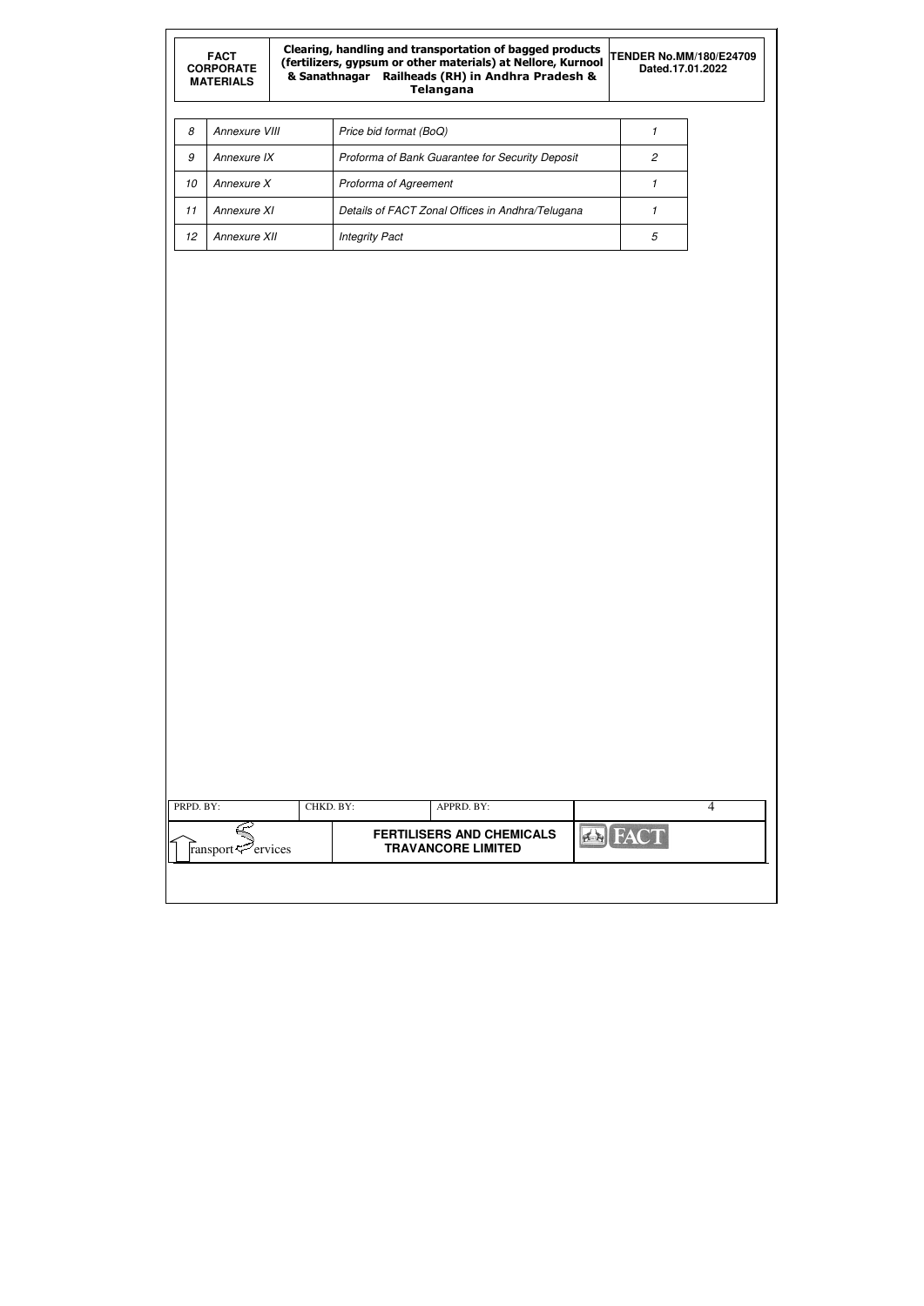| <b>FACT</b><br><b>CORPORATE</b><br><b>MATERIALS</b> |               |  | Clearing, handling and transportation of bagged products<br>(fertilizers, gypsum or other materials) at Nellore, Kurnool<br>& Sanathnagar Railheads (RH) in Andhra Pradesh &<br><b>Telangana</b> | <b>TENDER No.MM/180/E24709</b><br>Dated.17.01.2022 |  |
|-----------------------------------------------------|---------------|--|--------------------------------------------------------------------------------------------------------------------------------------------------------------------------------------------------|----------------------------------------------------|--|
| 8                                                   | Annexure VIII |  | Price bid format (BoQ)                                                                                                                                                                           |                                                    |  |
| 9                                                   | Annexure IX   |  | Proforma of Bank Guarantee for Security Deposit                                                                                                                                                  | 2                                                  |  |
| 10                                                  | Annexure X    |  | Proforma of Agreement                                                                                                                                                                            |                                                    |  |
| 11                                                  | Annexure XI   |  | Details of FACT Zonal Offices in Andhra/Telugana                                                                                                                                                 |                                                    |  |
| 12                                                  | Annexure XII  |  | <b>Integrity Pact</b>                                                                                                                                                                            | 5                                                  |  |

| PRPD. BY:                                            | CHKD. BY: |  | APPRD. BY:                                                    |               | 4 |
|------------------------------------------------------|-----------|--|---------------------------------------------------------------|---------------|---|
| ransport $\leq$ <sup><math>\geq</math></sup> ervices |           |  | <b>FERTILISERS AND CHEMICALS</b><br><b>TRAVANCORE LIMITED</b> | <b>B</b> FACT |   |
|                                                      |           |  |                                                               |               |   |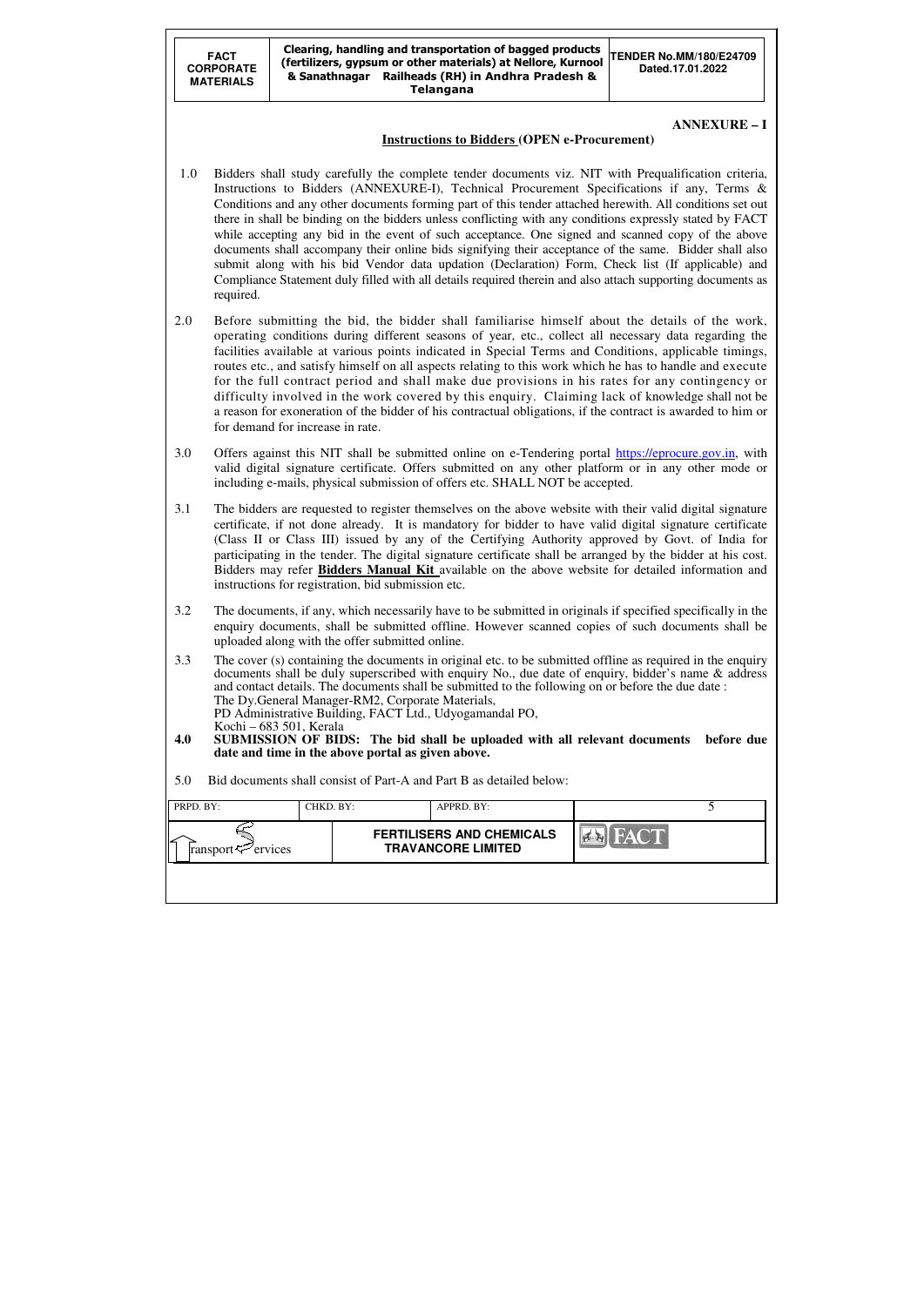| PRPD. BY:                      | CHKD. BY: | APPRD. BY:                                                    |      |  |
|--------------------------------|-----------|---------------------------------------------------------------|------|--|
| ransport $\mathcal{P}$ ervices |           | <b>FERTILISERS AND CHEMICALS</b><br><b>TRAVANCORE LIMITED</b> | FACT |  |
|                                |           |                                                               |      |  |

**ANNEXURE – I** 

## **Instructions to Bidders (OPEN e-Procurement)**

- 1.0 Bidders shall study carefully the complete tender documents viz. NIT with Prequalification criteria, Instructions to Bidders (ANNEXURE-I), Technical Procurement Specifications if any, Terms & Conditions and any other documents forming part of this tender attached herewith. All conditions set out there in shall be binding on the bidders unless conflicting with any conditions expressly stated by FACT while accepting any bid in the event of such acceptance. One signed and scanned copy of the above documents shall accompany their online bids signifying their acceptance of the same. Bidder shall also submit along with his bid Vendor data updation (Declaration) Form, Check list (If applicable) and Compliance Statement duly filled with all details required therein and also attach supporting documents as required.
- 2.0 Before submitting the bid, the bidder shall familiarise himself about the details of the work, operating conditions during different seasons of year, etc., collect all necessary data regarding the facilities available at various points indicated in Special Terms and Conditions, applicable timings, routes etc., and satisfy himself on all aspects relating to this work which he has to handle and execute for the full contract period and shall make due provisions in his rates for any contingency or difficulty involved in the work covered by this enquiry. Claiming lack of knowledge shall not be a reason for exoneration of the bidder of his contractual obligations, if the contract is awarded to him or for demand for increase in rate.
- 3.0 Offers against this NIT shall be submitted online on e-Tendering portal https://eprocure.gov.in, with valid digital signature certificate. Offers submitted on any other platform or in any other mode or including e-mails, physical submission of offers etc. SHALL NOT be accepted.
- 3.1 The bidders are requested to register themselves on the above website with their valid digital signature certificate, if not done already. It is mandatory for bidder to have valid digital signature certificate (Class II or Class III) issued by any of the Certifying Authority approved by Govt. of India for participating in the tender. The digital signature certificate shall be arranged by the bidder at his cost. Bidders may refer **Bidders Manual Kit** available on the above website for detailed information and instructions for registration, bid submission etc.
- 3.2 The documents, if any, which necessarily have to be submitted in originals if specified specifically in the enquiry documents, shall be submitted offline. However scanned copies of such documents shall be uploaded along with the offer submitted online.
- 3.3 The cover (s) containing the documents in original etc. to be submitted offline as required in the enquiry documents shall be duly superscribed with enquiry No., due date of enquiry, bidder's name & address and contact details. The documents shall be submitted to the following on or before the due date : The Dy.General Manager-RM2, Corporate Materials, PD Administrative Building, FACT Ltd., Udyogamandal PO, Kochi – 683 501, Kerala<br>**4.0 SUBMISSION OF BID**
- **4.0 SUBMISSION OF BIDS: The bid shall be uploaded with all relevant documents before due date and time in the above portal as given above.**
- 5.0 Bid documents shall consist of Part-A and Part B as detailed below: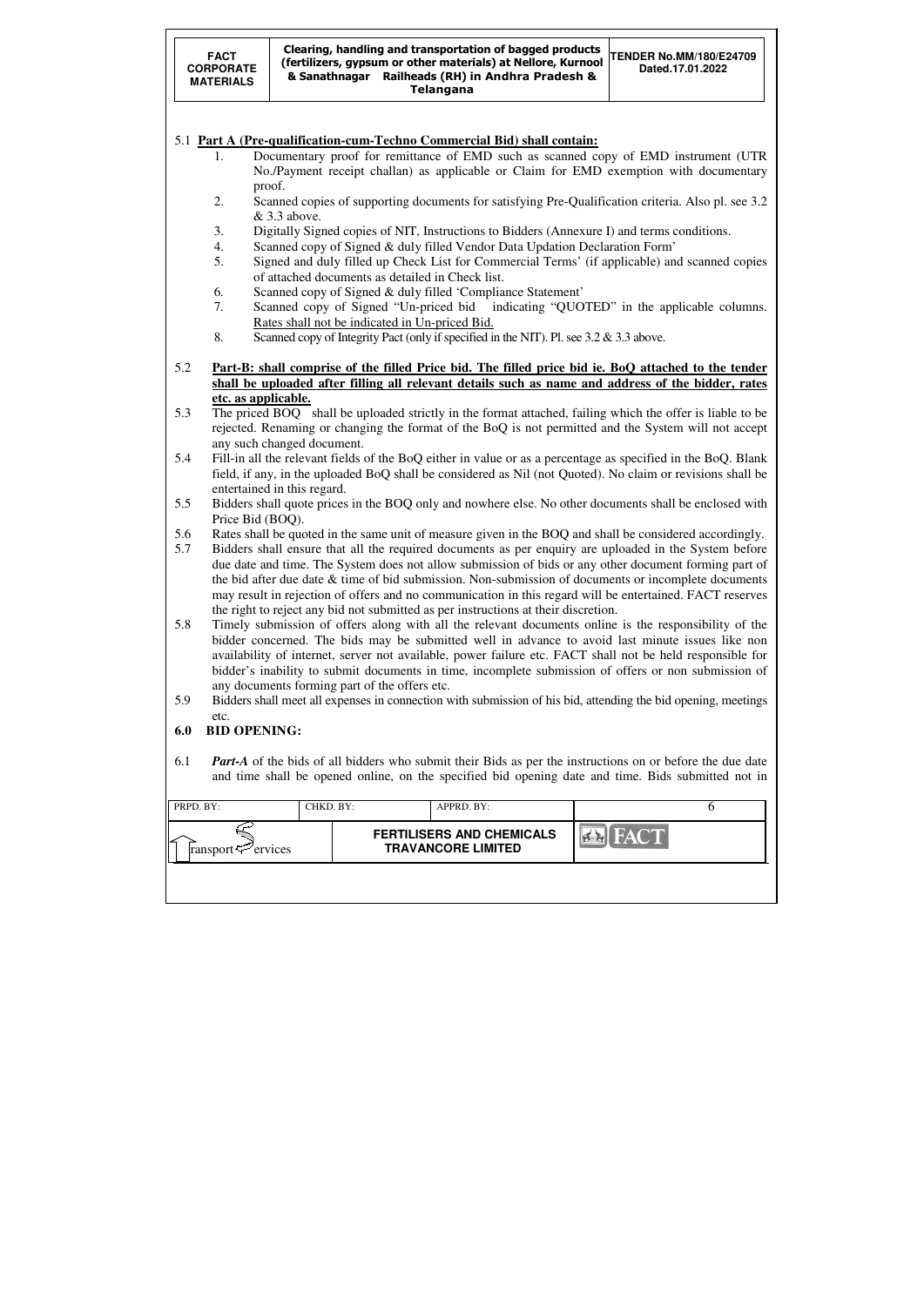| PRPD. BY:                             | CHKD. BY: | APPRD. BY:                                                    |      |  |
|---------------------------------------|-----------|---------------------------------------------------------------|------|--|
| 'l∠<br>ransport $\mathcal{F}$ ervices |           | <b>FERTILISERS AND CHEMICALS</b><br><b>TRAVANCORE LIMITED</b> | FACT |  |
|                                       |           |                                                               |      |  |



- 5.4 Fill-in all the relevant fields of the BoQ either in value or as a percentage as specified in the BoQ. Blank field, if any, in the uploaded BoQ shall be considered as Nil (not Quoted). No claim or revisions shall be entertained in this regard.
- 5.5 Bidders shall quote prices in the BOQ only and nowhere else. No other documents shall be enclosed with Price Bid (BOQ).
- 5.6 Rates shall be quoted in the same unit of measure given in the BOQ and shall be considered accordingly.
- 5.7 Bidders shall ensure that all the required documents as per enquiry are uploaded in the System before due date and time. The System does not allow submission of bids or any other document forming part of the bid after due date & time of bid submission. Non-submission of documents or incomplete documents may result in rejection of offers and no communication in this regard will be entertained. FACT reserves the right to reject any bid not submitted as per instructions at their discretion.
- 5.8 Timely submission of offers along with all the relevant documents online is the responsibility of the bidder concerned. The bids may be submitted well in advance to avoid last minute issues like non availability of internet, server not available, power failure etc. FACT shall not be held responsible for bidder's inability to submit documents in time, incomplete submission of offers or non submission of any documents forming part of the offers etc.
- 5.9 Bidders shall meet all expenses in connection with submission of his bid, attending the bid opening, meetings etc.

## **6.0 BID OPENING:**

6.1 *Part-A* of the bids of all bidders who submit their Bids as per the instructions on or before the due date and time shall be opened online, on the specified bid opening date and time. Bids submitted not in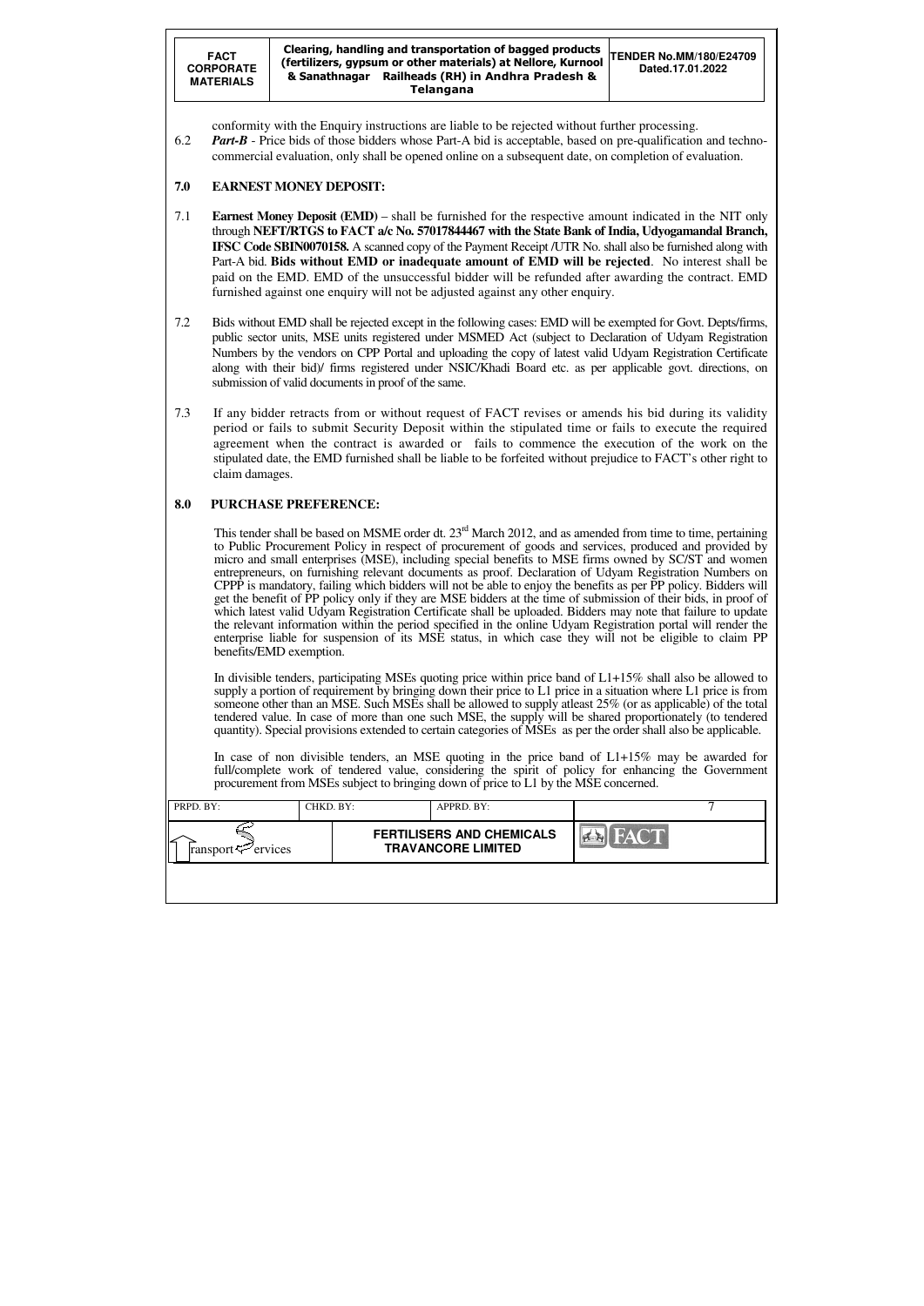**FACT CORPORATE MATERIALS**  Clearing, handling and transportation of bagged products (fertilizers, gypsum or other materials) at Nellore, Kurnool & Sanathnagar Railheads (RH) in Andhra Pradesh & Telangana **TENDER No.MM/180/E24709 Dated.17.01.2022** 

| PRPD. BY:                      | CHKD. BY: | APPRD. BY:                                                    |      |  |
|--------------------------------|-----------|---------------------------------------------------------------|------|--|
| ransport $\mathcal{P}$ ervices |           | <b>FERTILISERS AND CHEMICALS</b><br><b>TRAVANCORE LIMITED</b> | FACT |  |
|                                |           |                                                               |      |  |

conformity with the Enquiry instructions are liable to be rejected without further processing.

6.2 *Part-B* - Price bids of those bidders whose Part-A bid is acceptable, based on pre-qualification and technocommercial evaluation, only shall be opened online on a subsequent date, on completion of evaluation.

# **7.0 EARNEST MONEY DEPOSIT:**

- 7.1 **Earnest Money Deposit (EMD)** shall be furnished for the respective amount indicated in the NIT only through **NEFT/RTGS to FACT a/c No. 57017844467 with the State Bank of India, Udyogamandal Branch, IFSC Code SBIN0070158.** A scanned copy of the Payment Receipt /UTR No. shall also be furnished along with Part-A bid. **Bids without EMD or inadequate amount of EMD will be rejected**. No interest shall be paid on the EMD. EMD of the unsuccessful bidder will be refunded after awarding the contract. EMD furnished against one enquiry will not be adjusted against any other enquiry.
- 7.2 Bids without EMD shall be rejected except in the following cases: EMD will be exempted for Govt. Depts/firms, public sector units, MSE units registered under MSMED Act (subject to Declaration of Udyam Registration Numbers by the vendors on CPP Portal and uploading the copy of latest valid Udyam Registration Certificate along with their bid)/ firms registered under NSIC/Khadi Board etc. as per applicable govt. directions, on submission of valid documents in proof of the same.
- 7.3 If any bidder retracts from or without request of FACT revises or amends his bid during its validity period or fails to submit Security Deposit within the stipulated time or fails to execute the required agreement when the contract is awarded or fails to commence the execution of the work on the stipulated date, the EMD furnished shall be liable to be forfeited without prejudice to FACT's other right to claim damages.

This tender shall be based on MSME order dt. 23<sup>rd</sup> March 2012, and as amended from time to time, pertaining to Public Procurement Policy in respect of procurement of goods and services, produced and provided by micro and small enterprises (MSE), including special benefits to MSE firms owned by SC/ST and women entrepreneurs, on furnishing relevant documents as proof. Declaration of Udyam Registration Numbers on CPPP is mandatory, failing which bidders will not be able to enjoy the benefits as per PP policy. Bidders will get the benefit of PP policy only if they are MSE bidders at the time of submission of their bids, in proof of which latest valid Udyam Registration Certificate shall be uploaded. Bidders may note that failure to update the relevant information within the period specified in the online Udyam Registration portal will render the enterprise liable for suspension of its MSE status, in which case they will not be eligible to claim PP benefits/EMD exemption.

# **8.0 PURCHASE PREFERENCE:**

In divisible tenders, participating MSEs quoting price within price band of L1+15% shall also be allowed to supply a portion of requirement by bringing down their price to L1 price in a situation where L1 price is from someone other than an MSE. Such MSEs shall be allowed to supply atleast 25% (or as applicable) of the total tendered value. In case of more than one such MSE, the supply will be shared proportionately (to tendered quantity). Special provisions extended to certain categories of MSEs as per the order shall also be applicable.

In case of non divisible tenders, an MSE quoting in the price band of L1+15% may be awarded for full/complete work of tendered value, considering the spirit of policy for enhancing the Government procurement from MSEs subject to bringing down of price to L1 by the MSE concerned.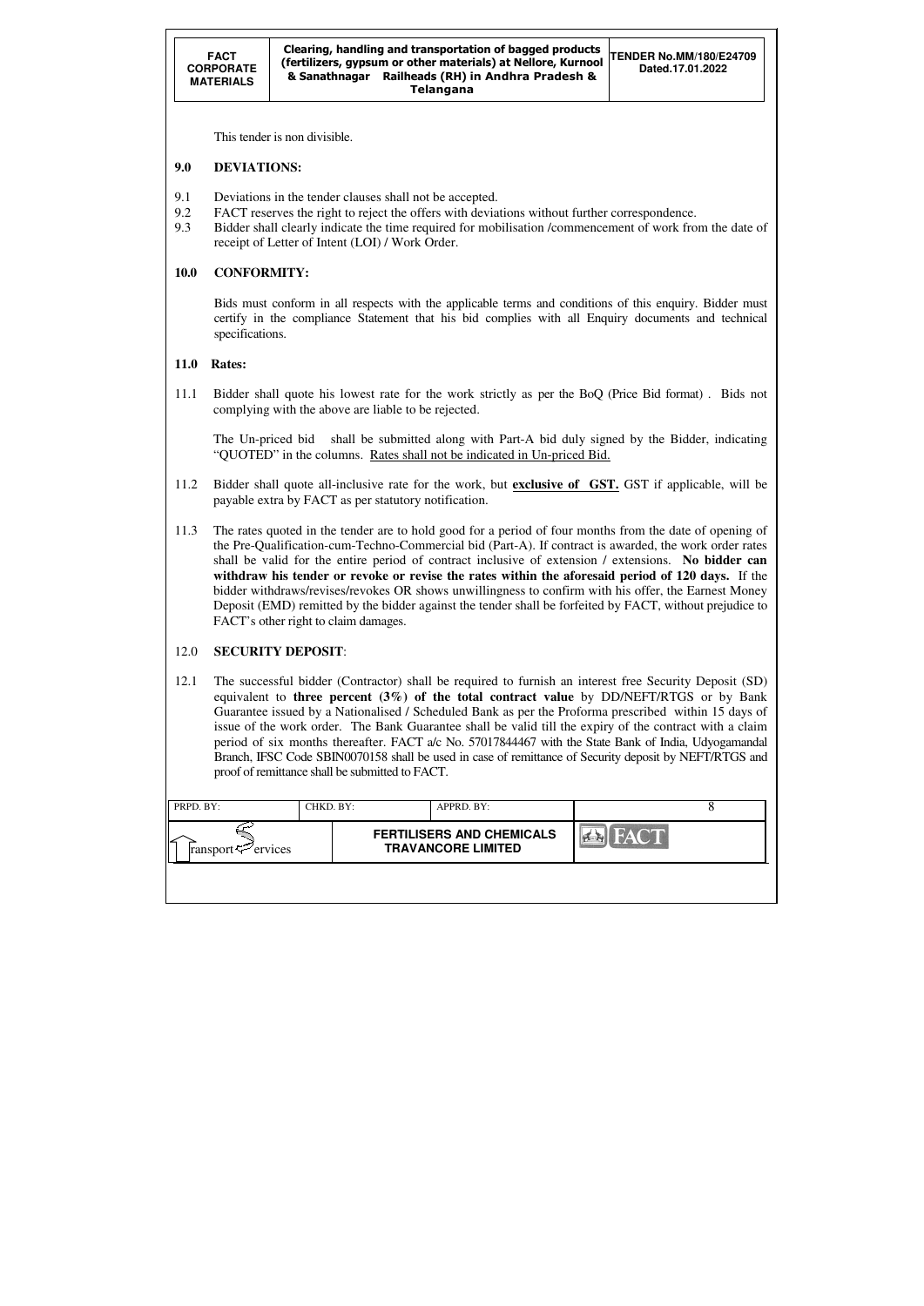| PRPD. BY:                      | CHKD. BY: | APPRD. BY:                                                    |      |  |
|--------------------------------|-----------|---------------------------------------------------------------|------|--|
| ransport $\mathcal{L}$ ervices |           | <b>FERTILISERS AND CHEMICALS</b><br><b>TRAVANCORE LIMITED</b> | FACT |  |
|                                |           |                                                               |      |  |

This tender is non divisible.

## **9.0 DEVIATIONS:**

- 9.1 Deviations in the tender clauses shall not be accepted.
- 9.2 FACT reserves the right to reject the offers with deviations without further correspondence.
- 9.3 Bidder shall clearly indicate the time required for mobilisation /commencement of work from the date of receipt of Letter of Intent (LOI) / Work Order.

## **10.0 CONFORMITY:**

Bids must conform in all respects with the applicable terms and conditions of this enquiry. Bidder must certify in the compliance Statement that his bid complies with all Enquiry documents and technical specifications.

## **11.0 Rates:**

11.1 Bidder shall quote his lowest rate for the work strictly as per the BoQ (Price Bid format) . Bids not complying with the above are liable to be rejected.

The Un-priced bid shall be submitted along with Part-A bid duly signed by the Bidder, indicating "QUOTED" in the columns. Rates shall not be indicated in Un-priced Bid.

- 11.2 Bidder shall quote all-inclusive rate for the work, but **exclusive of GST.** GST if applicable, will be payable extra by FACT as per statutory notification.
- 11.3 The rates quoted in the tender are to hold good for a period of four months from the date of opening of the Pre-Qualification-cum-Techno-Commercial bid (Part-A). If contract is awarded, the work order rates shall be valid for the entire period of contract inclusive of extension / extensions. **No bidder can withdraw his tender or revoke or revise the rates within the aforesaid period of 120 days.** If the bidder withdraws/revises/revokes OR shows unwillingness to confirm with his offer, the Earnest Money Deposit (EMD) remitted by the bidder against the tender shall be forfeited by FACT, without prejudice to FACT's other right to claim damages.

## 12.0 **SECURITY DEPOSIT**:

12.1 The successful bidder (Contractor) shall be required to furnish an interest free Security Deposit (SD) equivalent to **three percent (3%) of the total contract value** by DD/NEFT/RTGS or by Bank Guarantee issued by a Nationalised / Scheduled Bank as per the Proforma prescribed within 15 days of issue of the work order. The Bank Guarantee shall be valid till the expiry of the contract with a claim period of six months thereafter. FACT a/c No. 57017844467 with the State Bank of India, Udyogamandal Branch, IFSC Code SBIN0070158 shall be used in case of remittance of Security deposit by NEFT/RTGS and proof of remittance shall be submitted to FACT.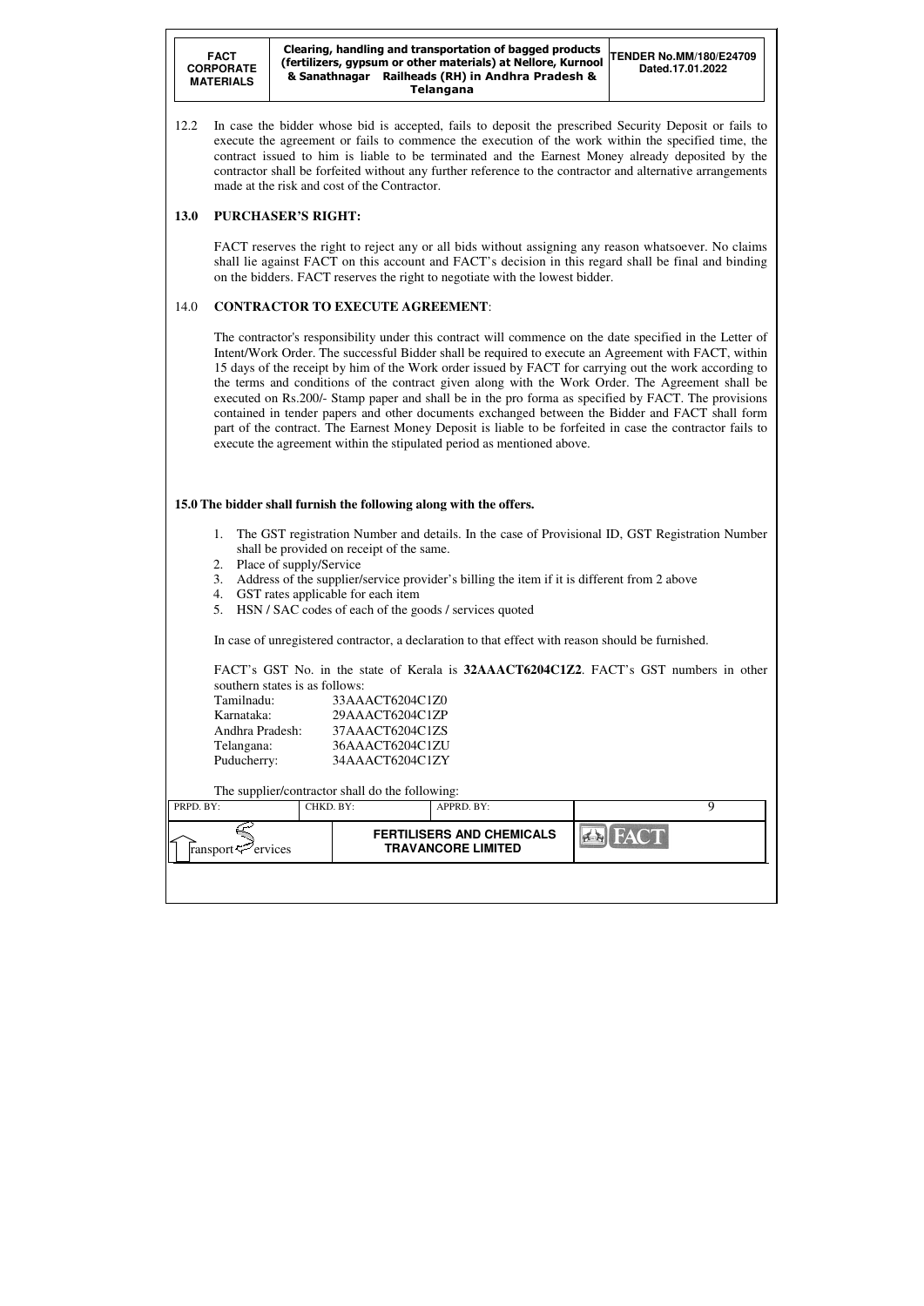**FACT CORPORATE MATERIALS**  Clearing, handling and transportation of bagged products (fertilizers, gypsum or other materials) at Nellore, Kurnool & Sanathnagar Railheads (RH) in Andhra Pradesh & Telangana **TENDER No.MM/180/E24709 Dated.17.01.2022** 

| PRPD. BY:                  | CHKD. BY: |  | APPRD. BY:                                                    |  |
|----------------------------|-----------|--|---------------------------------------------------------------|--|
| ransport $\approx$ ervices |           |  | <b>FERTILISERS AND CHEMICALS</b><br><b>TRAVANCORE LIMITED</b> |  |
|                            |           |  |                                                               |  |

12.2 In case the bidder whose bid is accepted, fails to deposit the prescribed Security Deposit or fails to execute the agreement or fails to commence the execution of the work within the specified time, the contract issued to him is liable to be terminated and the Earnest Money already deposited by the contractor shall be forfeited without any further reference to the contractor and alternative arrangements made at the risk and cost of the Contractor.

## **13.0 PURCHASER'S RIGHT:**

 FACT reserves the right to reject any or all bids without assigning any reason whatsoever. No claims shall lie against FACT on this account and FACT's decision in this regard shall be final and binding on the bidders. FACT reserves the right to negotiate with the lowest bidder.

## 14.0 **CONTRACTOR TO EXECUTE AGREEMENT**:

 The contractor's responsibility under this contract will commence on the date specified in the Letter of Intent/Work Order. The successful Bidder shall be required to execute an Agreement with FACT, within 15 days of the receipt by him of the Work order issued by FACT for carrying out the work according to the terms and conditions of the contract given along with the Work Order. The Agreement shall be executed on Rs.200/- Stamp paper and shall be in the pro forma as specified by FACT. The provisions contained in tender papers and other documents exchanged between the Bidder and FACT shall form part of the contract. The Earnest Money Deposit is liable to be forfeited in case the contractor fails to execute the agreement within the stipulated period as mentioned above.

## **15.0 The bidder shall furnish the following along with the offers.**

- 1. The GST registration Number and details. In the case of Provisional ID, GST Registration Number shall be provided on receipt of the same.
- 2. Place of supply/Service
- 3. Address of the supplier/service provider's billing the item if it is different from 2 above
- 4. GST rates applicable for each item
- 5. HSN / SAC codes of each of the goods / services quoted

In case of unregistered contractor, a declaration to that effect with reason should be furnished.

FACT's GST No. in the state of Kerala is **32AAACT6204C1Z2**. FACT's GST numbers in other southern states is as follows:

| Tamilnadu:      | 33AAACT6204C1Z0 |
|-----------------|-----------------|
| Karnataka:      | 29AAACT6204C1ZP |
| Andhra Pradesh: | 37AAACT6204C1ZS |
| Telangana:      | 36AAACT6204C1ZU |
| Puducherry:     | 34AAACT6204C1ZY |

## The supplier/contractor shall do the following: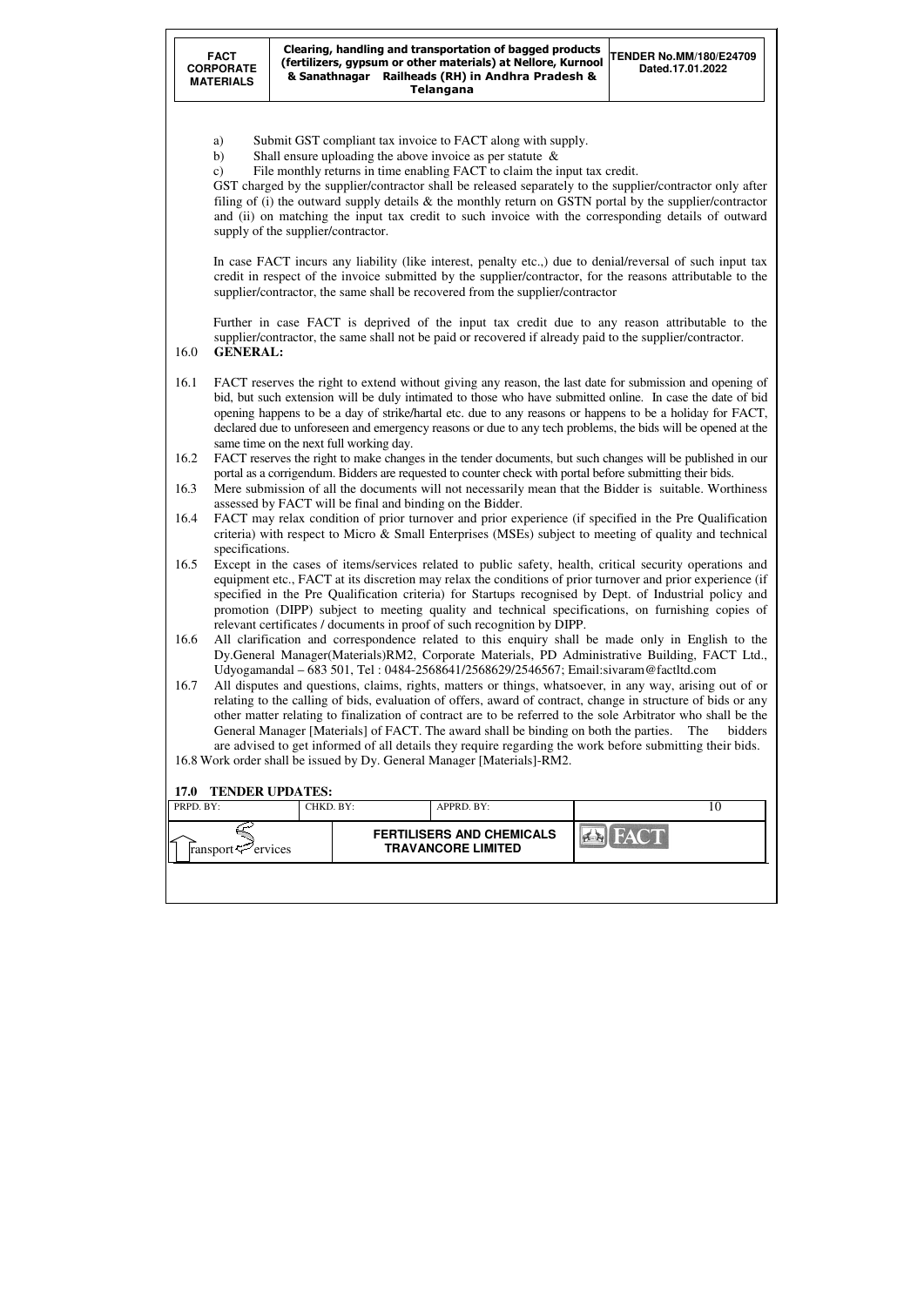| PRPD. BY:                      | CHKD. BY: | APPRD. BY:                                                    |      | ΙU |
|--------------------------------|-----------|---------------------------------------------------------------|------|----|
| ransport $\mathcal{F}$ ervices |           | <b>FERTILISERS AND CHEMICALS</b><br><b>TRAVANCORE LIMITED</b> | FACT |    |
|                                |           |                                                               |      |    |

- a) Submit GST compliant tax invoice to FACT along with supply.
- b) Shall ensure uploading the above invoice as per statute &
- c) File monthly returns in time enabling FACT to claim the input tax credit.

GST charged by the supplier/contractor shall be released separately to the supplier/contractor only after filing of (i) the outward supply details & the monthly return on GSTN portal by the supplier/contractor and (ii) on matching the input tax credit to such invoice with the corresponding details of outward supply of the supplier/contractor.

In case FACT incurs any liability (like interest, penalty etc.,) due to denial/reversal of such input tax credit in respect of the invoice submitted by the supplier/contractor, for the reasons attributable to the supplier/contractor, the same shall be recovered from the supplier/contractor

Further in case FACT is deprived of the input tax credit due to any reason attributable to the supplier/contractor, the same shall not be paid or recovered if already paid to the supplier/contractor.

16.0 **GENERAL:** 

- 16.1 FACT reserves the right to extend without giving any reason, the last date for submission and opening of bid, but such extension will be duly intimated to those who have submitted online. In case the date of bid opening happens to be a day of strike/hartal etc. due to any reasons or happens to be a holiday for FACT, declared due to unforeseen and emergency reasons or due to any tech problems, the bids will be opened at the same time on the next full working day.
- 16.2 FACT reserves the right to make changes in the tender documents, but such changes will be published in our portal as a corrigendum. Bidders are requested to counter check with portal before submitting their bids.
- 16.3 Mere submission of all the documents will not necessarily mean that the Bidder is suitable. Worthiness assessed by FACT will be final and binding on the Bidder.
- 16.4 FACT may relax condition of prior turnover and prior experience (if specified in the Pre Qualification criteria) with respect to Micro & Small Enterprises (MSEs) subject to meeting of quality and technical specifications.
- 16.5 Except in the cases of items/services related to public safety, health, critical security operations and equipment etc., FACT at its discretion may relax the conditions of prior turnover and prior experience (if specified in the Pre Qualification criteria) for Startups recognised by Dept. of Industrial policy and promotion (DIPP) subject to meeting quality and technical specifications, on furnishing copies of relevant certificates / documents in proof of such recognition by DIPP.
- 16.6 All clarification and correspondence related to this enquiry shall be made only in English to the Dy.General Manager(Materials)RM2, Corporate Materials, PD Administrative Building, FACT Ltd., Udyogamandal – 683 501, Tel : 0484-2568641/2568629/2546567; Email:sivaram@factltd.com
- 16.7 All disputes and questions, claims, rights, matters or things, whatsoever, in any way, arising out of or relating to the calling of bids, evaluation of offers, award of contract, change in structure of bids or any other matter relating to finalization of contract are to be referred to the sole Arbitrator who shall be the General Manager [Materials] of FACT. The award shall be binding on both the parties. The bidders are advised to get informed of all details they require regarding the work before submitting their bids.

16.8 Work order shall be issued by Dy. General Manager [Materials]-RM2.

#### **17.0 TENDER UPDATES:**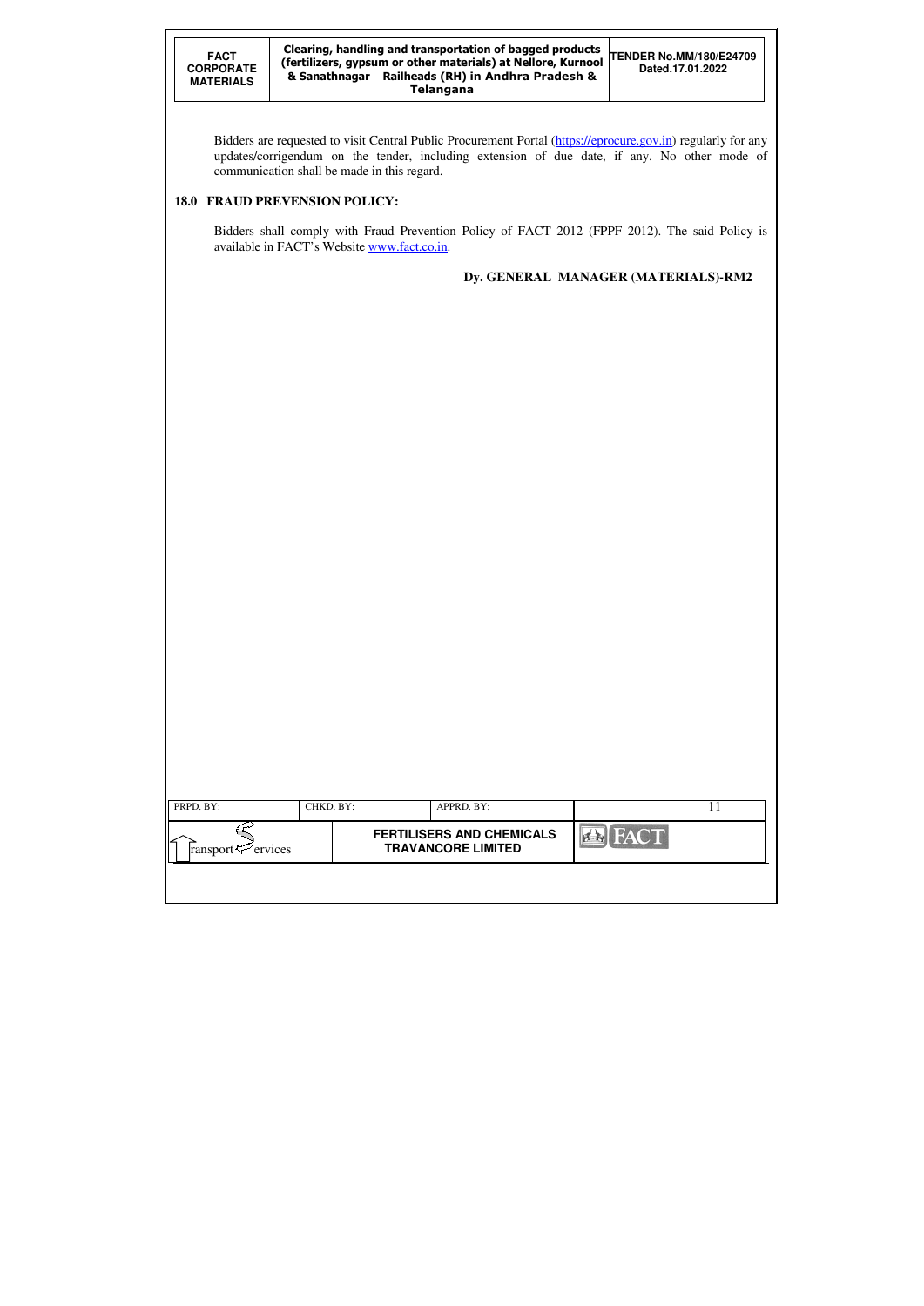| PRPD. BY:                      | CHKD. BY: | APPRD. BY:                                                    |             |  |
|--------------------------------|-----------|---------------------------------------------------------------|-------------|--|
| ransport $\mathcal{L}$ ervices |           | <b>FERTILISERS AND CHEMICALS</b><br><b>TRAVANCORE LIMITED</b> | <b>FACT</b> |  |
|                                |           |                                                               |             |  |

Bidders are requested to visit Central Public Procurement Portal (https://eprocure.gov.in) regularly for any updates/corrigendum on the tender, including extension of due date, if any. No other mode of communication shall be made in this regard.

# **18.0 FRAUD PREVENSION POLICY:**

Bidders shall comply with Fraud Prevention Policy of FACT 2012 (FPPF 2012). The said Policy is available in FACT's Website www.fact.co.in.

# **Dy. GENERAL MANAGER (MATERIALS)-RM2**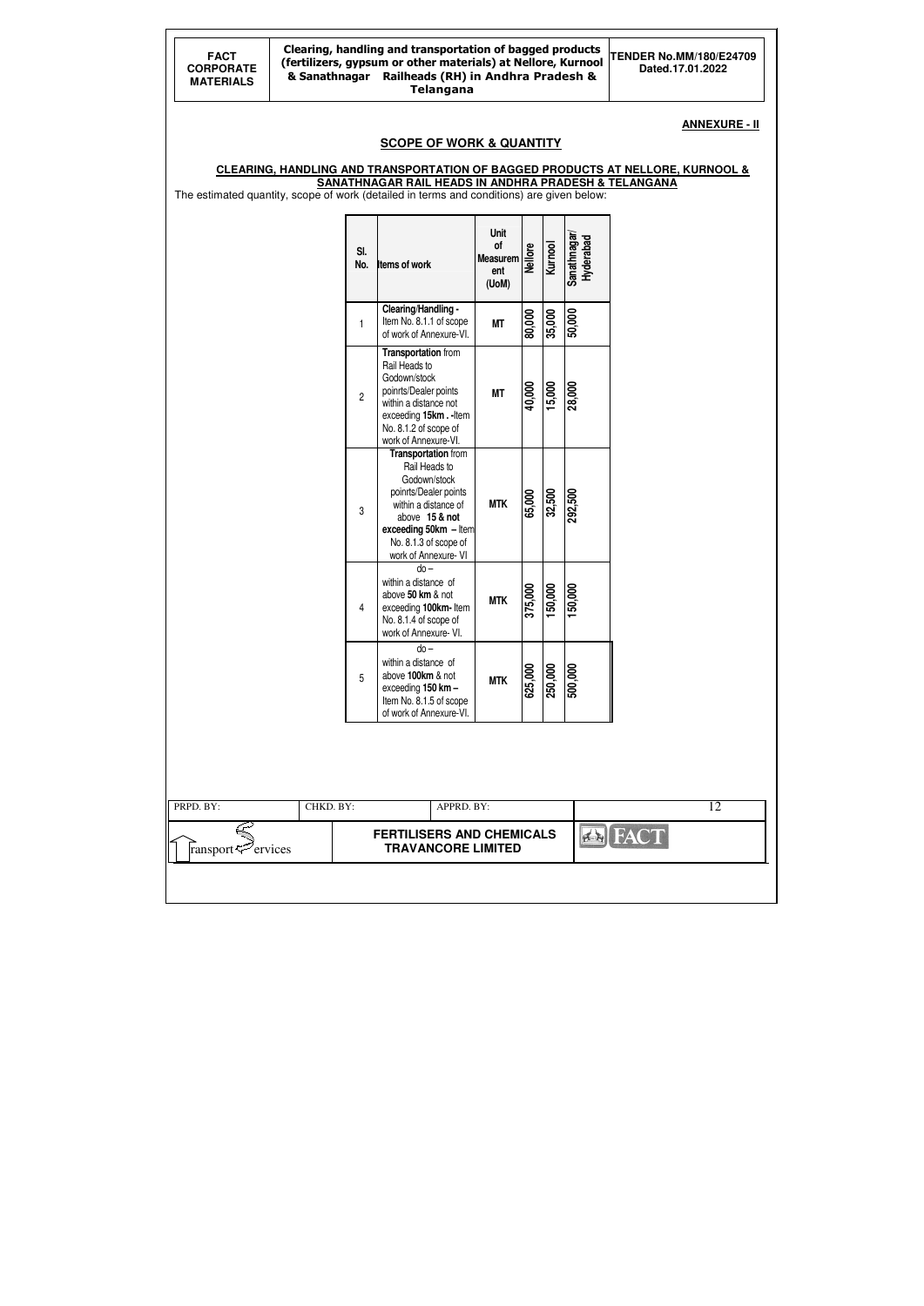| <b>FACT</b><br><b>CORPORATE</b><br><b>MATERIALS</b> | Clearing, handling and transportation of bagged products<br>(fertilizers, gypsum or other materials) at Nellore, Kurnool<br>& Sanathnagar Railheads (RH) in Andhra Pradesh & |                |                                                                                                                                                                                                         | <b>TENDER No.MM/180/E24709</b><br>Dated.17.01.2022          |                |         |                          |                                                                                                                   |
|-----------------------------------------------------|------------------------------------------------------------------------------------------------------------------------------------------------------------------------------|----------------|---------------------------------------------------------------------------------------------------------------------------------------------------------------------------------------------------------|-------------------------------------------------------------|----------------|---------|--------------------------|-------------------------------------------------------------------------------------------------------------------|
|                                                     |                                                                                                                                                                              |                | <b>SCOPE OF WORK &amp; QUANTITY</b>                                                                                                                                                                     |                                                             |                |         |                          | <b>ANNEXURE - II</b><br><b>CLEARING, HANDLING AND TRANSPORTATION OF BAGGED PRODUCTS AT NELLORE, KURNOOL &amp;</b> |
|                                                     |                                                                                                                                                                              |                | SANATHNAGAR RAIL HEADS IN ANDHRA PRADESH & TELANGANA<br>The estimated quantity, scope of work (detailed in terms and conditions) are given below:                                                       |                                                             |                |         |                          |                                                                                                                   |
|                                                     |                                                                                                                                                                              | SI.<br>No.     | Items of work                                                                                                                                                                                           | <b>Unit</b><br><b>of</b><br><b>Measurem</b><br>ent<br>(UoM) | <b>Nellore</b> | Kurnool | Sanathnagar<br>Hyderabad |                                                                                                                   |
|                                                     |                                                                                                                                                                              | 1              | Clearing/Handling -<br>Item No. 8.1.1 of scope<br>of work of Annexure-VI.                                                                                                                               | <b>MT</b>                                                   | 80,000         | 35,000  | 50,000                   |                                                                                                                   |
|                                                     |                                                                                                                                                                              | $\overline{2}$ | Transportation from<br>Rail Heads to<br>Godown/stock<br>poinrts/Dealer points<br>within a distance not<br>exceeding 15km.-Item<br>No. 8.1.2 of scope of<br>work of Annexure-VI.                         | <b>MT</b>                                                   | 40,000         | 3,000   | 28,000                   |                                                                                                                   |
|                                                     |                                                                                                                                                                              | 3              | <b>Transportation from</b><br>Rail Heads to<br>Godown/stock<br>poinrts/Dealer points<br>within a distance of<br>above 15 & not<br>exceeding 50km - Item<br>No. 8.1.3 of scope of<br>work of Annexure-VI | <b>MTK</b>                                                  | 65,000         | 32,500  | 292,500                  |                                                                                                                   |
|                                                     |                                                                                                                                                                              | 4              | $do -$<br>within a distance of<br>above 50 km & not<br>exceeding 100km-Item<br>No. 8.1.4 of scope of<br>work of Annexure- VI.                                                                           | <b>MTK</b>                                                  | 375,000        | 150,000 | 150,000                  |                                                                                                                   |
|                                                     |                                                                                                                                                                              | 5              | $do -$<br>within a distance of<br>above 100km & not<br>exceeding 150 km -<br>Item No. 8.1.5 of scope<br>of work of Annexure-VI.                                                                         | <b>MTK</b>                                                  | 625,000        | 250,000 | 500,000                  |                                                                                                                   |
|                                                     |                                                                                                                                                                              |                |                                                                                                                                                                                                         |                                                             |                |         |                          |                                                                                                                   |
| PRPD. BY:<br>ransport <sup>2</sup> ervices          | CHKD. BY:                                                                                                                                                                    |                | APPRD. BY:<br><b>FERTILISERS AND CHEMICALS</b><br><b>TRAVANCORE LIMITED</b>                                                                                                                             |                                                             |                |         |                          | 12<br><b>EN FACT</b>                                                                                              |
|                                                     |                                                                                                                                                                              |                |                                                                                                                                                                                                         |                                                             |                |         |                          |                                                                                                                   |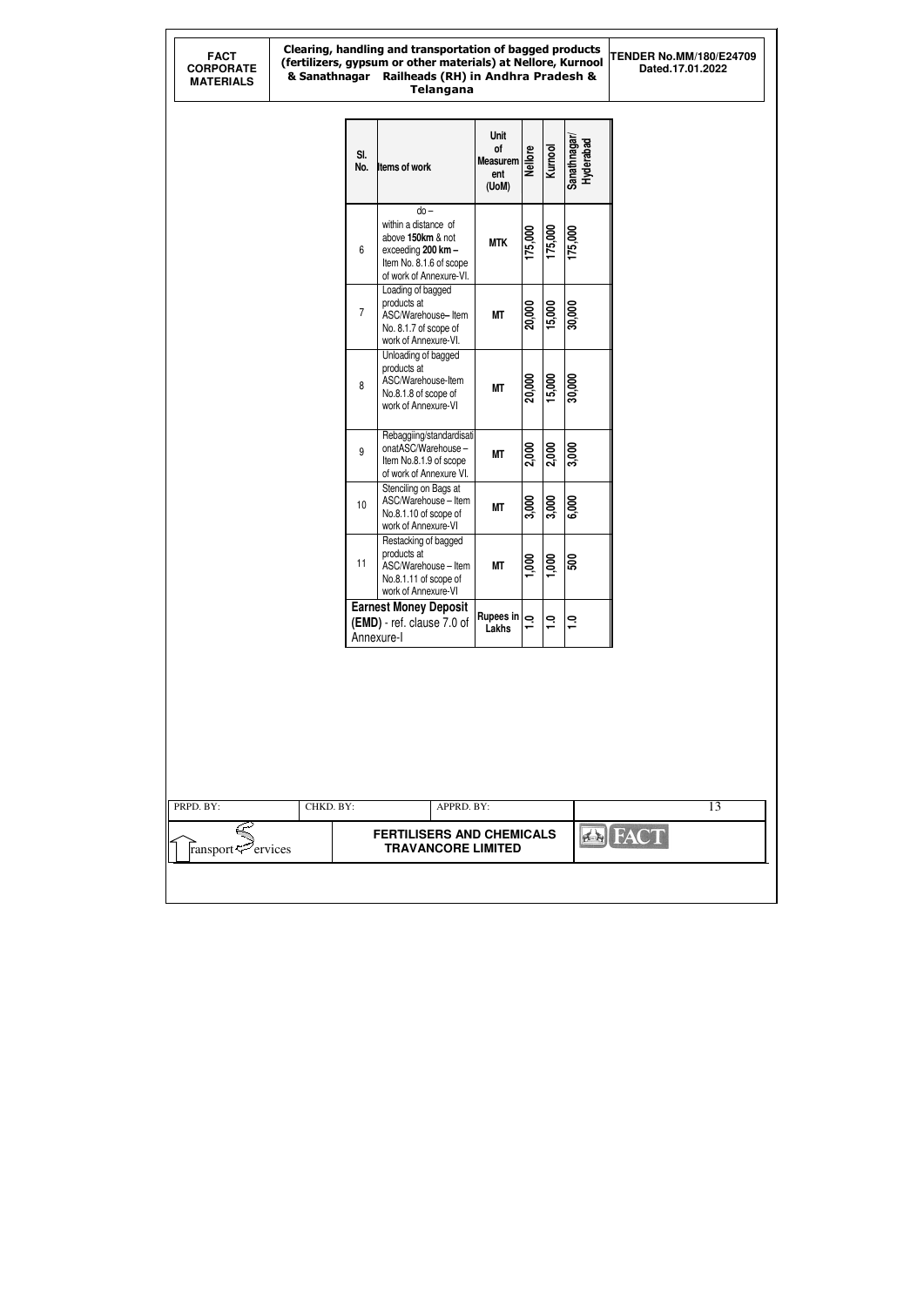#### Clearing, handling and transportation of bagged products (fertilizers, gypsum or other materials) at Nellore, Kurnool & Sanathnagar Railheads (RH) in Andhra Pradesh & Telangana

**TENDER No.MM/180/E24709 Dated.17.01.2022** 

| SI.<br>No.     | Items of work                                                                                                                   | Unit<br>of<br>Measurem<br>ent<br>(UoM)     | <b>Nellore</b>    | Kurnool | Sanathnagar/<br>Hyderabad |  |  |
|----------------|---------------------------------------------------------------------------------------------------------------------------------|--------------------------------------------|-------------------|---------|---------------------------|--|--|
| 6              | $do -$<br>within a distance of<br>above 150km & not<br>exceeding 200 km -<br>Item No. 8.1.6 of scope<br>of work of Annexure-VI. | <b>MTK</b>                                 | 175,000           | 175,000 | 175,000                   |  |  |
| $\overline{7}$ | Loading of bagged<br>products at<br>ASC/Warehouse-Item<br>No. 8.1.7 of scope of<br>work of Annexure-VI.                         | <b>MT</b>                                  | 20,000            | 15,000  | 30,000                    |  |  |
| 8              | Unloading of bagged<br>products at<br>ASC/Warehouse-Item<br>No.8.1.8 of scope of<br>work of Annexure-VI                         | <b>MT</b>                                  | 20,000            | 15,000  | $\frac{1}{30,000}$        |  |  |
| 9              | Rebaggiing/standardisati<br>onatASC/Warehouse-<br>Item No.8.1.9 of scope<br>of work of Annexure VI.                             | <b>MT</b>                                  | 2,000             | 2,000   | 3,000                     |  |  |
| 10             | Stenciling on Bags at<br>ASC/Warehouse - Item<br>No.8.1.10 of scope of<br>work of Annexure-VI                                   | <b>MT</b>                                  | $\frac{1}{3,000}$ | 3,000   | 6,000                     |  |  |
| 11             | Restacking of bagged<br>products at<br>ASC/Warehouse - Item<br>No.8.1.11 of scope of<br>work of Annexure-VI                     | <b>MT</b>                                  | $\frac{1}{1000}$  | 1,000   | $\overline{500}$          |  |  |
|                | <b>Earnest Money Deposit</b><br>(EMD) - ref. clause 7.0 of<br>Annexure-I                                                        | $\mathsf{Rupees}$ in $\mathsf{e}$<br>Lakhs |                   | 0.1     | $\ddot{ }$ .              |  |  |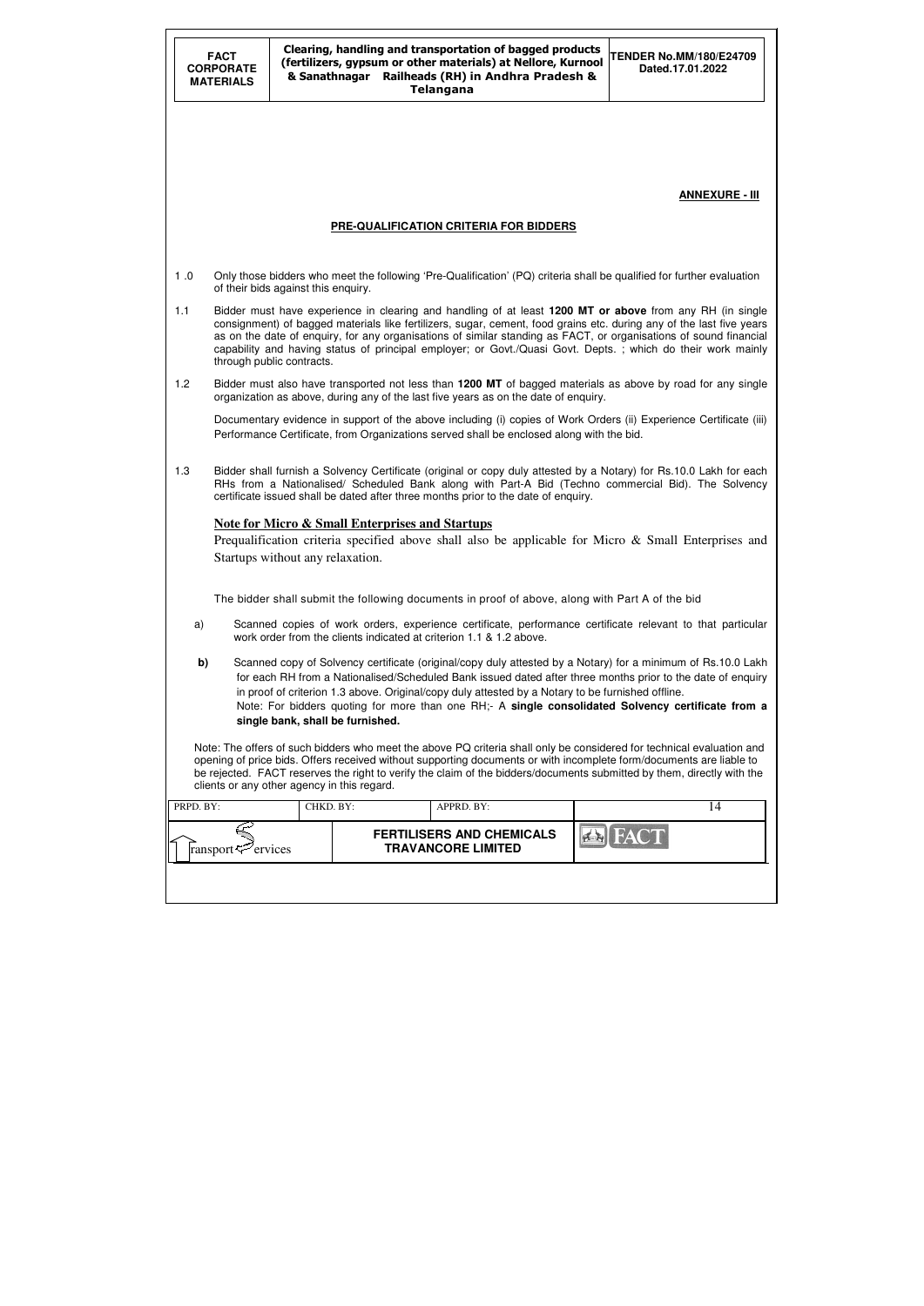|           | <b>FACT</b><br><b>CORPORATE</b><br>& Sanathnagar<br><b>MATERIALS</b> |                                             | Clearing, handling and transportation of bagged products<br>(fertilizers, gypsum or other materials) at Nellore, Kurnool<br>Railheads (RH) in Andhra Pradesh &<br><b>Telangana</b>                                                                                                                                                                                                                                                                                   | <b>TENDER No.MM/180/E24709</b><br>Dated.17.01.2022 |
|-----------|----------------------------------------------------------------------|---------------------------------------------|----------------------------------------------------------------------------------------------------------------------------------------------------------------------------------------------------------------------------------------------------------------------------------------------------------------------------------------------------------------------------------------------------------------------------------------------------------------------|----------------------------------------------------|
|           |                                                                      |                                             |                                                                                                                                                                                                                                                                                                                                                                                                                                                                      |                                                    |
|           |                                                                      |                                             |                                                                                                                                                                                                                                                                                                                                                                                                                                                                      | <b>ANNEXURE - III</b>                              |
|           |                                                                      |                                             | PRE-QUALIFICATION CRITERIA FOR BIDDERS                                                                                                                                                                                                                                                                                                                                                                                                                               |                                                    |
| 1.0       |                                                                      | of their bids against this enquiry.         | Only those bidders who meet the following 'Pre-Qualification' (PQ) criteria shall be qualified for further evaluation                                                                                                                                                                                                                                                                                                                                                |                                                    |
| 1.1       |                                                                      | through public contracts.                   | Bidder must have experience in clearing and handling of at least 1200 MT or above from any RH (in single<br>consignment) of bagged materials like fertilizers, sugar, cement, food grains etc. during any of the last five years<br>as on the date of enquiry, for any organisations of similar standing as FACT, or organisations of sound financial<br>capability and having status of principal employer; or Govt./Quasi Govt. Depts.; which do their work mainly |                                                    |
| 1.2       |                                                                      |                                             | Bidder must also have transported not less than 1200 MT of bagged materials as above by road for any single<br>organization as above, during any of the last five years as on the date of enquiry.                                                                                                                                                                                                                                                                   |                                                    |
|           |                                                                      |                                             | Documentary evidence in support of the above including (i) copies of Work Orders (ii) Experience Certificate (iii)<br>Performance Certificate, from Organizations served shall be enclosed along with the bid.                                                                                                                                                                                                                                                       |                                                    |
| 1.3       |                                                                      |                                             | Bidder shall furnish a Solvency Certificate (original or copy duly attested by a Notary) for Rs.10.0 Lakh for each<br>RHs from a Nationalised/ Scheduled Bank along with Part-A Bid (Techno commercial Bid). The Solvency<br>certificate issued shall be dated after three months prior to the date of enquiry.                                                                                                                                                      |                                                    |
|           |                                                                      | Startups without any relaxation.            | <b>Note for Micro &amp; Small Enterprises and Startups</b><br>Prequalification criteria specified above shall also be applicable for Micro & Small Enterprises and                                                                                                                                                                                                                                                                                                   |                                                    |
|           |                                                                      |                                             | The bidder shall submit the following documents in proof of above, along with Part A of the bid                                                                                                                                                                                                                                                                                                                                                                      |                                                    |
| a)        |                                                                      |                                             | Scanned copies of work orders, experience certificate, performance certificate relevant to that particular<br>work order from the clients indicated at criterion 1.1 & 1.2 above.                                                                                                                                                                                                                                                                                    |                                                    |
| b)        |                                                                      | single bank, shall be furnished.            | Scanned copy of Solvency certificate (original/copy duly attested by a Notary) for a minimum of Rs.10.0 Lakh<br>for each RH from a Nationalised/Scheduled Bank issued dated after three months prior to the date of enquiry<br>in proof of criterion 1.3 above. Original/copy duly attested by a Notary to be furnished offline.<br>Note: For bidders quoting for more than one RH;- A single consolidated Solvency certificate from a                               |                                                    |
|           |                                                                      | clients or any other agency in this regard. | Note: The offers of such bidders who meet the above PQ criteria shall only be considered for technical evaluation and<br>opening of price bids. Offers received without supporting documents or with incomplete form/documents are liable to<br>be rejected. FACT reserves the right to verify the claim of the bidders/documents submitted by them, directly with the                                                                                               |                                                    |
| PRPD. BY: |                                                                      | CHKD. BY:                                   | APPRD. BY:                                                                                                                                                                                                                                                                                                                                                                                                                                                           | 14                                                 |
|           | ransport <sup>2</sup> ervices                                        |                                             | <b>FERTILISERS AND CHEMICALS</b><br><b>TRAVANCORE LIMITED</b>                                                                                                                                                                                                                                                                                                                                                                                                        |                                                    |
|           |                                                                      |                                             |                                                                                                                                                                                                                                                                                                                                                                                                                                                                      |                                                    |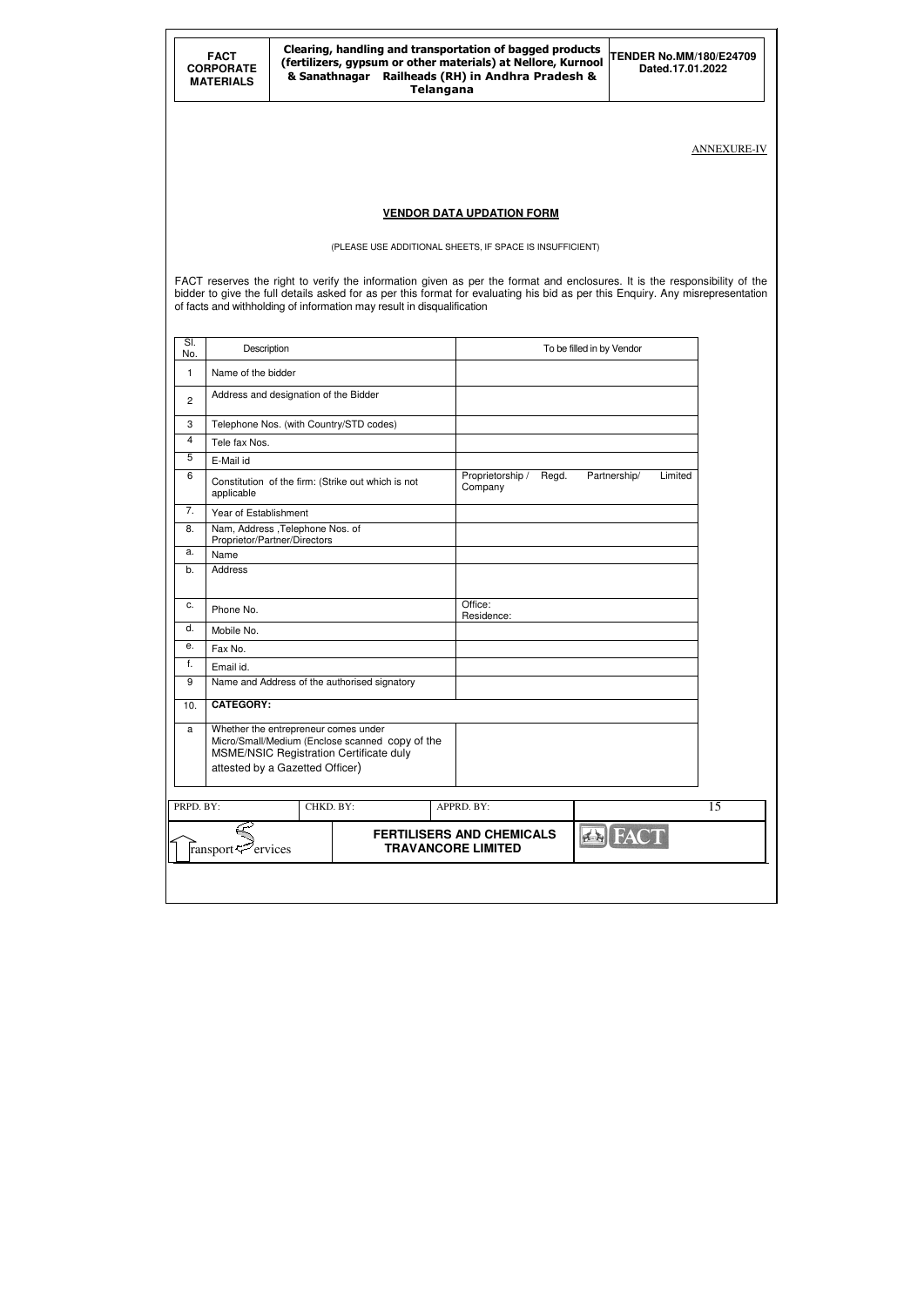|                | <b>FACT</b><br><b>CORPORATE</b><br><b>MATERIALS</b>                    |                                                                                                                                                                       |  | <b>Telangana</b> | Clearing, handling and transportation of bagged products<br>(fertilizers, gypsum or other materials) at Nellore, Kurnool<br>& Sanathnagar Railheads (RH) in Andhra Pradesh & |                           | <b>TENDER No.MM/180/E24709</b><br>Dated.17.01.2022                                                                                                                                                                                                          |                    |
|----------------|------------------------------------------------------------------------|-----------------------------------------------------------------------------------------------------------------------------------------------------------------------|--|------------------|------------------------------------------------------------------------------------------------------------------------------------------------------------------------------|---------------------------|-------------------------------------------------------------------------------------------------------------------------------------------------------------------------------------------------------------------------------------------------------------|--------------------|
|                |                                                                        |                                                                                                                                                                       |  |                  |                                                                                                                                                                              |                           |                                                                                                                                                                                                                                                             | <b>ANNEXURE-IV</b> |
|                |                                                                        |                                                                                                                                                                       |  |                  |                                                                                                                                                                              |                           |                                                                                                                                                                                                                                                             |                    |
|                |                                                                        |                                                                                                                                                                       |  |                  | <b>VENDOR DATA UPDATION FORM</b>                                                                                                                                             |                           |                                                                                                                                                                                                                                                             |                    |
|                |                                                                        |                                                                                                                                                                       |  |                  | (PLEASE USE ADDITIONAL SHEETS, IF SPACE IS INSUFFICIENT)                                                                                                                     |                           |                                                                                                                                                                                                                                                             |                    |
|                | of facts and withholding of information may result in disqualification |                                                                                                                                                                       |  |                  |                                                                                                                                                                              |                           | FACT reserves the right to verify the information given as per the format and enclosures. It is the responsibility of the<br>bidder to give the full details asked for as per this format for evaluating his bid as per this Enquiry. Any misrepresentation |                    |
| SI.<br>No.     | Description                                                            |                                                                                                                                                                       |  |                  |                                                                                                                                                                              | To be filled in by Vendor |                                                                                                                                                                                                                                                             |                    |
| 1              | Name of the bidder                                                     |                                                                                                                                                                       |  |                  |                                                                                                                                                                              |                           |                                                                                                                                                                                                                                                             |                    |
| $\overline{c}$ |                                                                        | Address and designation of the Bidder                                                                                                                                 |  |                  |                                                                                                                                                                              |                           |                                                                                                                                                                                                                                                             |                    |
| 3              |                                                                        | Telephone Nos. (with Country/STD codes)                                                                                                                               |  |                  |                                                                                                                                                                              |                           |                                                                                                                                                                                                                                                             |                    |
| 4              | Tele fax Nos.                                                          |                                                                                                                                                                       |  |                  |                                                                                                                                                                              |                           |                                                                                                                                                                                                                                                             |                    |
| 5              | E-Mail id                                                              |                                                                                                                                                                       |  |                  |                                                                                                                                                                              |                           |                                                                                                                                                                                                                                                             |                    |
| 6              | applicable                                                             | Constitution of the firm: (Strike out which is not                                                                                                                    |  |                  | Proprietorship /<br>Company                                                                                                                                                  | Regd.                     | Partnership/<br>Limited                                                                                                                                                                                                                                     |                    |
| 7.             | Year of Establishment                                                  |                                                                                                                                                                       |  |                  |                                                                                                                                                                              |                           |                                                                                                                                                                                                                                                             |                    |
| 8.             |                                                                        | Nam, Address , Telephone Nos. of<br>Proprietor/Partner/Directors                                                                                                      |  |                  |                                                                                                                                                                              |                           |                                                                                                                                                                                                                                                             |                    |
| a.             | Name                                                                   |                                                                                                                                                                       |  |                  |                                                                                                                                                                              |                           |                                                                                                                                                                                                                                                             |                    |
| b.             | Address                                                                |                                                                                                                                                                       |  |                  |                                                                                                                                                                              |                           |                                                                                                                                                                                                                                                             |                    |
| c.             | Phone No.                                                              |                                                                                                                                                                       |  |                  | Office:<br>Residence:                                                                                                                                                        |                           |                                                                                                                                                                                                                                                             |                    |
| d.             | Mobile No.                                                             |                                                                                                                                                                       |  |                  |                                                                                                                                                                              |                           |                                                                                                                                                                                                                                                             |                    |
| е.             | Fax No.                                                                |                                                                                                                                                                       |  |                  |                                                                                                                                                                              |                           |                                                                                                                                                                                                                                                             |                    |
| f.             | Email id.                                                              |                                                                                                                                                                       |  |                  |                                                                                                                                                                              |                           |                                                                                                                                                                                                                                                             |                    |
| 9              |                                                                        | Name and Address of the authorised signatory                                                                                                                          |  |                  |                                                                                                                                                                              |                           |                                                                                                                                                                                                                                                             |                    |
| 10.            | <b>CATEGORY:</b>                                                       |                                                                                                                                                                       |  |                  |                                                                                                                                                                              |                           |                                                                                                                                                                                                                                                             |                    |
| a              |                                                                        | Whether the entrepreneur comes under<br>Micro/Small/Medium (Enclose scanned copy of the<br>MSME/NSIC Registration Certificate duly<br>attested by a Gazetted Officer) |  |                  |                                                                                                                                                                              |                           |                                                                                                                                                                                                                                                             |                    |
| PRPD. BY:      |                                                                        | CHKD. BY:                                                                                                                                                             |  |                  | APPRD. BY:                                                                                                                                                                   |                           |                                                                                                                                                                                                                                                             | 15                 |
|                | ransport <sup>2</sup> ervices                                          |                                                                                                                                                                       |  |                  | <b>FERTILISERS AND CHEMICALS</b><br><b>TRAVANCORE LIMITED</b>                                                                                                                |                           | <b>EN FACT</b>                                                                                                                                                                                                                                              |                    |
|                |                                                                        |                                                                                                                                                                       |  |                  |                                                                                                                                                                              |                           |                                                                                                                                                                                                                                                             |                    |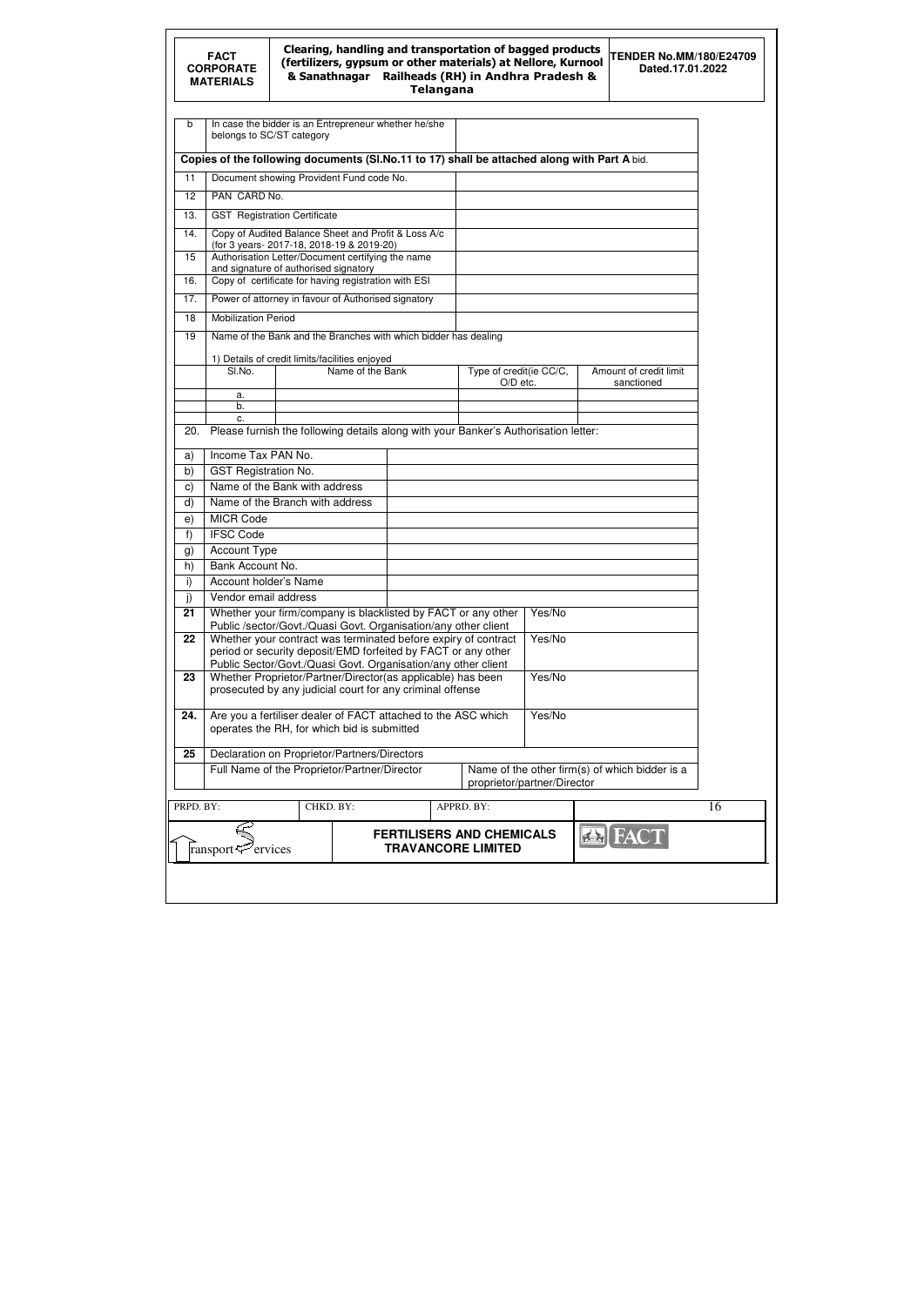|                 | <b>FACT</b><br><b>CORPORATE</b><br><b>MATERIALS</b>                                                                             |                                                                                            | & Sanathnagar    | <b>Telangana</b> | Clearing, handling and transportation of bagged products<br>(fertilizers, gypsum or other materials) at Nellore, Kurnool<br>Railheads (RH) in Andhra Pradesh & |        | <b>TENDER No.MM/180/E24709</b><br>Dated.17.01.2022 |    |
|-----------------|---------------------------------------------------------------------------------------------------------------------------------|--------------------------------------------------------------------------------------------|------------------|------------------|----------------------------------------------------------------------------------------------------------------------------------------------------------------|--------|----------------------------------------------------|----|
| b               | belongs to SC/ST category                                                                                                       | In case the bidder is an Entrepreneur whether he/she                                       |                  |                  |                                                                                                                                                                |        |                                                    |    |
|                 | Copies of the following documents (SI.No.11 to 17) shall be attached along with Part A bid.                                     |                                                                                            |                  |                  |                                                                                                                                                                |        |                                                    |    |
| 11              |                                                                                                                                 | Document showing Provident Fund code No.                                                   |                  |                  |                                                                                                                                                                |        |                                                    |    |
| 12 <sup>2</sup> | PAN CARD No.                                                                                                                    |                                                                                            |                  |                  |                                                                                                                                                                |        |                                                    |    |
| 13.             |                                                                                                                                 | <b>GST</b> Registration Certificate                                                        |                  |                  |                                                                                                                                                                |        |                                                    |    |
| 14.             |                                                                                                                                 | Copy of Audited Balance Sheet and Profit & Loss A/c                                        |                  |                  |                                                                                                                                                                |        |                                                    |    |
|                 |                                                                                                                                 | (for 3 years-2017-18, 2018-19 & 2019-20)                                                   |                  |                  |                                                                                                                                                                |        |                                                    |    |
| 15              |                                                                                                                                 | Authorisation Letter/Document certifying the name<br>and signature of authorised signatory |                  |                  |                                                                                                                                                                |        |                                                    |    |
| 16.             |                                                                                                                                 | Copy of certificate for having registration with ESI                                       |                  |                  |                                                                                                                                                                |        |                                                    |    |
| 17.             |                                                                                                                                 | Power of attorney in favour of Authorised signatory                                        |                  |                  |                                                                                                                                                                |        |                                                    |    |
| 18              | <b>Mobilization Period</b>                                                                                                      |                                                                                            |                  |                  |                                                                                                                                                                |        |                                                    |    |
| 19              |                                                                                                                                 | Name of the Bank and the Branches with which bidder has dealing                            |                  |                  |                                                                                                                                                                |        |                                                    |    |
|                 |                                                                                                                                 |                                                                                            |                  |                  |                                                                                                                                                                |        |                                                    |    |
|                 | SI.No.                                                                                                                          | 1) Details of credit limits/facilities enjoyed                                             | Name of the Bank |                  | Type of credit(ie CC/C,                                                                                                                                        |        | Amount of credit limit                             |    |
|                 |                                                                                                                                 |                                                                                            |                  |                  | O/D etc.                                                                                                                                                       |        | sanctioned                                         |    |
|                 | a.<br>b.                                                                                                                        |                                                                                            |                  |                  |                                                                                                                                                                |        |                                                    |    |
|                 | c.                                                                                                                              |                                                                                            |                  |                  |                                                                                                                                                                |        |                                                    |    |
| 20.             | Please furnish the following details along with your Banker's Authorisation letter:                                             |                                                                                            |                  |                  |                                                                                                                                                                |        |                                                    |    |
| a)              | Income Tax PAN No.                                                                                                              |                                                                                            |                  |                  |                                                                                                                                                                |        |                                                    |    |
| b)              | <b>GST Registration No.</b>                                                                                                     |                                                                                            |                  |                  |                                                                                                                                                                |        |                                                    |    |
| C)              | Name of the Bank with address                                                                                                   |                                                                                            |                  |                  |                                                                                                                                                                |        |                                                    |    |
| d)              | Name of the Branch with address                                                                                                 |                                                                                            |                  |                  |                                                                                                                                                                |        |                                                    |    |
| e)              | <b>MICR Code</b>                                                                                                                |                                                                                            |                  |                  |                                                                                                                                                                |        |                                                    |    |
| f)              | <b>IFSC Code</b>                                                                                                                |                                                                                            |                  |                  |                                                                                                                                                                |        |                                                    |    |
| g)<br>h)        | <b>Account Type</b><br>Bank Account No.                                                                                         |                                                                                            |                  |                  |                                                                                                                                                                |        |                                                    |    |
| i)              | Account holder's Name                                                                                                           |                                                                                            |                  |                  |                                                                                                                                                                |        |                                                    |    |
| j)              | Vendor email address                                                                                                            |                                                                                            |                  |                  |                                                                                                                                                                |        |                                                    |    |
| 21              | Whether your firm/company is blacklisted by FACT or any other                                                                   |                                                                                            |                  |                  |                                                                                                                                                                | Yes/No |                                                    |    |
|                 | Public /sector/Govt./Quasi Govt. Organisation/any other client                                                                  |                                                                                            |                  |                  |                                                                                                                                                                |        |                                                    |    |
| 22              | Whether your contract was terminated before expiry of contract<br>period or security deposit/EMD forfeited by FACT or any other |                                                                                            |                  |                  |                                                                                                                                                                | Yes/No |                                                    |    |
|                 | Public Sector/Govt./Quasi Govt. Organisation/any other client                                                                   |                                                                                            |                  |                  |                                                                                                                                                                |        |                                                    |    |
| 23              | Whether Proprietor/Partner/Director(as applicable) has been                                                                     |                                                                                            |                  |                  |                                                                                                                                                                | Yes/No |                                                    |    |
|                 | prosecuted by any judicial court for any criminal offense                                                                       |                                                                                            |                  |                  |                                                                                                                                                                |        |                                                    |    |
| 24.             | Are you a fertiliser dealer of FACT attached to the ASC which                                                                   |                                                                                            |                  |                  |                                                                                                                                                                | Yes/No |                                                    |    |
|                 | operates the RH, for which bid is submitted                                                                                     |                                                                                            |                  |                  |                                                                                                                                                                |        |                                                    |    |
| 25              | Declaration on Proprietor/Partners/Directors                                                                                    |                                                                                            |                  |                  |                                                                                                                                                                |        |                                                    |    |
|                 | Full Name of the Proprietor/Partner/Director                                                                                    |                                                                                            |                  |                  |                                                                                                                                                                |        | Name of the other firm(s) of which bidder is a     |    |
|                 |                                                                                                                                 |                                                                                            |                  |                  | proprietor/partner/Director                                                                                                                                    |        |                                                    |    |
| PRPD. BY:       |                                                                                                                                 | CHKD. BY:                                                                                  |                  |                  | APPRD. BY:                                                                                                                                                     |        |                                                    | 16 |
|                 |                                                                                                                                 |                                                                                            |                  |                  |                                                                                                                                                                |        |                                                    |    |
|                 | ransport <sup>2</sup> ervices                                                                                                   |                                                                                            |                  |                  | <b>FERTILISERS AND CHEMICALS</b><br><b>TRAVANCORE LIMITED</b>                                                                                                  |        | EAC                                                |    |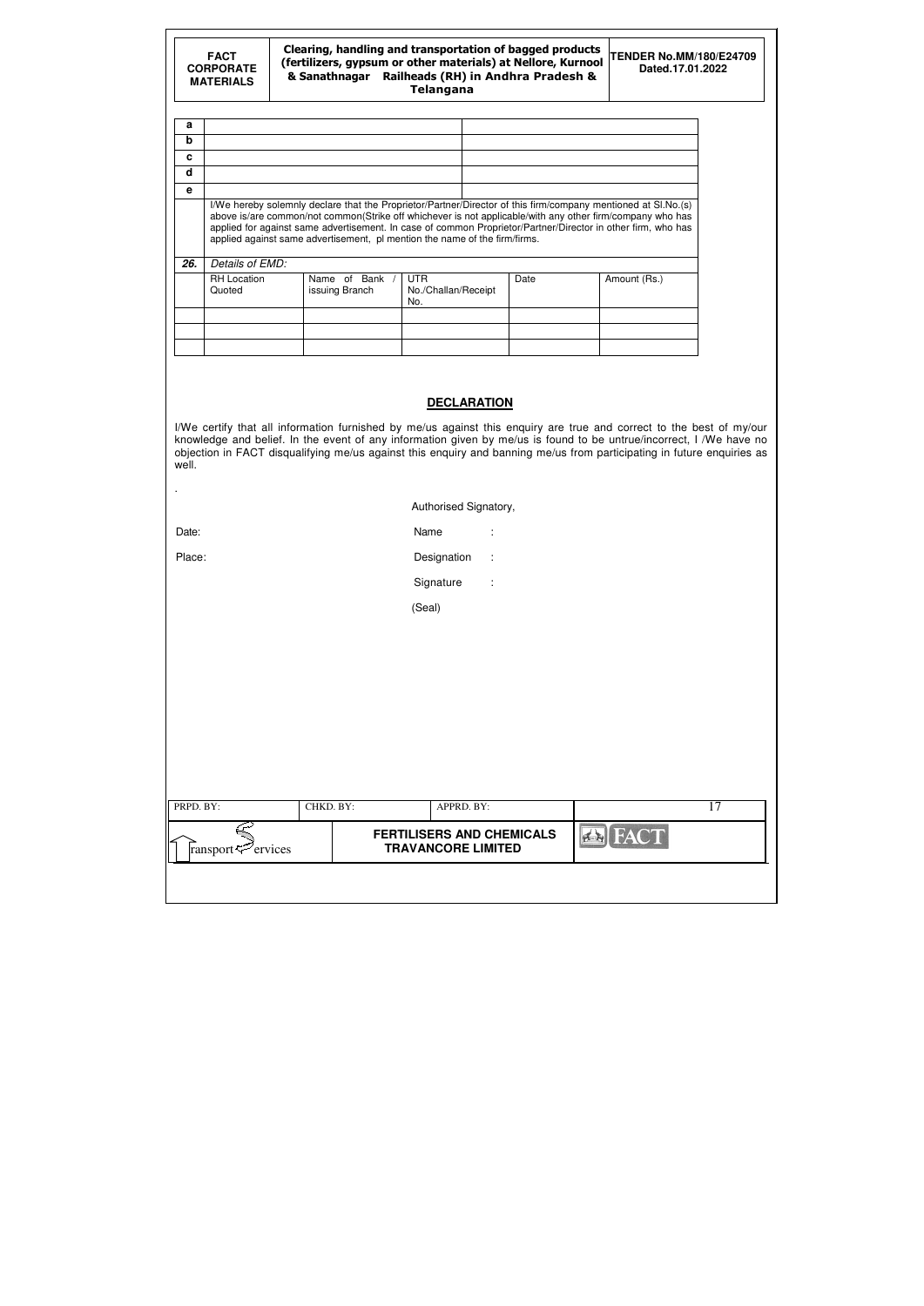|     | <b>FACT</b><br><b>CORPORATE</b><br><b>MATERIALS</b> | Clearing, handling and transportation of bagged products<br>(fertilizers, gypsum or other materials) at Nellore, Kurnool<br>Railheads (RH) in Andhra Pradesh &<br>& Sanathnagar | <b>TENDER No.MM/180/E24709</b><br>Dated.17.01.2022                                                                                                                                                                                                                                                                                                                                                                       |      |              |  |
|-----|-----------------------------------------------------|---------------------------------------------------------------------------------------------------------------------------------------------------------------------------------|--------------------------------------------------------------------------------------------------------------------------------------------------------------------------------------------------------------------------------------------------------------------------------------------------------------------------------------------------------------------------------------------------------------------------|------|--------------|--|
| a   |                                                     |                                                                                                                                                                                 |                                                                                                                                                                                                                                                                                                                                                                                                                          |      |              |  |
| b   |                                                     |                                                                                                                                                                                 |                                                                                                                                                                                                                                                                                                                                                                                                                          |      |              |  |
| C   |                                                     |                                                                                                                                                                                 |                                                                                                                                                                                                                                                                                                                                                                                                                          |      |              |  |
| d   |                                                     |                                                                                                                                                                                 |                                                                                                                                                                                                                                                                                                                                                                                                                          |      |              |  |
| e   |                                                     |                                                                                                                                                                                 |                                                                                                                                                                                                                                                                                                                                                                                                                          |      |              |  |
|     |                                                     |                                                                                                                                                                                 | I/We hereby solemnly declare that the Proprietor/Partner/Director of this firm/company mentioned at SI.No.(s)<br>above is/are common/not common(Strike off whichever is not applicable/with any other firm/company who has<br>applied for against same advertisement. In case of common Proprietor/Partner/Director in other firm, who has<br>applied against same advertisement, pl mention the name of the firm/firms. |      |              |  |
| 26. | Details of EMD:<br><b>RH</b> Location<br>Quoted     | Name of Bank /<br>issuing Branch                                                                                                                                                | <b>UTR</b><br>No./Challan/Receipt<br>No.                                                                                                                                                                                                                                                                                                                                                                                 | Date | Amount (Rs.) |  |

|           | CHKD. BY: | APPRD. BY:<br><b>FERTILISERS AND CHEMICALS</b> | <b>FACT</b><br>$f_{\rm{B}}$ | 17 |
|-----------|-----------|------------------------------------------------|-----------------------------|----|
| PRPD. BY: |           |                                                |                             |    |
|           |           |                                                |                             |    |
|           |           |                                                |                             |    |
|           |           |                                                |                             |    |
|           |           | (Seal)                                         |                             |    |
|           |           | Signature<br>$\ddot{\phantom{a}}$              |                             |    |
| Place:    |           | Designation<br>$\sim$                          |                             |    |
| Date:     |           | Name<br>÷                                      |                             |    |

# **DECLARATION**

| I/We certify that all information furnished by me/us against this enquiry are true and correct to the best of my/our   |
|------------------------------------------------------------------------------------------------------------------------|
| knowledge and belief. In the event of any information given by me/us is found to be untrue/incorrect, I /We have no    |
| objection in FACT disqualifying me/us against this enquiry and banning me/us from participating in future enquiries as |
| well.                                                                                                                  |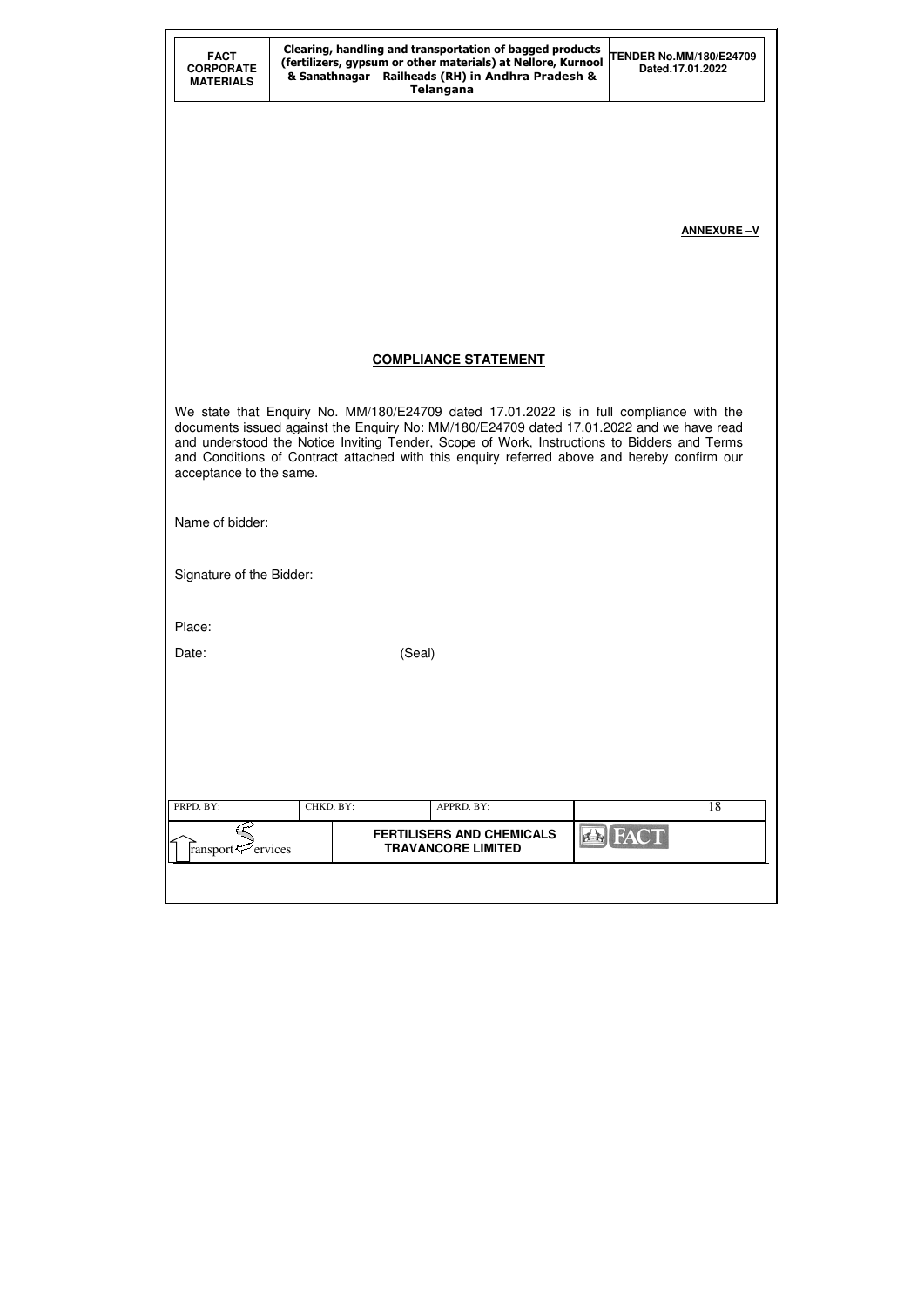| <b>FACT</b><br><b>CORPORATE</b><br><b>MATERIALS</b> |           |        | Clearing, handling and transportation of bagged products<br>(fertilizers, gypsum or other materials) at Nellore, Kurnool<br>& Sanathnagar Railheads (RH) in Andhra Pradesh &<br><b>Telangana</b>                                                                                                                                                                                  | <b>TENDER No.MM/180/E24709</b><br>Dated.17.01.2022 |
|-----------------------------------------------------|-----------|--------|-----------------------------------------------------------------------------------------------------------------------------------------------------------------------------------------------------------------------------------------------------------------------------------------------------------------------------------------------------------------------------------|----------------------------------------------------|
|                                                     |           |        |                                                                                                                                                                                                                                                                                                                                                                                   |                                                    |
|                                                     |           |        |                                                                                                                                                                                                                                                                                                                                                                                   |                                                    |
|                                                     |           |        |                                                                                                                                                                                                                                                                                                                                                                                   | <b>ANNEXURE-V</b>                                  |
|                                                     |           |        |                                                                                                                                                                                                                                                                                                                                                                                   |                                                    |
|                                                     |           |        |                                                                                                                                                                                                                                                                                                                                                                                   |                                                    |
|                                                     |           |        | <b>COMPLIANCE STATEMENT</b>                                                                                                                                                                                                                                                                                                                                                       |                                                    |
| acceptance to the same.                             |           |        | We state that Enquiry No. MM/180/E24709 dated 17.01.2022 is in full compliance with the<br>documents issued against the Enquiry No: MM/180/E24709 dated 17.01.2022 and we have read<br>and understood the Notice Inviting Tender, Scope of Work, Instructions to Bidders and Terms<br>and Conditions of Contract attached with this enquiry referred above and hereby confirm our |                                                    |
| Name of bidder:                                     |           |        |                                                                                                                                                                                                                                                                                                                                                                                   |                                                    |
| Signature of the Bidder:                            |           |        |                                                                                                                                                                                                                                                                                                                                                                                   |                                                    |
| Place:                                              |           |        |                                                                                                                                                                                                                                                                                                                                                                                   |                                                    |
| Date:                                               |           | (Seal) |                                                                                                                                                                                                                                                                                                                                                                                   |                                                    |
|                                                     |           |        |                                                                                                                                                                                                                                                                                                                                                                                   |                                                    |
|                                                     |           |        |                                                                                                                                                                                                                                                                                                                                                                                   |                                                    |
|                                                     |           |        |                                                                                                                                                                                                                                                                                                                                                                                   |                                                    |
| PRPD. BY:                                           |           |        |                                                                                                                                                                                                                                                                                                                                                                                   |                                                    |
|                                                     | CHKD. BY: |        | APPRD. BY:                                                                                                                                                                                                                                                                                                                                                                        | 18<br><b>A</b> FACT                                |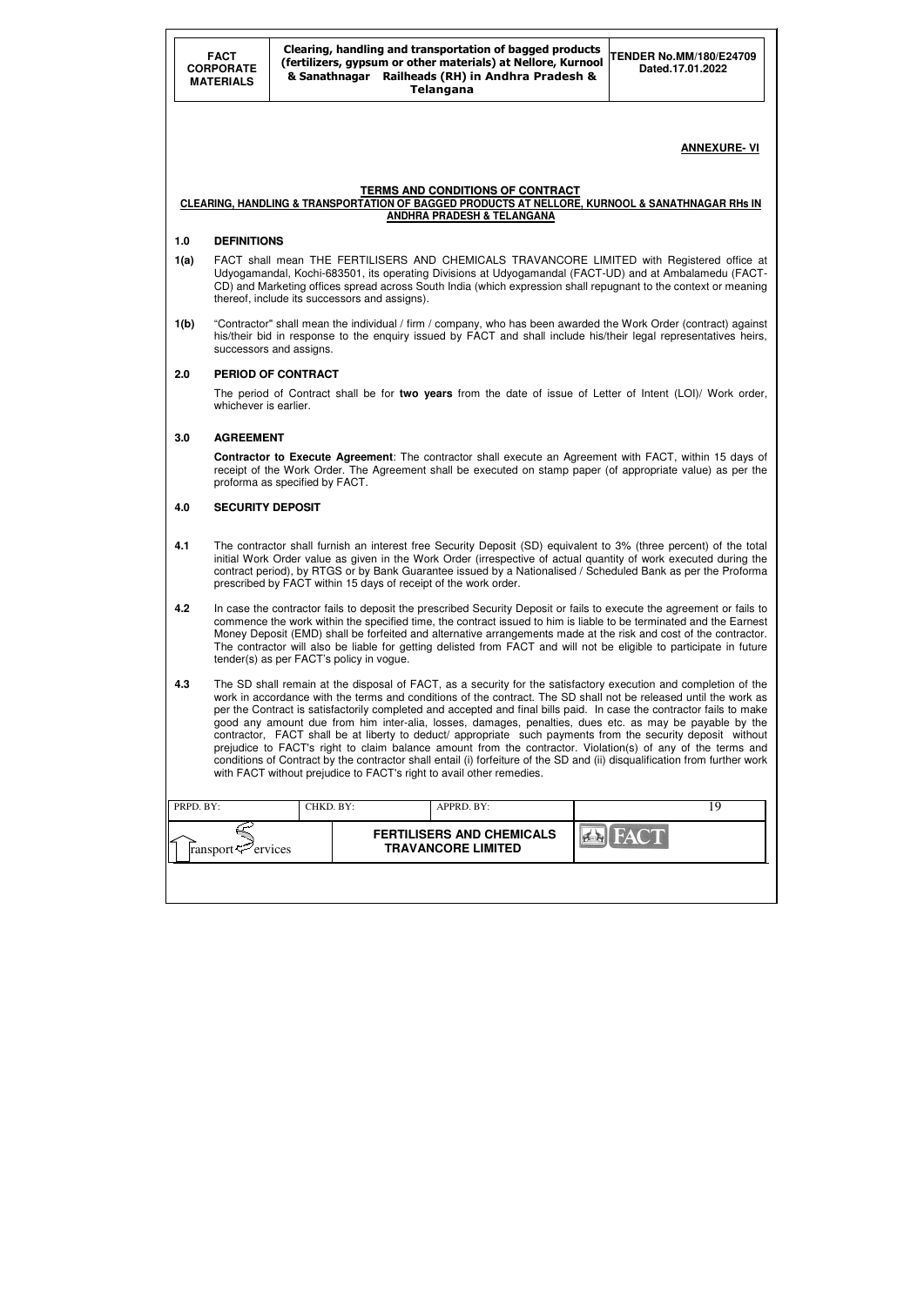|           | <b>FACT</b><br><b>CORPORATE</b><br><b>MATERIALS</b>                                                                                                                                                                                                                                                                                                                                                                                                                                                                                                                                                                                                                                                                                                                                                                                                                                                                                                    |                                |  | Clearing, handling and transportation of bagged products<br>(fertilizers, gypsum or other materials) at Nellore, Kurnool<br>& Sanathnagar Railheads (RH) in Andhra Pradesh &<br><b>Telangana</b> | <b>TENDER No.MM/180/E24709</b><br>Dated.17.01.2022                                                                                                                                                                                                                                                                                                                                                                                                                                     |  |  |  |  |
|-----------|--------------------------------------------------------------------------------------------------------------------------------------------------------------------------------------------------------------------------------------------------------------------------------------------------------------------------------------------------------------------------------------------------------------------------------------------------------------------------------------------------------------------------------------------------------------------------------------------------------------------------------------------------------------------------------------------------------------------------------------------------------------------------------------------------------------------------------------------------------------------------------------------------------------------------------------------------------|--------------------------------|--|--------------------------------------------------------------------------------------------------------------------------------------------------------------------------------------------------|----------------------------------------------------------------------------------------------------------------------------------------------------------------------------------------------------------------------------------------------------------------------------------------------------------------------------------------------------------------------------------------------------------------------------------------------------------------------------------------|--|--|--|--|
|           |                                                                                                                                                                                                                                                                                                                                                                                                                                                                                                                                                                                                                                                                                                                                                                                                                                                                                                                                                        |                                |  |                                                                                                                                                                                                  | <b>ANNEXURE-VI</b>                                                                                                                                                                                                                                                                                                                                                                                                                                                                     |  |  |  |  |
|           |                                                                                                                                                                                                                                                                                                                                                                                                                                                                                                                                                                                                                                                                                                                                                                                                                                                                                                                                                        |                                |  | <b>TERMS AND CONDITIONS OF CONTRACT</b><br><b>ANDHRA PRADESH &amp; TELANGANA</b>                                                                                                                 | CLEARING, HANDLING & TRANSPORTATION OF BAGGED PRODUCTS AT NELLORE, KURNOOL & SANATHNAGAR RHS IN                                                                                                                                                                                                                                                                                                                                                                                        |  |  |  |  |
| 1.0       | <b>DEFINITIONS</b>                                                                                                                                                                                                                                                                                                                                                                                                                                                                                                                                                                                                                                                                                                                                                                                                                                                                                                                                     |                                |  |                                                                                                                                                                                                  |                                                                                                                                                                                                                                                                                                                                                                                                                                                                                        |  |  |  |  |
| 1(a)      | FACT shall mean THE FERTILISERS AND CHEMICALS TRAVANCORE LIMITED with Registered office at<br>Udyogamandal, Kochi-683501, its operating Divisions at Udyogamandal (FACT-UD) and at Ambalamedu (FACT-<br>CD) and Marketing offices spread across South India (which expression shall repugnant to the context or meaning<br>thereof, include its successors and assigns).                                                                                                                                                                                                                                                                                                                                                                                                                                                                                                                                                                               |                                |  |                                                                                                                                                                                                  |                                                                                                                                                                                                                                                                                                                                                                                                                                                                                        |  |  |  |  |
| 1(b)      | "Contractor" shall mean the individual / firm / company, who has been awarded the Work Order (contract) against<br>his/their bid in response to the enquiry issued by FACT and shall include his/their legal representatives heirs,<br>successors and assigns.                                                                                                                                                                                                                                                                                                                                                                                                                                                                                                                                                                                                                                                                                         |                                |  |                                                                                                                                                                                                  |                                                                                                                                                                                                                                                                                                                                                                                                                                                                                        |  |  |  |  |
| 2.0       |                                                                                                                                                                                                                                                                                                                                                                                                                                                                                                                                                                                                                                                                                                                                                                                                                                                                                                                                                        | PERIOD OF CONTRACT             |  |                                                                                                                                                                                                  |                                                                                                                                                                                                                                                                                                                                                                                                                                                                                        |  |  |  |  |
|           | whichever is earlier.                                                                                                                                                                                                                                                                                                                                                                                                                                                                                                                                                                                                                                                                                                                                                                                                                                                                                                                                  |                                |  |                                                                                                                                                                                                  | The period of Contract shall be for two years from the date of issue of Letter of Intent (LOI)/ Work order,                                                                                                                                                                                                                                                                                                                                                                            |  |  |  |  |
| 3.0       | <b>AGREEMENT</b>                                                                                                                                                                                                                                                                                                                                                                                                                                                                                                                                                                                                                                                                                                                                                                                                                                                                                                                                       |                                |  |                                                                                                                                                                                                  |                                                                                                                                                                                                                                                                                                                                                                                                                                                                                        |  |  |  |  |
|           |                                                                                                                                                                                                                                                                                                                                                                                                                                                                                                                                                                                                                                                                                                                                                                                                                                                                                                                                                        | proforma as specified by FACT. |  |                                                                                                                                                                                                  | <b>Contractor to Execute Agreement:</b> The contractor shall execute an Agreement with FACT, within 15 days of<br>receipt of the Work Order. The Agreement shall be executed on stamp paper (of appropriate value) as per the                                                                                                                                                                                                                                                          |  |  |  |  |
| 4.0       | <b>SECURITY DEPOSIT</b>                                                                                                                                                                                                                                                                                                                                                                                                                                                                                                                                                                                                                                                                                                                                                                                                                                                                                                                                |                                |  |                                                                                                                                                                                                  |                                                                                                                                                                                                                                                                                                                                                                                                                                                                                        |  |  |  |  |
| 4.1       |                                                                                                                                                                                                                                                                                                                                                                                                                                                                                                                                                                                                                                                                                                                                                                                                                                                                                                                                                        |                                |  | prescribed by FACT within 15 days of receipt of the work order.                                                                                                                                  | The contractor shall furnish an interest free Security Deposit (SD) equivalent to 3% (three percent) of the total<br>initial Work Order value as given in the Work Order (irrespective of actual quantity of work executed during the<br>contract period), by RTGS or by Bank Guarantee issued by a Nationalised / Scheduled Bank as per the Proforma                                                                                                                                  |  |  |  |  |
| 4.2       |                                                                                                                                                                                                                                                                                                                                                                                                                                                                                                                                                                                                                                                                                                                                                                                                                                                                                                                                                        |                                |  |                                                                                                                                                                                                  | In case the contractor fails to deposit the prescribed Security Deposit or fails to execute the agreement or fails to<br>commence the work within the specified time, the contract issued to him is liable to be terminated and the Earnest<br>Money Deposit (EMD) shall be forfeited and alternative arrangements made at the risk and cost of the contractor.<br>The contractor will also be liable for getting delisted from FACT and will not be eligible to participate in future |  |  |  |  |
| 4.3       | tender(s) as per FACT's policy in vogue.<br>The SD shall remain at the disposal of FACT, as a security for the satisfactory execution and completion of the<br>work in accordance with the terms and conditions of the contract. The SD shall not be released until the work as<br>per the Contract is satisfactorily completed and accepted and final bills paid. In case the contractor fails to make<br>good any amount due from him inter-alia, losses, damages, penalties, dues etc. as may be payable by the<br>contractor, FACT shall be at liberty to deduct/ appropriate such payments from the security deposit without<br>prejudice to FACT's right to claim balance amount from the contractor. Violation(s) of any of the terms and<br>conditions of Contract by the contractor shall entail (i) forfeiture of the SD and (ii) disqualification from further work<br>with FACT without prejudice to FACT's right to avail other remedies. |                                |  |                                                                                                                                                                                                  |                                                                                                                                                                                                                                                                                                                                                                                                                                                                                        |  |  |  |  |
| PRPD. BY: |                                                                                                                                                                                                                                                                                                                                                                                                                                                                                                                                                                                                                                                                                                                                                                                                                                                                                                                                                        | CHKD. BY:                      |  | APPRD. BY:                                                                                                                                                                                       | 19                                                                                                                                                                                                                                                                                                                                                                                                                                                                                     |  |  |  |  |
|           | ransport                                                                                                                                                                                                                                                                                                                                                                                                                                                                                                                                                                                                                                                                                                                                                                                                                                                                                                                                               | ervices                        |  | <b>FERTILISERS AND CHEMICALS</b><br><b>TRAVANCORE LIMITED</b>                                                                                                                                    |                                                                                                                                                                                                                                                                                                                                                                                                                                                                                        |  |  |  |  |
|           |                                                                                                                                                                                                                                                                                                                                                                                                                                                                                                                                                                                                                                                                                                                                                                                                                                                                                                                                                        |                                |  |                                                                                                                                                                                                  |                                                                                                                                                                                                                                                                                                                                                                                                                                                                                        |  |  |  |  |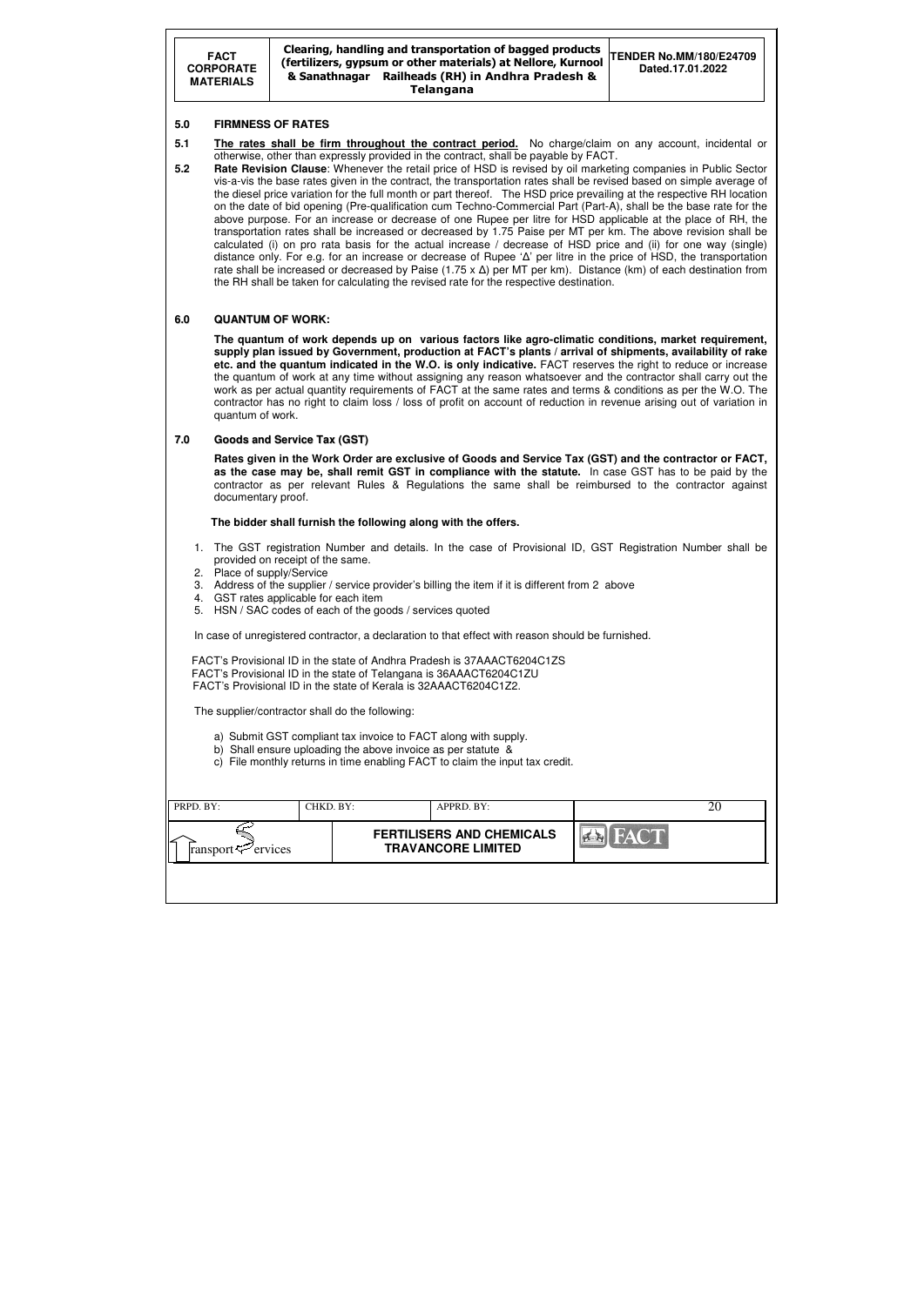#### Clearing, handling and transportation of bagged products (fertilizers, gypsum or other materials) at Nellore, Kurnool & Sanathnagar Railheads (RH) in Andhra Pradesh & Telangana **TENDER No.MM/180/E24709 Dated.17.01.2022**

| PRPD. BY:                      | CHKD. BY: | APPRD. BY:                                                    |      | 20 |
|--------------------------------|-----------|---------------------------------------------------------------|------|----|
| ransport $\mathcal{P}$ ervices |           | <b>FERTILISERS AND CHEMICALS</b><br><b>TRAVANCORE LIMITED</b> | FACT |    |
|                                |           |                                                               |      |    |

#### **5.0 FIRMNESS OF RATES**

- **5.1 The rates shall be firm throughout the contract period.** No charge/claim on any account, incidental or otherwise, other than expressly provided in the contract, shall be payable by FACT.
- **5.2 Rate Revision Clause**: Whenever the retail price of HSD is revised by oil marketing companies in Public Sector vis-a-vis the base rates given in the contract, the transportation rates shall be revised based on simple average of the diesel price variation for the full month or part thereof. The HSD price prevailing at the respective RH location on the date of bid opening (Pre-qualification cum Techno-Commercial Part (Part-A), shall be the base rate for the above purpose. For an increase or decrease of one Rupee per litre for HSD applicable at the place of RH, the transportation rates shall be increased or decreased by 1.75 Paise per MT per km. The above revision shall be calculated (i) on pro rata basis for the actual increase / decrease of HSD price and (ii) for one way (single) distance only. For e.g. for an increase or decrease of Rupee 'Δ' per litre in the price of HSD, the transportation rate shall be increased or decreased by Paise (1.75 x  $\Delta$ ) per MT per km). Distance (km) of each destination from the RH shall be taken for calculating the revised rate for the respective destination.

#### **6.0 QUANTUM OF WORK:**

 **The quantum of work depends up on various factors like agro-climatic conditions, market requirement, supply plan issued by Government, production at FACT's plants / arrival of shipments, availability of rake etc. and the quantum indicated in the W.O. is only indicative.** FACT reserves the right to reduce or increase the quantum of work at any time without assigning any reason whatsoever and the contractor shall carry out the work as per actual quantity requirements of FACT at the same rates and terms & conditions as per the W.O. The contractor has no right to claim loss / loss of profit on account of reduction in revenue arising out of variation in quantum of work.

#### **7.0 Goods and Service Tax (GST)**

 **Rates given in the Work Order are exclusive of Goods and Service Tax (GST) and the contractor or FACT, as the case may be, shall remit GST in compliance with the statute.** In case GST has to be paid by the contractor as per relevant Rules & Regulations the same shall be reimbursed to the contractor against documentary proof.

#### **The bidder shall furnish the following along with the offers.**

- 1. The GST registration Number and details. In the case of Provisional ID, GST Registration Number shall be provided on receipt of the same.
- 2. Place of supply/Service
- 3. Address of the supplier / service provider's billing the item if it is different from 2 above
- 4. GST rates applicable for each item
- 5. HSN / SAC codes of each of the goods / services quoted

In case of unregistered contractor, a declaration to that effect with reason should be furnished.

 FACT's Provisional ID in the state of Andhra Pradesh is 37AAACT6204C1ZS FACT's Provisional ID in the state of Telangana is 36AAACT6204C1ZU FACT's Provisional ID in the state of Kerala is 32AAACT6204C1Z2.

The supplier/contractor shall do the following:

- a) Submit GST compliant tax invoice to FACT along with supply.
- b) Shall ensure uploading the above invoice as per statute &
- c) File monthly returns in time enabling FACT to claim the input tax credit.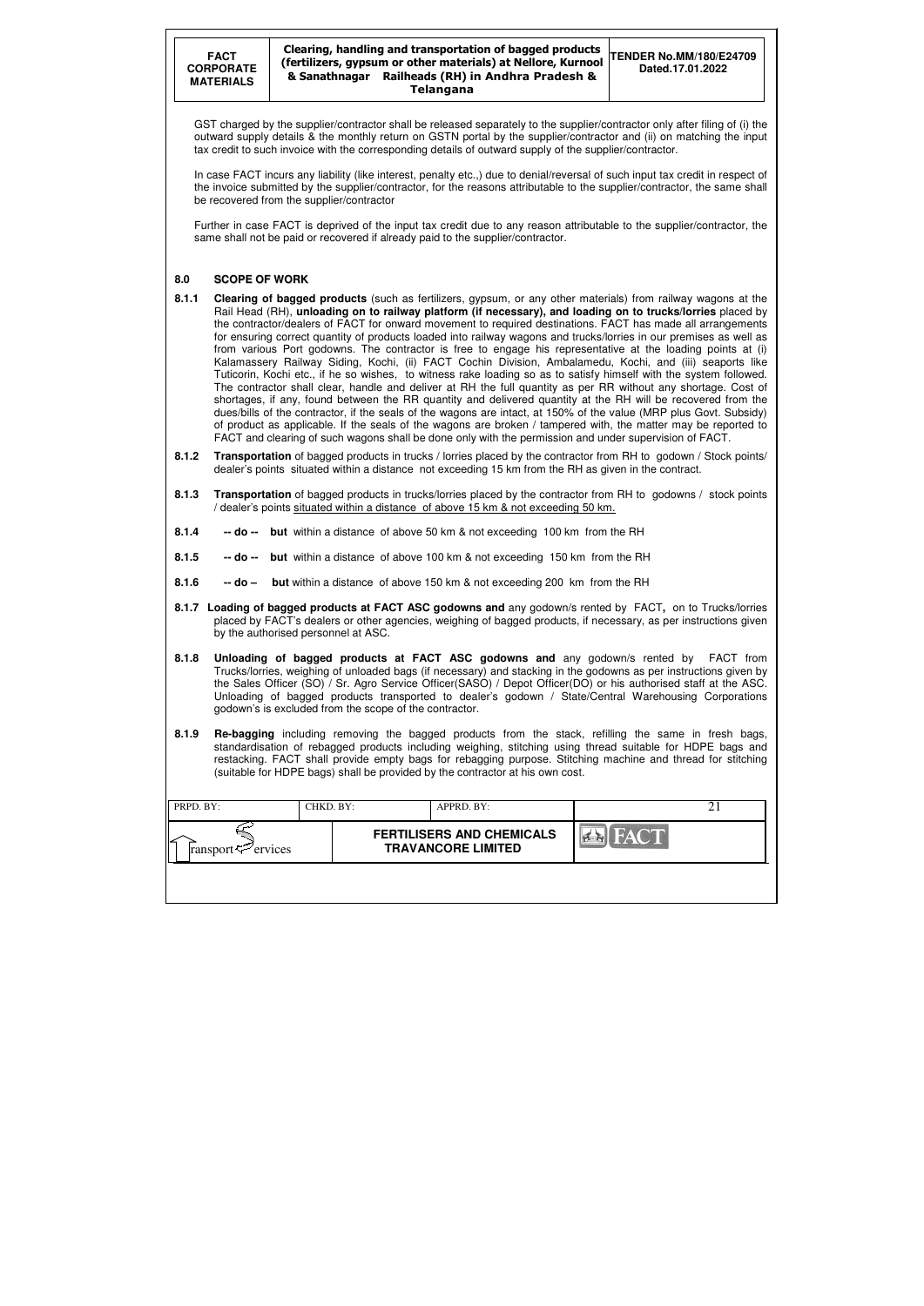#### Clearing, handling and transportation of bagged products (fertilizers, gypsum or other materials) at Nellore, Kurnool & Sanathnagar Railheads (RH) in Andhra Pradesh & Telangana **TENDER No.MM/180/E24709 Dated.17.01.2022**

| PRPD. BY:                  | CHKD. BY: | APPRD. BY:                                                    |             |  |
|----------------------------|-----------|---------------------------------------------------------------|-------------|--|
| ransport $\varphi$ ervices |           | <b>FERTILISERS AND CHEMICALS</b><br><b>TRAVANCORE LIMITED</b> | <b>FACT</b> |  |
|                            |           |                                                               |             |  |

GST charged by the supplier/contractor shall be released separately to the supplier/contractor only after filing of (i) the outward supply details & the monthly return on GSTN portal by the supplier/contractor and (ii) on matching the input tax credit to such invoice with the corresponding details of outward supply of the supplier/contractor.

In case FACT incurs any liability (like interest, penalty etc.,) due to denial/reversal of such input tax credit in respect of the invoice submitted by the supplier/contractor, for the reasons attributable to the supplier/contractor, the same shall be recovered from the supplier/contractor

Further in case FACT is deprived of the input tax credit due to any reason attributable to the supplier/contractor, the same shall not be paid or recovered if already paid to the supplier/contractor.

#### **8.0 SCOPE OF WORK**

- **8.1.1 Clearing of bagged products** (such as fertilizers, gypsum, or any other materials) from railway wagons at the Rail Head (RH), **unloading on to railway platform (if necessary), and loading on to trucks/lorries** placed by the contractor/dealers of FACT for onward movement to required destinations. FACT has made all arrangements for ensuring correct quantity of products loaded into railway wagons and trucks/lorries in our premises as well as from various Port godowns. The contractor is free to engage his representative at the loading points at (i) Kalamassery Railway Siding, Kochi, (ii) FACT Cochin Division, Ambalamedu, Kochi, and (iii) seaports like Tuticorin, Kochi etc., if he so wishes, to witness rake loading so as to satisfy himself with the system followed. The contractor shall clear, handle and deliver at RH the full quantity as per RR without any shortage. Cost of shortages, if any, found between the RR quantity and delivered quantity at the RH will be recovered from the dues/bills of the contractor, if the seals of the wagons are intact, at 150% of the value (MRP plus Govt. Subsidy) of product as applicable. If the seals of the wagons are broken / tampered with, the matter may be reported to FACT and clearing of such wagons shall be done only with the permission and under supervision of FACT.
- **8.1.2 Transportation** of bagged products in trucks / lorries placed by the contractor from RH to godown / Stock points/ dealer's points situated within a distance not exceeding 15 km from the RH as given in the contract.
- **8.1.3 Transportation** of bagged products in trucks/lorries placed by the contractor from RH to godowns / stock points / dealer's points situated within a distance of above 15 km & not exceeding 50 km.
- **8.1.4 -- do -- but** within a distance of above 50 km & not exceeding 100 km from the RH
- **8.1.5 -- do -- but** within a distance of above 100 km & not exceeding 150 km from the RH
- **8.1.6 -- do but** within a distance of above 150 km & not exceeding 200 km from the RH
- **8.1.7 Loading of bagged products at FACT ASC godowns and** any godown/s rented by FACT**,** on to Trucks/lorries placed by FACT's dealers or other agencies, weighing of bagged products, if necessary, as per instructions given by the authorised personnel at ASC.
- **8.1.8 Unloading of bagged products at FACT ASC godowns and** any godown/s rented by FACT from Trucks/lorries, weighing of unloaded bags (if necessary) and stacking in the godowns as per instructions given by the Sales Officer (SO) / Sr. Agro Service Officer(SASO) / Depot Officer(DO) or his authorised staff at the ASC. Unloading of bagged products transported to dealer's godown / State/Central Warehousing Corporations godown's is excluded from the scope of the contractor.
- **8.1.9 Re-bagging** including removing the bagged products from the stack, refilling the same in fresh bags, standardisation of rebagged products including weighing, stitching using thread suitable for HDPE bags and restacking. FACT shall provide empty bags for rebagging purpose. Stitching machine and thread for stitching (suitable for HDPE bags) shall be provided by the contractor at his own cost.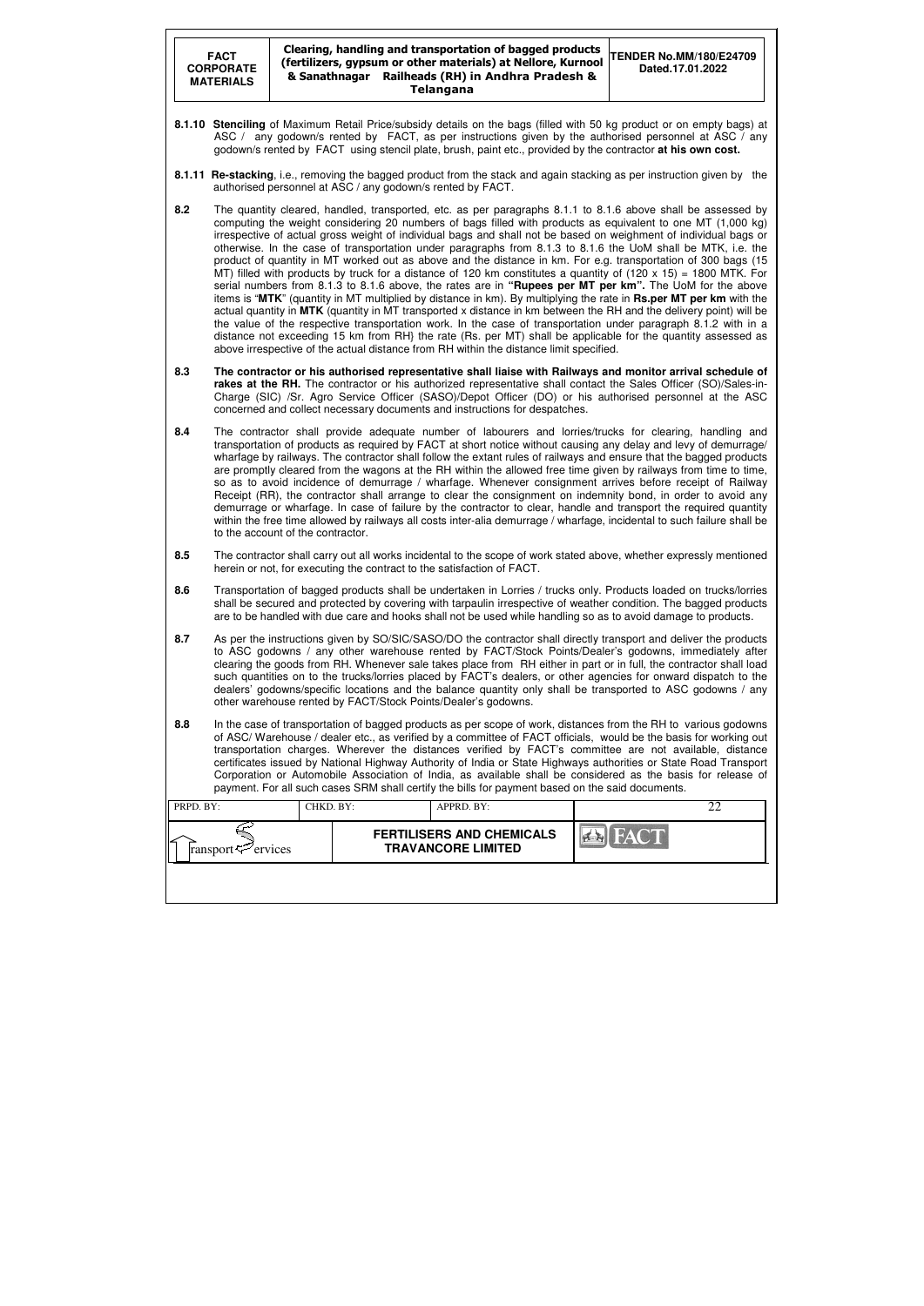| <b>FACT</b><br><b>CORPORATE</b><br><b>MATERIALS</b> |                                                                                                                                                                                                                                                                                                                                                                                                                                                                                                                                                                                                                                                                                                                                                                                                                                                                                                                                                                                                                                                                                                                                                                                                                                                                                                                                                                                                |           | Clearing, handling and transportation of bagged products<br>(fertilizers, gypsum or other materials) at Nellore, Kurnool<br>& Sanathnagar Railheads (RH) in Andhra Pradesh &<br><b>Telangana</b>                                                                                                                                                                                                                                                                                                                                                                                                                                                                                       | <b>TENDER No.MM/180/E24709</b><br>Dated.17.01.2022 |  |  |  |  |
|-----------------------------------------------------|------------------------------------------------------------------------------------------------------------------------------------------------------------------------------------------------------------------------------------------------------------------------------------------------------------------------------------------------------------------------------------------------------------------------------------------------------------------------------------------------------------------------------------------------------------------------------------------------------------------------------------------------------------------------------------------------------------------------------------------------------------------------------------------------------------------------------------------------------------------------------------------------------------------------------------------------------------------------------------------------------------------------------------------------------------------------------------------------------------------------------------------------------------------------------------------------------------------------------------------------------------------------------------------------------------------------------------------------------------------------------------------------|-----------|----------------------------------------------------------------------------------------------------------------------------------------------------------------------------------------------------------------------------------------------------------------------------------------------------------------------------------------------------------------------------------------------------------------------------------------------------------------------------------------------------------------------------------------------------------------------------------------------------------------------------------------------------------------------------------------|----------------------------------------------------|--|--|--|--|
|                                                     |                                                                                                                                                                                                                                                                                                                                                                                                                                                                                                                                                                                                                                                                                                                                                                                                                                                                                                                                                                                                                                                                                                                                                                                                                                                                                                                                                                                                |           | 8.1.10 Stenciling of Maximum Retail Price/subsidy details on the bags (filled with 50 kg product or on empty bags) at<br>ASC / any godown/s rented by FACT, as per instructions given by the authorised personnel at ASC / any<br>godown/s rented by FACT using stencil plate, brush, paint etc., provided by the contractor at his own cost.                                                                                                                                                                                                                                                                                                                                          |                                                    |  |  |  |  |
|                                                     |                                                                                                                                                                                                                                                                                                                                                                                                                                                                                                                                                                                                                                                                                                                                                                                                                                                                                                                                                                                                                                                                                                                                                                                                                                                                                                                                                                                                |           | 8.1.11 Re-stacking, i.e., removing the bagged product from the stack and again stacking as per instruction given by the<br>authorised personnel at ASC / any godown/s rented by FACT.                                                                                                                                                                                                                                                                                                                                                                                                                                                                                                  |                                                    |  |  |  |  |
| 8.2                                                 | The quantity cleared, handled, transported, etc. as per paragraphs 8.1.1 to 8.1.6 above shall be assessed by<br>computing the weight considering 20 numbers of bags filled with products as equivalent to one MT (1,000 kg)<br>irrespective of actual gross weight of individual bags and shall not be based on weighment of individual bags or<br>otherwise. In the case of transportation under paragraphs from 8.1.3 to 8.1.6 the UoM shall be MTK, i.e. the<br>product of quantity in MT worked out as above and the distance in km. For e.g. transportation of 300 bags (15<br>MT) filled with products by truck for a distance of 120 km constitutes a quantity of $(120 \times 15) = 1800$ MTK. For<br>serial numbers from 8.1.3 to 8.1.6 above, the rates are in "Rupees per MT per km". The UoM for the above<br>items is "MTK" (quantity in MT multiplied by distance in km). By multiplying the rate in Rs.per MT per km with the<br>actual quantity in MTK (quantity in MT transported x distance in km between the RH and the delivery point) will be<br>the value of the respective transportation work. In the case of transportation under paragraph 8.1.2 with in a<br>distance not exceeding 15 km from RH} the rate (Rs. per MT) shall be applicable for the quantity assessed as<br>above irrespective of the actual distance from RH within the distance limit specified. |           |                                                                                                                                                                                                                                                                                                                                                                                                                                                                                                                                                                                                                                                                                        |                                                    |  |  |  |  |
| 8.3                                                 | The contractor or his authorised representative shall liaise with Railways and monitor arrival schedule of<br>rakes at the RH. The contractor or his authorized representative shall contact the Sales Officer (SO)/Sales-in-<br>Charge (SIC) /Sr. Agro Service Officer (SASO)/Depot Officer (DO) or his authorised personnel at the ASC<br>concerned and collect necessary documents and instructions for despatches.                                                                                                                                                                                                                                                                                                                                                                                                                                                                                                                                                                                                                                                                                                                                                                                                                                                                                                                                                                         |           |                                                                                                                                                                                                                                                                                                                                                                                                                                                                                                                                                                                                                                                                                        |                                                    |  |  |  |  |
| 8.4                                                 | The contractor shall provide adequate number of labourers and lorries/trucks for clearing, handling and<br>transportation of products as required by FACT at short notice without causing any delay and levy of demurrage/<br>wharfage by railways. The contractor shall follow the extant rules of railways and ensure that the bagged products<br>are promptly cleared from the wagons at the RH within the allowed free time given by railways from time to time,<br>so as to avoid incidence of demurrage / wharfage. Whenever consignment arrives before receipt of Railway<br>Receipt (RR), the contractor shall arrange to clear the consignment on indemnity bond, in order to avoid any<br>demurrage or wharfage. In case of failure by the contractor to clear, handle and transport the required quantity<br>within the free time allowed by railways all costs inter-alia demurrage / wharfage, incidental to such failure shall be<br>to the account of the contractor.                                                                                                                                                                                                                                                                                                                                                                                                           |           |                                                                                                                                                                                                                                                                                                                                                                                                                                                                                                                                                                                                                                                                                        |                                                    |  |  |  |  |
| 8.5                                                 |                                                                                                                                                                                                                                                                                                                                                                                                                                                                                                                                                                                                                                                                                                                                                                                                                                                                                                                                                                                                                                                                                                                                                                                                                                                                                                                                                                                                |           | The contractor shall carry out all works incidental to the scope of work stated above, whether expressly mentioned<br>herein or not, for executing the contract to the satisfaction of FACT.                                                                                                                                                                                                                                                                                                                                                                                                                                                                                           |                                                    |  |  |  |  |
| 8.6                                                 |                                                                                                                                                                                                                                                                                                                                                                                                                                                                                                                                                                                                                                                                                                                                                                                                                                                                                                                                                                                                                                                                                                                                                                                                                                                                                                                                                                                                |           | Transportation of bagged products shall be undertaken in Lorries / trucks only. Products loaded on trucks/lorries<br>shall be secured and protected by covering with tarpaulin irrespective of weather condition. The bagged products<br>are to be handled with due care and hooks shall not be used while handling so as to avoid damage to products.                                                                                                                                                                                                                                                                                                                                 |                                                    |  |  |  |  |
| 8.7                                                 | As per the instructions given by SO/SIC/SASO/DO the contractor shall directly transport and deliver the products<br>to ASC godowns / any other warehouse rented by FACT/Stock Points/Dealer's godowns, immediately after<br>clearing the goods from RH. Whenever sale takes place from RH either in part or in full, the contractor shall load<br>such quantities on to the trucks/lorries placed by FACT's dealers, or other agencies for onward dispatch to the<br>dealers' godowns/specific locations and the balance quantity only shall be transported to ASC godowns / any<br>other warehouse rented by FACT/Stock Points/Dealer's godowns.                                                                                                                                                                                                                                                                                                                                                                                                                                                                                                                                                                                                                                                                                                                                              |           |                                                                                                                                                                                                                                                                                                                                                                                                                                                                                                                                                                                                                                                                                        |                                                    |  |  |  |  |
| 8.8                                                 |                                                                                                                                                                                                                                                                                                                                                                                                                                                                                                                                                                                                                                                                                                                                                                                                                                                                                                                                                                                                                                                                                                                                                                                                                                                                                                                                                                                                |           | In the case of transportation of bagged products as per scope of work, distances from the RH to various godowns<br>of ASC/Warehouse / dealer etc., as verified by a committee of FACT officials, would be the basis for working out<br>transportation charges. Wherever the distances verified by FACT's committee are not available, distance<br>certificates issued by National Highway Authority of India or State Highways authorities or State Road Transport<br>Corporation or Automobile Association of India, as available shall be considered as the basis for release of<br>payment. For all such cases SRM shall certify the bills for payment based on the said documents. |                                                    |  |  |  |  |
| PRPD. BY:                                           |                                                                                                                                                                                                                                                                                                                                                                                                                                                                                                                                                                                                                                                                                                                                                                                                                                                                                                                                                                                                                                                                                                                                                                                                                                                                                                                                                                                                | CHKD. BY: | APPRD. BY:                                                                                                                                                                                                                                                                                                                                                                                                                                                                                                                                                                                                                                                                             | 22                                                 |  |  |  |  |
|                                                     |                                                                                                                                                                                                                                                                                                                                                                                                                                                                                                                                                                                                                                                                                                                                                                                                                                                                                                                                                                                                                                                                                                                                                                                                                                                                                                                                                                                                |           | <b>FERTILISERS AND CHEMICALS</b>                                                                                                                                                                                                                                                                                                                                                                                                                                                                                                                                                                                                                                                       |                                                    |  |  |  |  |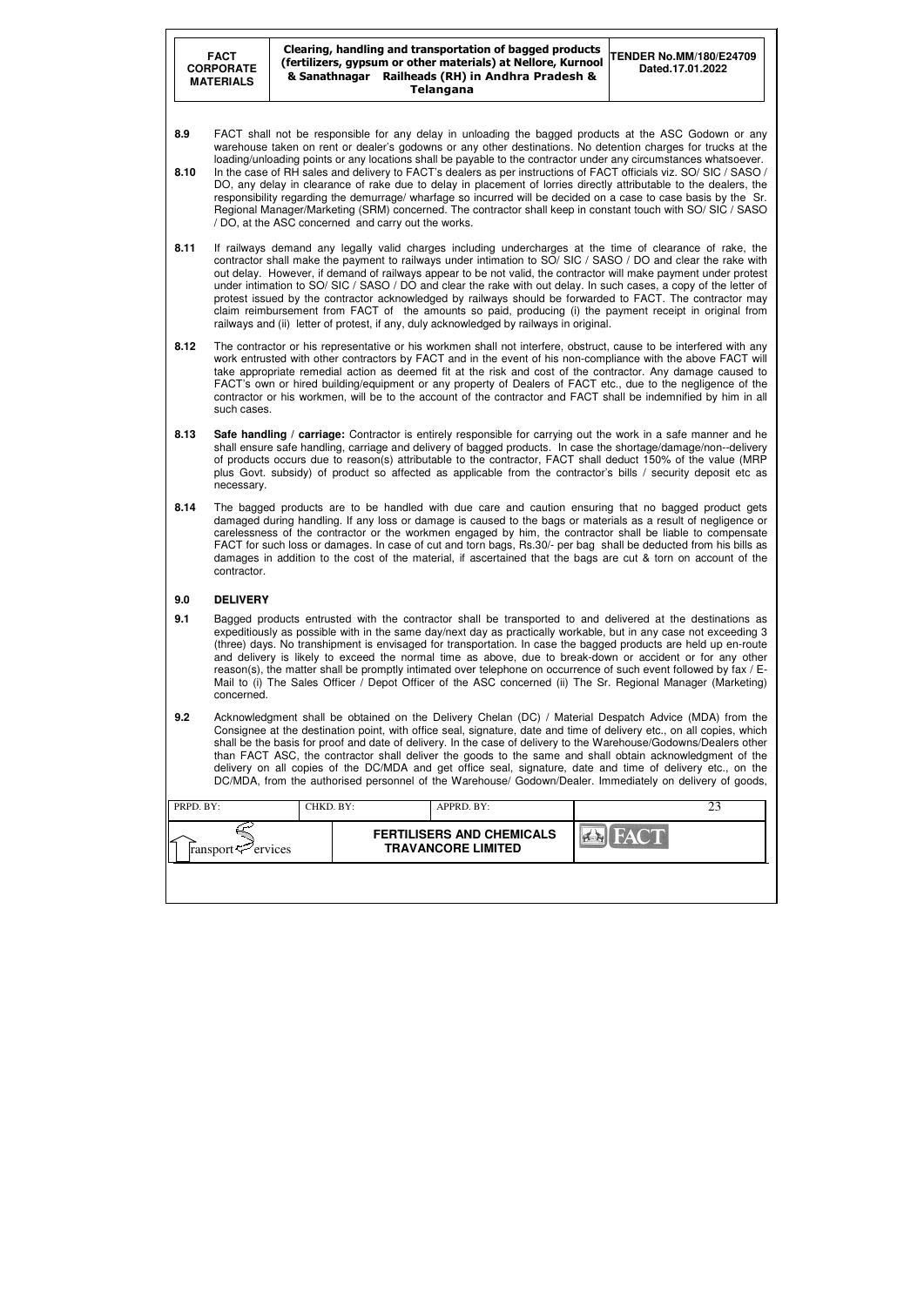#### Clearing, handling and transportation of bagged products (fertilizers, gypsum or other materials) at Nellore, Kurnool & Sanathnagar Railheads (RH) in Andhra Pradesh & Telangana

| PRPD. BY:                           | CHKD. BY: | APPRD. BY:                                                    |             |  |
|-------------------------------------|-----------|---------------------------------------------------------------|-------------|--|
| ∽<br>ransport $\mathcal{P}$ ervices |           | <b>FERTILISERS AND CHEMICALS</b><br><b>TRAVANCORE LIMITED</b> | <b>FACT</b> |  |
|                                     |           |                                                               |             |  |

- **TENDER No.MM/180/E24709 Dated.17.01.2022**
- **8.9** FACT shall not be responsible for any delay in unloading the bagged products at the ASC Godown or any warehouse taken on rent or dealer's godowns or any other destinations. No detention charges for trucks at the loading/unloading points or any locations shall be payable to the contractor under any circumstances whatsoever.
- **8.10** In the case of RH sales and delivery to FACT's dealers as per instructions of FACT officials viz. SO/ SIC / SASO / DO, any delay in clearance of rake due to delay in placement of lorries directly attributable to the dealers, the responsibility regarding the demurrage/ wharfage so incurred will be decided on a case to case basis by the Sr. Regional Manager/Marketing (SRM) concerned. The contractor shall keep in constant touch with SO/ SIC / SASO / DO, at the ASC concerned and carry out the works.
- **8.11** If railways demand any legally valid charges including undercharges at the time of clearance of rake, the contractor shall make the payment to railways under intimation to SO/ SIC / SASO / DO and clear the rake with out delay. However, if demand of railways appear to be not valid, the contractor will make payment under protest under intimation to SO/ SIC / SASO / DO and clear the rake with out delay. In such cases, a copy of the letter of protest issued by the contractor acknowledged by railways should be forwarded to FACT. The contractor may claim reimbursement from FACT of the amounts so paid, producing (i) the payment receipt in original from railways and (ii) letter of protest, if any, duly acknowledged by railways in original.
- **8.12** The contractor or his representative or his workmen shall not interfere, obstruct, cause to be interfered with any work entrusted with other contractors by FACT and in the event of his non-compliance with the above FACT will take appropriate remedial action as deemed fit at the risk and cost of the contractor. Any damage caused to FACT's own or hired building/equipment or any property of Dealers of FACT etc., due to the negligence of the contractor or his workmen, will be to the account of the contractor and FACT shall be indemnified by him in all such cases.
- **8.13 Safe handling / carriage:** Contractor is entirely responsible for carrying out the work in a safe manner and he shall ensure safe handling, carriage and delivery of bagged products. In case the shortage/damage/non--delivery of products occurs due to reason(s) attributable to the contractor, FACT shall deduct 150% of the value (MRP plus Govt. subsidy) of product so affected as applicable from the contractor's bills / security deposit etc as necessary.
- **8.14** The bagged products are to be handled with due care and caution ensuring that no bagged product gets damaged during handling. If any loss or damage is caused to the bags or materials as a result of negligence or carelessness of the contractor or the workmen engaged by him, the contractor shall be liable to compensate FACT for such loss or damages. In case of cut and torn bags, Rs.30/- per bag shall be deducted from his bills as damages in addition to the cost of the material, if ascertained that the bags are cut & torn on account of the contractor.

## **9.0 DELIVERY**

- **9.1** Bagged products entrusted with the contractor shall be transported to and delivered at the destinations as expeditiously as possible with in the same day/next day as practically workable, but in any case not exceeding 3 (three) days. No transhipment is envisaged for transportation. In case the bagged products are held up en-route and delivery is likely to exceed the normal time as above, due to break-down or accident or for any other reason(s), the matter shall be promptly intimated over telephone on occurrence of such event followed by fax / E-Mail to (i) The Sales Officer / Depot Officer of the ASC concerned (ii) The Sr. Regional Manager (Marketing) concerned.
- **9.2** Acknowledgment shall be obtained on the Delivery Chelan (DC) / Material Despatch Advice (MDA) from the Consignee at the destination point, with office seal, signature, date and time of delivery etc., on all copies, which shall be the basis for proof and date of delivery. In the case of delivery to the Warehouse/Godowns/Dealers other than FACT ASC, the contractor shall deliver the goods to the same and shall obtain acknowledgment of the delivery on all copies of the DC/MDA and get office seal, signature, date and time of delivery etc., on the DC/MDA, from the authorised personnel of the Warehouse/ Godown/Dealer. Immediately on delivery of goods,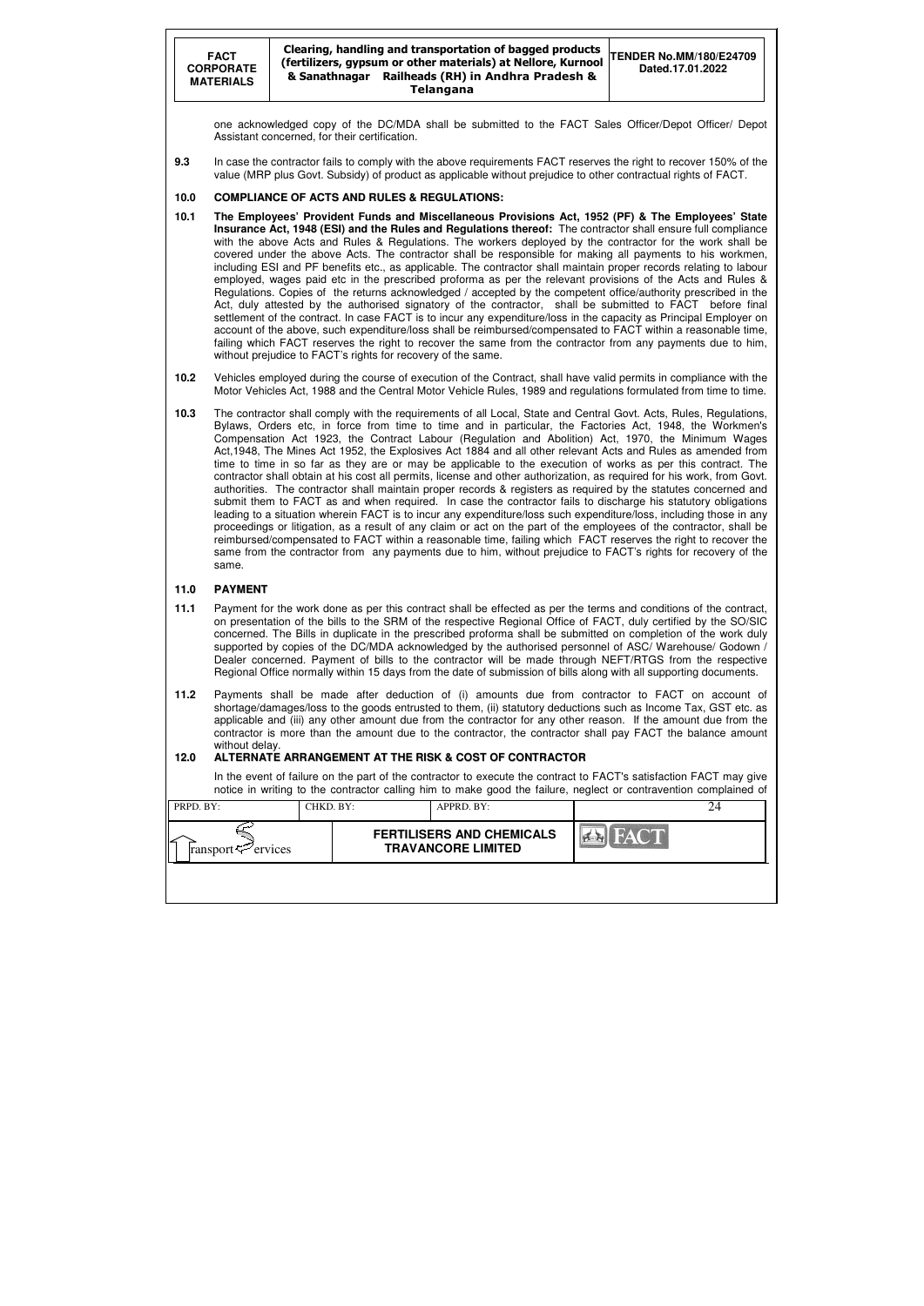#### **FACT CORPORATE MATERIALS**  Clearing, handling and transportation of bagged products (fertilizers, gypsum or other materials) at Nellore, Kurnool & Sanathnagar Railheads (RH) in Andhra Pradesh & Telangana **TENDER No.MM/180/E24709 Dated.17.01.2022**

| PRPD. BY:                           | CHKD. BY: | APPRD. BY:                                                    |      | 24 |
|-------------------------------------|-----------|---------------------------------------------------------------|------|----|
| ∠<br>ransport $\mathcal{F}$ ervices |           | <b>FERTILISERS AND CHEMICALS</b><br><b>TRAVANCORE LIMITED</b> | FACT |    |
|                                     |           |                                                               |      |    |

one acknowledged copy of the DC/MDA shall be submitted to the FACT Sales Officer/Depot Officer/ Depot Assistant concerned, for their certification.

**9.3** In case the contractor fails to comply with the above requirements FACT reserves the right to recover 150% of the value (MRP plus Govt. Subsidy) of product as applicable without prejudice to other contractual rights of FACT.

#### **10.0 COMPLIANCE OF ACTS AND RULES & REGULATIONS:**

- **10.1 The Employees' Provident Funds and Miscellaneous Provisions Act, 1952 (PF) & The Employees' State Insurance Act, 1948 (ESI) and the Rules and Regulations thereof:** The contractor shall ensure full compliance with the above Acts and Rules & Regulations. The workers deployed by the contractor for the work shall be covered under the above Acts. The contractor shall be responsible for making all payments to his workmen, including ESI and PF benefits etc., as applicable. The contractor shall maintain proper records relating to labour employed, wages paid etc in the prescribed proforma as per the relevant provisions of the Acts and Rules & Regulations. Copies of the returns acknowledged / accepted by the competent office/authority prescribed in the Act, duly attested by the authorised signatory of the contractor, shall be submitted to FACT before final settlement of the contract. In case FACT is to incur any expenditure/loss in the capacity as Principal Employer on account of the above, such expenditure/loss shall be reimbursed/compensated to FACT within a reasonable time, failing which FACT reserves the right to recover the same from the contractor from any payments due to him, without prejudice to FACT's rights for recovery of the same.
- **10.2** Vehicles employed during the course of execution of the Contract, shall have valid permits in compliance with the Motor Vehicles Act, 1988 and the Central Motor Vehicle Rules, 1989 and regulations formulated from time to time.
- **10.3** The contractor shall comply with the requirements of all Local, State and Central Govt. Acts, Rules, Regulations, Bylaws, Orders etc, in force from time to time and in particular, the Factories Act, 1948, the Workmen's Compensation Act 1923, the Contract Labour (Regulation and Abolition) Act, 1970, the Minimum Wages Act,1948, The Mines Act 1952, the Explosives Act 1884 and all other relevant Acts and Rules as amended from time to time in so far as they are or may be applicable to the execution of works as per this contract. The contractor shall obtain at his cost all permits, license and other authorization, as required for his work, from Govt. authorities. The contractor shall maintain proper records & registers as required by the statutes concerned and submit them to FACT as and when required. In case the contractor fails to discharge his statutory obligations leading to a situation wherein FACT is to incur any expenditure/loss such expenditure/loss, including those in any proceedings or litigation, as a result of any claim or act on the part of the employees of the contractor, shall be reimbursed/compensated to FACT within a reasonable time, failing which FACT reserves the right to recover the same from the contractor from any payments due to him, without prejudice to FACT's rights for recovery of the same.

In the event of failure on the part of the contractor to execute the contract to FACT's satisfaction FACT may give notice in writing to the contractor calling him to make good the failure, neglect or contravention complained of

#### **11.0 PAYMENT**

- **11.1** Payment for the work done as per this contract shall be effected as per the terms and conditions of the contract, on presentation of the bills to the SRM of the respective Regional Office of FACT, duly certified by the SO/SIC concerned. The Bills in duplicate in the prescribed proforma shall be submitted on completion of the work duly supported by copies of the DC/MDA acknowledged by the authorised personnel of ASC/ Warehouse/ Godown / Dealer concerned. Payment of bills to the contractor will be made through NEFT/RTGS from the respective Regional Office normally within 15 days from the date of submission of bills along with all supporting documents.
- **11.2** Payments shall be made after deduction of (i) amounts due from contractor to FACT on account of shortage/damages/loss to the goods entrusted to them, (ii) statutory deductions such as Income Tax, GST etc. as applicable and (iii) any other amount due from the contractor for any other reason. If the amount due from the contractor is more than the amount due to the contractor, the contractor shall pay FACT the balance amount without delay.

#### **12.0 ALTERNATE ARRANGEMENT AT THE RISK & COST OF CONTRACTOR**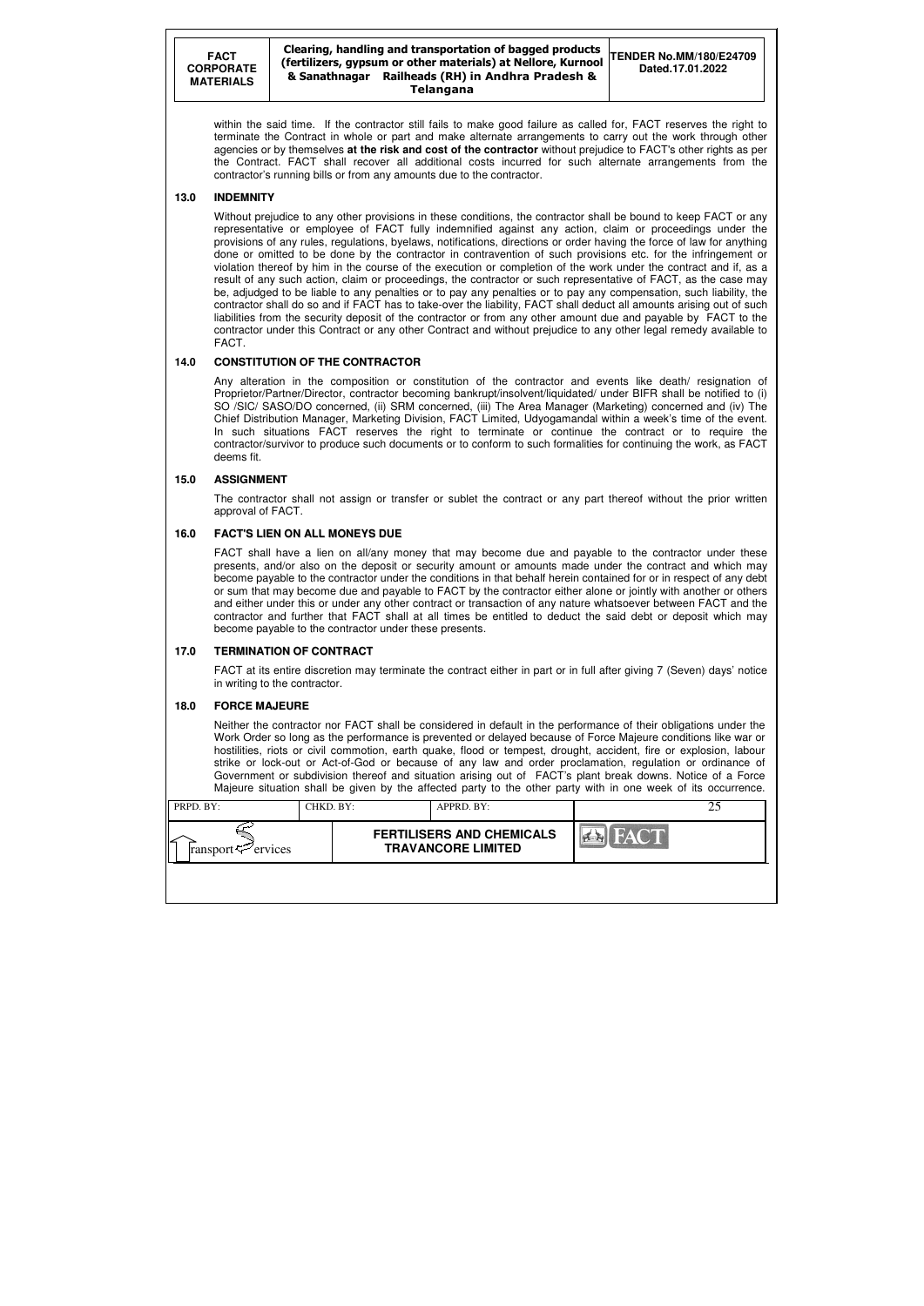#### Clearing, handling and transportation of bagged products (fertilizers, gypsum or other materials) at Nellore, Kurnool & Sanathnagar Railheads (RH) in Andhra Pradesh & Telangana

| PRPD. BY:                  | CHKD. BY: | APPRD. BY:                                                    |             |  |
|----------------------------|-----------|---------------------------------------------------------------|-------------|--|
| ransport $\approx$ ervices |           | <b>FERTILISERS AND CHEMICALS</b><br><b>TRAVANCORE LIMITED</b> | <b>FACT</b> |  |
|                            |           |                                                               |             |  |

within the said time. If the contractor still fails to make good failure as called for, FACT reserves the right to terminate the Contract in whole or part and make alternate arrangements to carry out the work through other agencies or by themselves **at the risk and cost of the contractor** without prejudice to FACT's other rights as per the Contract. FACT shall recover all additional costs incurred for such alternate arrangements from the contractor's running bills or from any amounts due to the contractor.

#### **13.0 INDEMNITY**

Without prejudice to any other provisions in these conditions, the contractor shall be bound to keep FACT or any representative or employee of FACT fully indemnified against any action, claim or proceedings under the provisions of any rules, regulations, byelaws, notifications, directions or order having the force of law for anything done or omitted to be done by the contractor in contravention of such provisions etc. for the infringement or violation thereof by him in the course of the execution or completion of the work under the contract and if, as a result of any such action, claim or proceedings, the contractor or such representative of FACT, as the case may be, adjudged to be liable to any penalties or to pay any penalties or to pay any compensation, such liability, the contractor shall do so and if FACT has to take-over the liability, FACT shall deduct all amounts arising out of such liabilities from the security deposit of the contractor or from any other amount due and payable by FACT to the contractor under this Contract or any other Contract and without prejudice to any other legal remedy available to FACT.

#### **14.0 CONSTITUTION OF THE CONTRACTOR**

Any alteration in the composition or constitution of the contractor and events like death/ resignation of Proprietor/Partner/Director, contractor becoming bankrupt/insolvent/liquidated/ under BIFR shall be notified to (i) SO /SIC/ SASO/DO concerned, (ii) SRM concerned, (iii) The Area Manager (Marketing) concerned and (iv) The Chief Distribution Manager, Marketing Division, FACT Limited, Udyogamandal within a week's time of the event. In such situations FACT reserves the right to terminate or continue the contract or to require the contractor/survivor to produce such documents or to conform to such formalities for continuing the work, as FACT deems fit.

#### **15.0 ASSIGNMENT**

 The contractor shall not assign or transfer or sublet the contract or any part thereof without the prior written approval of FACT.

#### **16.0 FACT'S LIEN ON ALL MONEYS DUE**

 FACT shall have a lien on all/any money that may become due and payable to the contractor under these presents, and/or also on the deposit or security amount or amounts made under the contract and which may become payable to the contractor under the conditions in that behalf herein contained for or in respect of any debt or sum that may become due and payable to FACT by the contractor either alone or jointly with another or others and either under this or under any other contract or transaction of any nature whatsoever between FACT and the contractor and further that FACT shall at all times be entitled to deduct the said debt or deposit which may become payable to the contractor under these presents.

#### **17.0 TERMINATION OF CONTRACT**

FACT at its entire discretion may terminate the contract either in part or in full after giving 7 (Seven) days' notice in writing to the contractor.

#### **18.0 FORCE MAJEURE**

Neither the contractor nor FACT shall be considered in default in the performance of their obligations under the Work Order so long as the performance is prevented or delayed because of Force Majeure conditions like war or hostilities, riots or civil commotion, earth quake, flood or tempest, drought, accident, fire or explosion, labour strike or lock-out or Act-of-God or because of any law and order proclamation, regulation or ordinance of Government or subdivision thereof and situation arising out of FACT's plant break downs. Notice of a Force Majeure situation shall be given by the affected party to the other party with in one week of its occurrence.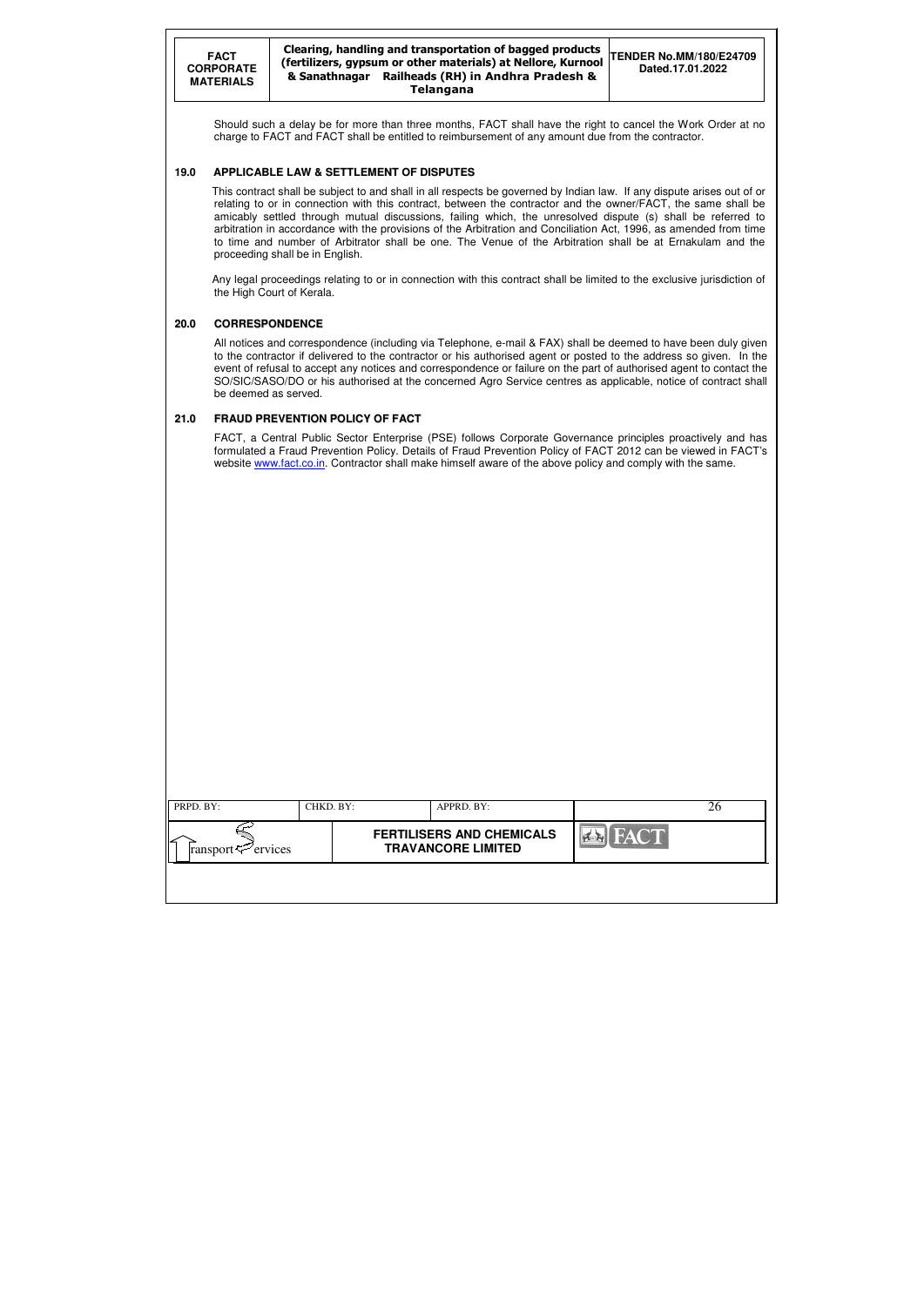| PRPD. BY:                                         | CHKD. BY: |  | APPRD. BY:                                                    |                | 26 |
|---------------------------------------------------|-----------|--|---------------------------------------------------------------|----------------|----|
| $\Gamma$ ransport $\epsilon$ <sup>-</sup> ervices |           |  | <b>FERTILISERS AND CHEMICALS</b><br><b>TRAVANCORE LIMITED</b> | <b>EX</b> FACT |    |
|                                                   |           |  |                                                               |                |    |

Should such a delay be for more than three months, FACT shall have the right to cancel the Work Order at no charge to FACT and FACT shall be entitled to reimbursement of any amount due from the contractor.

#### **19.0 APPLICABLE LAW & SETTLEMENT OF DISPUTES**

 This contract shall be subject to and shall in all respects be governed by Indian law. If any dispute arises out of or relating to or in connection with this contract, between the contractor and the owner/FACT, the same shall be amicably settled through mutual discussions, failing which, the unresolved dispute (s) shall be referred to arbitration in accordance with the provisions of the Arbitration and Conciliation Act, 1996, as amended from time to time and number of Arbitrator shall be one. The Venue of the Arbitration shall be at Ernakulam and the proceeding shall be in English.

FACT, a Central Public Sector Enterprise (PSE) follows Corporate Governance principles proactively and has formulated a Fraud Prevention Policy. Details of Fraud Prevention Policy of FACT 2012 can be viewed in FACT's website www.fact.co.in. Contractor shall make himself aware of the above policy and comply with the same.

 Any legal proceedings relating to or in connection with this contract shall be limited to the exclusive jurisdiction of the High Court of Kerala.

### **20.0 CORRESPONDENCE**

 All notices and correspondence (including via Telephone, e-mail & FAX) shall be deemed to have been duly given to the contractor if delivered to the contractor or his authorised agent or posted to the address so given. In the event of refusal to accept any notices and correspondence or failure on the part of authorised agent to contact the SO/SIC/SASO/DO or his authorised at the concerned Agro Service centres as applicable, notice of contract shall be deemed as served.

### **21.0 FRAUD PREVENTION POLICY OF FACT**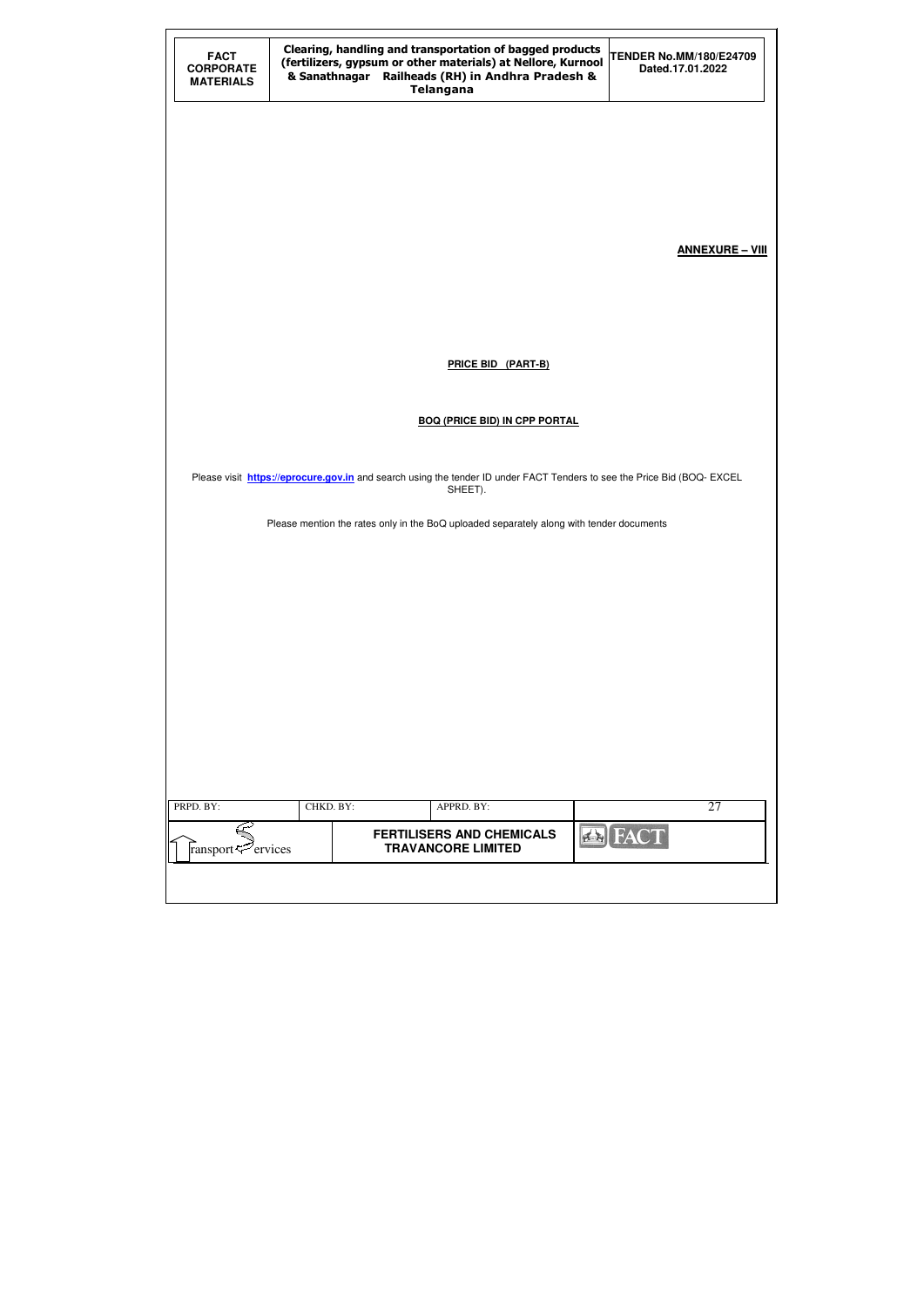| <b>FACT</b><br><b>CORPORATE</b><br><b>MATERIALS</b> |           | Clearing, handling and transportation of bagged products<br>(fertilizers, gypsum or other materials) at Nellore, Kurnool<br>& Sanathnagar Railheads (RH) in Andhra Pradesh &<br><b>Telangana</b> | <b>TENDER No.MM/180/E24709</b><br>Dated.17.01.2022 |
|-----------------------------------------------------|-----------|--------------------------------------------------------------------------------------------------------------------------------------------------------------------------------------------------|----------------------------------------------------|
|                                                     |           |                                                                                                                                                                                                  |                                                    |
|                                                     |           |                                                                                                                                                                                                  |                                                    |
|                                                     |           |                                                                                                                                                                                                  |                                                    |
|                                                     |           |                                                                                                                                                                                                  | <b>ANNEXURE - VIII</b>                             |
|                                                     |           |                                                                                                                                                                                                  |                                                    |
|                                                     |           | <b>PRICE BID (PART-B)</b>                                                                                                                                                                        |                                                    |
|                                                     |           |                                                                                                                                                                                                  |                                                    |
|                                                     |           | <b>BOQ (PRICE BID) IN CPP PORTAL</b>                                                                                                                                                             |                                                    |
|                                                     |           | Please visit https://eprocure.gov.in and search using the tender ID under FACT Tenders to see the Price Bid (BOQ-EXCEL<br>SHEET).                                                                |                                                    |
|                                                     |           | Please mention the rates only in the BoQ uploaded separately along with tender documents                                                                                                         |                                                    |
|                                                     |           |                                                                                                                                                                                                  |                                                    |
|                                                     |           |                                                                                                                                                                                                  |                                                    |
|                                                     |           |                                                                                                                                                                                                  |                                                    |
|                                                     |           |                                                                                                                                                                                                  |                                                    |
|                                                     |           |                                                                                                                                                                                                  |                                                    |
|                                                     |           |                                                                                                                                                                                                  |                                                    |
|                                                     |           |                                                                                                                                                                                                  |                                                    |
| PRPD. BY:                                           | CHKD. BY: | APPRD. BY:                                                                                                                                                                                       | 27                                                 |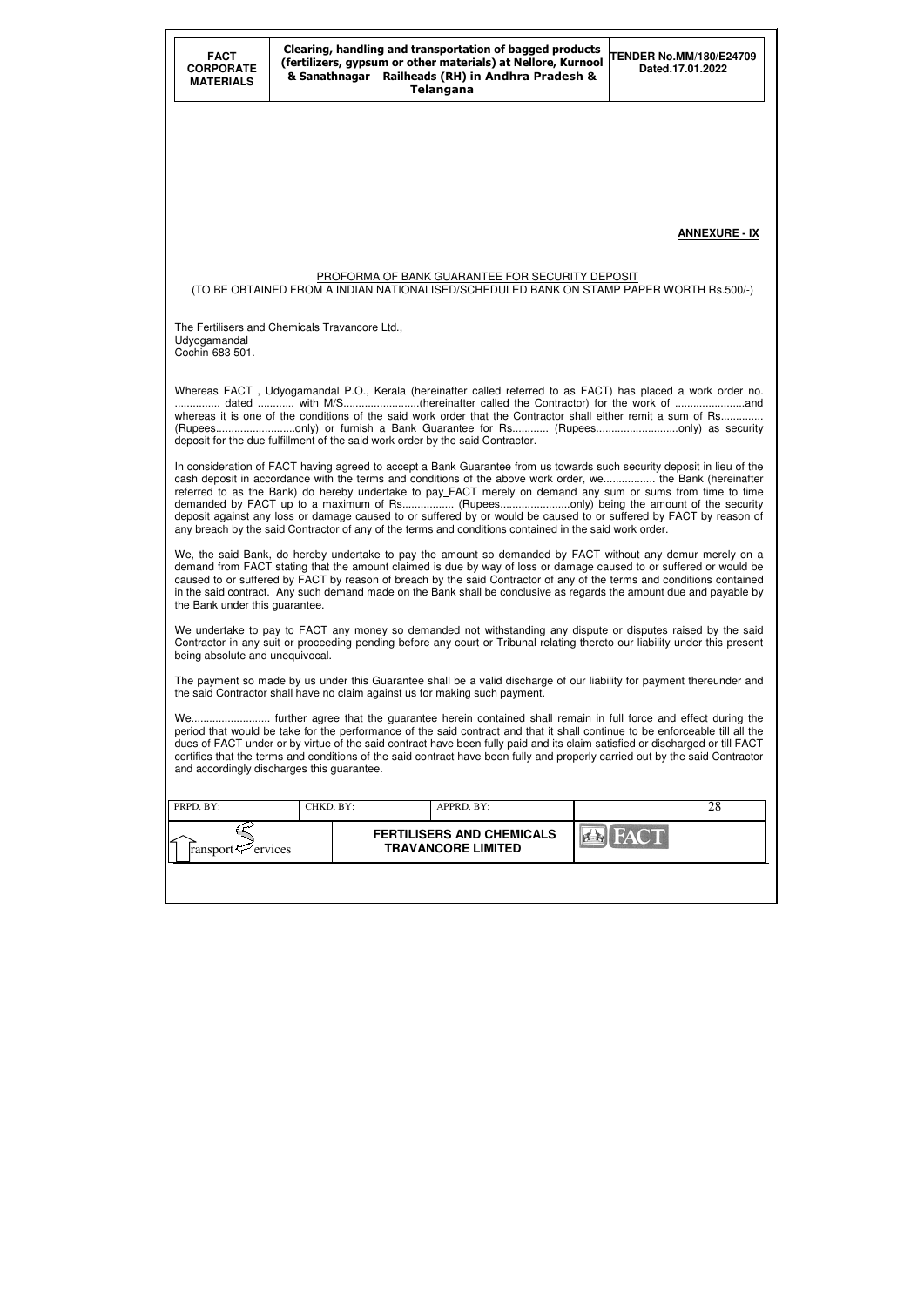| <b>FACT</b><br><b>CORPORATE</b><br><b>MATERIALS</b>                                                                                                                                                                                                                                                                                                                                                                                                                                                                                                 | Clearing, handling and transportation of bagged products<br><b>TENDER No.MM/180/E24709</b><br>(fertilizers, gypsum or other materials) at Nellore, Kurnool<br>Dated.17.01.2022<br>& Sanathnagar Railheads (RH) in Andhra Pradesh &<br><b>Telangana</b> |  |                                                                                                        |  |                                                                                                                                                                                                                                                                                                                                                                                                                                                                                                                                                                   |  |  |
|-----------------------------------------------------------------------------------------------------------------------------------------------------------------------------------------------------------------------------------------------------------------------------------------------------------------------------------------------------------------------------------------------------------------------------------------------------------------------------------------------------------------------------------------------------|--------------------------------------------------------------------------------------------------------------------------------------------------------------------------------------------------------------------------------------------------------|--|--------------------------------------------------------------------------------------------------------|--|-------------------------------------------------------------------------------------------------------------------------------------------------------------------------------------------------------------------------------------------------------------------------------------------------------------------------------------------------------------------------------------------------------------------------------------------------------------------------------------------------------------------------------------------------------------------|--|--|
|                                                                                                                                                                                                                                                                                                                                                                                                                                                                                                                                                     |                                                                                                                                                                                                                                                        |  |                                                                                                        |  |                                                                                                                                                                                                                                                                                                                                                                                                                                                                                                                                                                   |  |  |
|                                                                                                                                                                                                                                                                                                                                                                                                                                                                                                                                                     |                                                                                                                                                                                                                                                        |  |                                                                                                        |  | <b>ANNEXURE - IX</b>                                                                                                                                                                                                                                                                                                                                                                                                                                                                                                                                              |  |  |
|                                                                                                                                                                                                                                                                                                                                                                                                                                                                                                                                                     |                                                                                                                                                                                                                                                        |  | PROFORMA OF BANK GUARANTEE FOR SECURITY DEPOSIT                                                        |  | (TO BE OBTAINED FROM A INDIAN NATIONALISED/SCHEDULED BANK ON STAMP PAPER WORTH Rs.500/-)                                                                                                                                                                                                                                                                                                                                                                                                                                                                          |  |  |
| The Fertilisers and Chemicals Travancore Ltd.,<br>Udyogamandal<br>Cochin-683 501.                                                                                                                                                                                                                                                                                                                                                                                                                                                                   |                                                                                                                                                                                                                                                        |  |                                                                                                        |  |                                                                                                                                                                                                                                                                                                                                                                                                                                                                                                                                                                   |  |  |
| Whereas FACT, Udyogamandal P.O., Kerala (hereinafter called referred to as FACT) has placed a work order no.<br>whereas it is one of the conditions of the said work order that the Contractor shall either remit a sum of Rs<br>(Rupeesonly) or furnish a Bank Guarantee for Rs (Rupeesonly) as security<br>deposit for the due fulfillment of the said work order by the said Contractor.                                                                                                                                                         |                                                                                                                                                                                                                                                        |  |                                                                                                        |  |                                                                                                                                                                                                                                                                                                                                                                                                                                                                                                                                                                   |  |  |
|                                                                                                                                                                                                                                                                                                                                                                                                                                                                                                                                                     |                                                                                                                                                                                                                                                        |  | any breach by the said Contractor of any of the terms and conditions contained in the said work order. |  | In consideration of FACT having agreed to accept a Bank Guarantee from us towards such security deposit in lieu of the<br>cash deposit in accordance with the terms and conditions of the above work order, we the Bank (hereinafter<br>referred to as the Bank) do hereby undertake to pay_FACT merely on demand any sum or sums from time to time<br>demanded by FACT up to a maximum of Rs (Rupeesonly) being the amount of the security<br>deposit against any loss or damage caused to or suffered by or would be caused to or suffered by FACT by reason of |  |  |
| the Bank under this guarantee.                                                                                                                                                                                                                                                                                                                                                                                                                                                                                                                      |                                                                                                                                                                                                                                                        |  |                                                                                                        |  | We, the said Bank, do hereby undertake to pay the amount so demanded by FACT without any demur merely on a<br>demand from FACT stating that the amount claimed is due by way of loss or damage caused to or suffered or would be<br>caused to or suffered by FACT by reason of breach by the said Contractor of any of the terms and conditions contained<br>in the said contract. Any such demand made on the Bank shall be conclusive as regards the amount due and payable by                                                                                  |  |  |
| being absolute and unequivocal.                                                                                                                                                                                                                                                                                                                                                                                                                                                                                                                     |                                                                                                                                                                                                                                                        |  |                                                                                                        |  | We undertake to pay to FACT any money so demanded not withstanding any dispute or disputes raised by the said<br>Contractor in any suit or proceeding pending before any court or Tribunal relating thereto our liability under this present                                                                                                                                                                                                                                                                                                                      |  |  |
|                                                                                                                                                                                                                                                                                                                                                                                                                                                                                                                                                     |                                                                                                                                                                                                                                                        |  | the said Contractor shall have no claim against us for making such payment.                            |  | The payment so made by us under this Guarantee shall be a valid discharge of our liability for payment thereunder and                                                                                                                                                                                                                                                                                                                                                                                                                                             |  |  |
| We further agree that the guarantee herein contained shall remain in full force and effect during the<br>period that would be take for the performance of the said contract and that it shall continue to be enforceable till all the<br>dues of FACT under or by virtue of the said contract have been fully paid and its claim satisfied or discharged or till FACT<br>certifies that the terms and conditions of the said contract have been fully and properly carried out by the said Contractor<br>and accordingly discharges this guarantee. |                                                                                                                                                                                                                                                        |  |                                                                                                        |  |                                                                                                                                                                                                                                                                                                                                                                                                                                                                                                                                                                   |  |  |
| PRPD. BY:                                                                                                                                                                                                                                                                                                                                                                                                                                                                                                                                           | CHKD. BY:                                                                                                                                                                                                                                              |  | APPRD. BY:                                                                                             |  | 28                                                                                                                                                                                                                                                                                                                                                                                                                                                                                                                                                                |  |  |
| ransport <sup>2</sup> ervices                                                                                                                                                                                                                                                                                                                                                                                                                                                                                                                       |                                                                                                                                                                                                                                                        |  | <b>FERTILISERS AND CHEMICALS</b><br><b>TRAVANCORE LIMITED</b>                                          |  |                                                                                                                                                                                                                                                                                                                                                                                                                                                                                                                                                                   |  |  |
|                                                                                                                                                                                                                                                                                                                                                                                                                                                                                                                                                     |                                                                                                                                                                                                                                                        |  |                                                                                                        |  |                                                                                                                                                                                                                                                                                                                                                                                                                                                                                                                                                                   |  |  |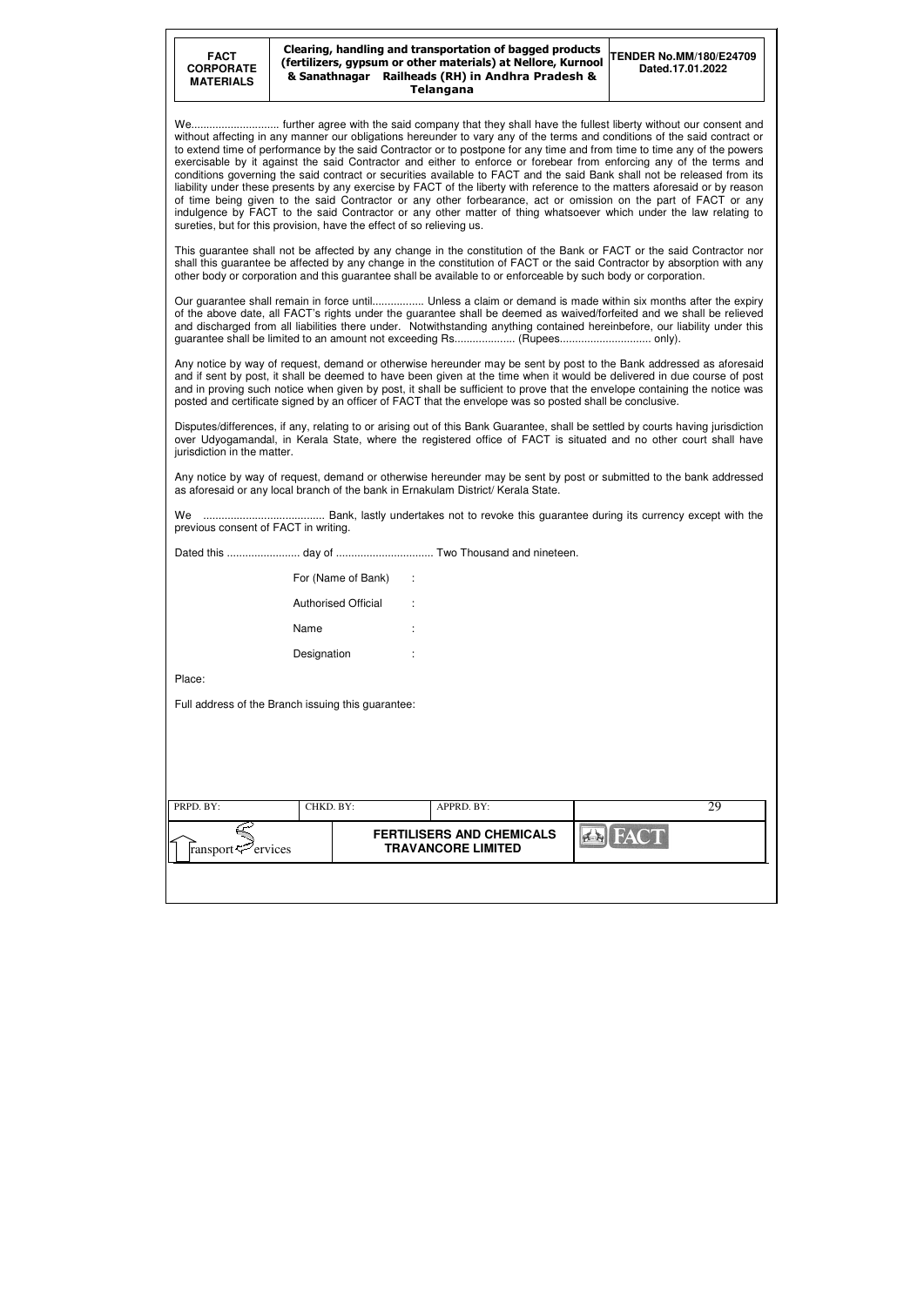| PRPD. BY:                           | CHKD. BY: | APPRD. BY:                                                    | 29 |
|-------------------------------------|-----------|---------------------------------------------------------------|----|
| ∠<br>ransport $\mathcal{P}$ ervices |           | <b>FERTILISERS AND CHEMICALS</b><br><b>TRAVANCORE LIMITED</b> |    |
|                                     |           |                                                               |    |

| <b>FACT</b><br><b>CORPORATE</b><br><b>MATERIALS</b> |                                                                       | Clearing, handling and transportation of bagged products<br>(fertilizers, gypsum or other materials) at Nellore, Kurnool<br>& Sanathnagar Railheads (RH) in Andhra Pradesh &<br><b>Telangana</b>                                                                                                                                                                                                                                                                                                                                                                                                                                                                                                                                                                                                                                                                              | <b>TENDER No.MM/180/E24709</b><br>Dated.17.01.2022 |
|-----------------------------------------------------|-----------------------------------------------------------------------|-------------------------------------------------------------------------------------------------------------------------------------------------------------------------------------------------------------------------------------------------------------------------------------------------------------------------------------------------------------------------------------------------------------------------------------------------------------------------------------------------------------------------------------------------------------------------------------------------------------------------------------------------------------------------------------------------------------------------------------------------------------------------------------------------------------------------------------------------------------------------------|----------------------------------------------------|
|                                                     | sureties, but for this provision, have the effect of so relieving us. | without affecting in any manner our obligations hereunder to vary any of the terms and conditions of the said contract or<br>to extend time of performance by the said Contractor or to postpone for any time and from time to time any of the powers<br>exercisable by it against the said Contractor and either to enforce or forebear from enforcing any of the terms and<br>conditions governing the said contract or securities available to FACT and the said Bank shall not be released from its<br>liability under these presents by any exercise by FACT of the liberty with reference to the matters aforesaid or by reason<br>of time being given to the said Contractor or any other forbearance, act or omission on the part of FACT or any<br>indulgence by FACT to the said Contractor or any other matter of thing whatsoever which under the law relating to |                                                    |
|                                                     |                                                                       | This guarantee shall not be affected by any change in the constitution of the Bank or FACT or the said Contractor nor<br>shall this guarantee be affected by any change in the constitution of FACT or the said Contractor by absorption with any<br>other body or corporation and this guarantee shall be available to or enforceable by such body or corporation.                                                                                                                                                                                                                                                                                                                                                                                                                                                                                                           |                                                    |
|                                                     |                                                                       | Our guarantee shall remain in force until Unless a claim or demand is made within six months after the expiry<br>of the above date, all FACT's rights under the guarantee shall be deemed as waived/forfeited and we shall be relieved<br>and discharged from all liabilities there under. Notwithstanding anything contained hereinbefore, our liability under this                                                                                                                                                                                                                                                                                                                                                                                                                                                                                                          |                                                    |
|                                                     |                                                                       | Any notice by way of request, demand or otherwise hereunder may be sent by post to the Bank addressed as aforesaid<br>and if sent by post, it shall be deemed to have been given at the time when it would be delivered in due course of post<br>and in proving such notice when given by post, it shall be sufficient to prove that the envelope containing the notice was<br>posted and certificate signed by an officer of FACT that the envelope was so posted shall be conclusive.                                                                                                                                                                                                                                                                                                                                                                                       |                                                    |
| jurisdiction in the matter.                         |                                                                       | Disputes/differences, if any, relating to or arising out of this Bank Guarantee, shall be settled by courts having jurisdiction<br>over Udyogamandal, in Kerala State, where the registered office of FACT is situated and no other court shall have                                                                                                                                                                                                                                                                                                                                                                                                                                                                                                                                                                                                                          |                                                    |
|                                                     |                                                                       | Any notice by way of request, demand or otherwise hereunder may be sent by post or submitted to the bank addressed<br>as aforesaid or any local branch of the bank in Ernakulam District/ Kerala State.                                                                                                                                                                                                                                                                                                                                                                                                                                                                                                                                                                                                                                                                       |                                                    |
| We.<br>previous consent of FACT in writing.         |                                                                       |                                                                                                                                                                                                                                                                                                                                                                                                                                                                                                                                                                                                                                                                                                                                                                                                                                                                               |                                                    |
|                                                     |                                                                       |                                                                                                                                                                                                                                                                                                                                                                                                                                                                                                                                                                                                                                                                                                                                                                                                                                                                               |                                                    |
|                                                     | For (Name of Bank)                                                    | - 1                                                                                                                                                                                                                                                                                                                                                                                                                                                                                                                                                                                                                                                                                                                                                                                                                                                                           |                                                    |
|                                                     | <b>Authorised Official</b>                                            |                                                                                                                                                                                                                                                                                                                                                                                                                                                                                                                                                                                                                                                                                                                                                                                                                                                                               |                                                    |
|                                                     | Name                                                                  |                                                                                                                                                                                                                                                                                                                                                                                                                                                                                                                                                                                                                                                                                                                                                                                                                                                                               |                                                    |
|                                                     | Designation                                                           |                                                                                                                                                                                                                                                                                                                                                                                                                                                                                                                                                                                                                                                                                                                                                                                                                                                                               |                                                    |
| Place:                                              |                                                                       |                                                                                                                                                                                                                                                                                                                                                                                                                                                                                                                                                                                                                                                                                                                                                                                                                                                                               |                                                    |
|                                                     | Full address of the Branch issuing this guarantee:                    |                                                                                                                                                                                                                                                                                                                                                                                                                                                                                                                                                                                                                                                                                                                                                                                                                                                                               |                                                    |
|                                                     |                                                                       |                                                                                                                                                                                                                                                                                                                                                                                                                                                                                                                                                                                                                                                                                                                                                                                                                                                                               |                                                    |
|                                                     |                                                                       |                                                                                                                                                                                                                                                                                                                                                                                                                                                                                                                                                                                                                                                                                                                                                                                                                                                                               |                                                    |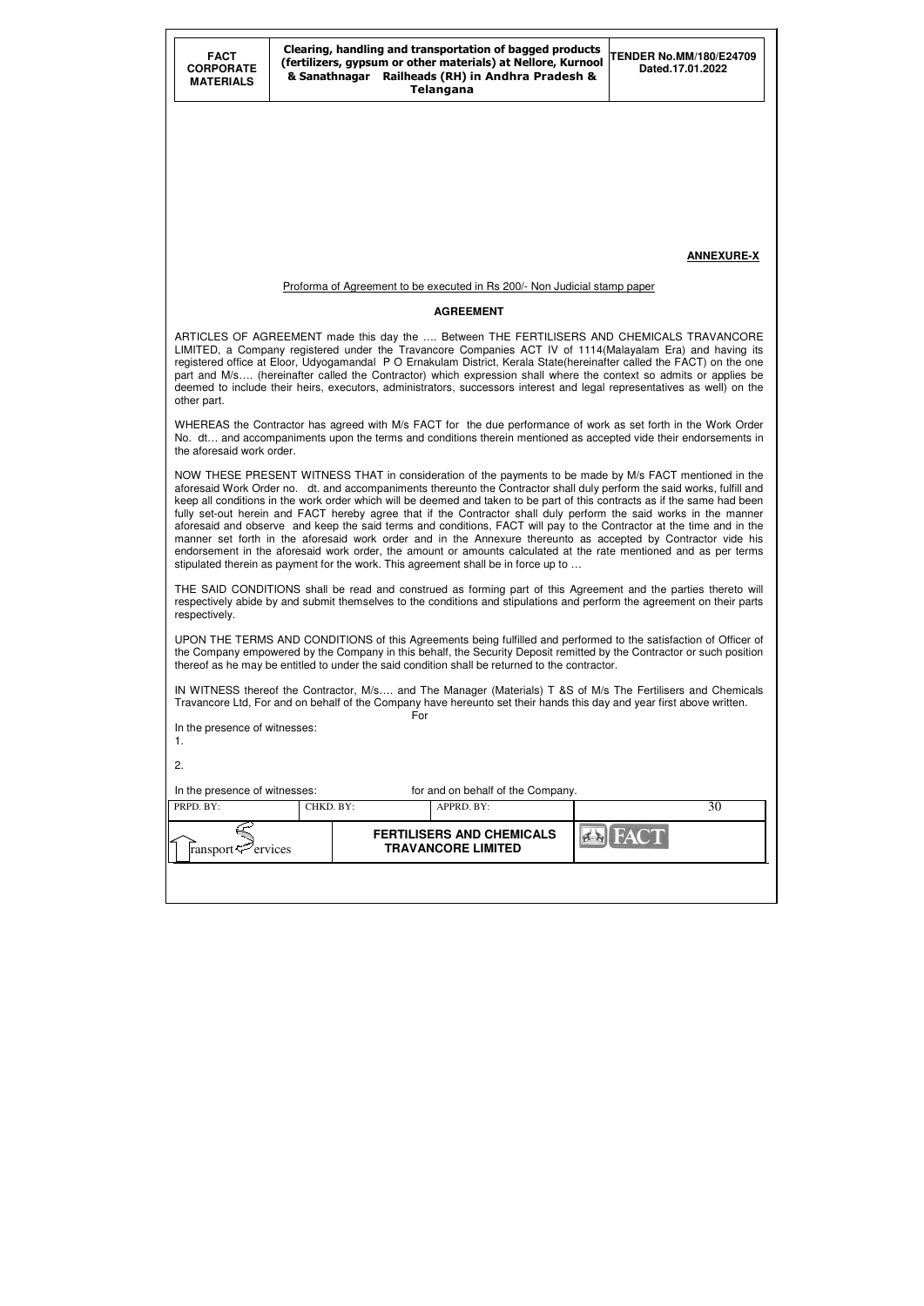| <b>FACT</b><br><b>CORPORATE</b><br><b>MATERIALS</b>                                                                                                                                                                                                                                                                                                                                                                                                                                                                                                                                                                                                                                                                                                                                                                                                                                                                                     | Clearing, handling and transportation of bagged products<br><b>TENDER No.MM/180/E24709</b><br>(fertilizers, gypsum or other materials) at Nellore, Kurnool<br>Dated.17.01.2022<br>Railheads (RH) in Andhra Pradesh &<br>& Sanathnagar<br><b>Telangana</b> |                                                                                                                                                                                                                                                                                                                                             |                   |  |  |  |  |
|-----------------------------------------------------------------------------------------------------------------------------------------------------------------------------------------------------------------------------------------------------------------------------------------------------------------------------------------------------------------------------------------------------------------------------------------------------------------------------------------------------------------------------------------------------------------------------------------------------------------------------------------------------------------------------------------------------------------------------------------------------------------------------------------------------------------------------------------------------------------------------------------------------------------------------------------|-----------------------------------------------------------------------------------------------------------------------------------------------------------------------------------------------------------------------------------------------------------|---------------------------------------------------------------------------------------------------------------------------------------------------------------------------------------------------------------------------------------------------------------------------------------------------------------------------------------------|-------------------|--|--|--|--|
|                                                                                                                                                                                                                                                                                                                                                                                                                                                                                                                                                                                                                                                                                                                                                                                                                                                                                                                                         |                                                                                                                                                                                                                                                           |                                                                                                                                                                                                                                                                                                                                             |                   |  |  |  |  |
|                                                                                                                                                                                                                                                                                                                                                                                                                                                                                                                                                                                                                                                                                                                                                                                                                                                                                                                                         |                                                                                                                                                                                                                                                           |                                                                                                                                                                                                                                                                                                                                             |                   |  |  |  |  |
|                                                                                                                                                                                                                                                                                                                                                                                                                                                                                                                                                                                                                                                                                                                                                                                                                                                                                                                                         |                                                                                                                                                                                                                                                           |                                                                                                                                                                                                                                                                                                                                             |                   |  |  |  |  |
|                                                                                                                                                                                                                                                                                                                                                                                                                                                                                                                                                                                                                                                                                                                                                                                                                                                                                                                                         |                                                                                                                                                                                                                                                           |                                                                                                                                                                                                                                                                                                                                             | <b>ANNEXURE-X</b> |  |  |  |  |
|                                                                                                                                                                                                                                                                                                                                                                                                                                                                                                                                                                                                                                                                                                                                                                                                                                                                                                                                         |                                                                                                                                                                                                                                                           | Proforma of Agreement to be executed in Rs 200/- Non Judicial stamp paper                                                                                                                                                                                                                                                                   |                   |  |  |  |  |
|                                                                                                                                                                                                                                                                                                                                                                                                                                                                                                                                                                                                                                                                                                                                                                                                                                                                                                                                         |                                                                                                                                                                                                                                                           | <b>AGREEMENT</b>                                                                                                                                                                                                                                                                                                                            |                   |  |  |  |  |
| ARTICLES OF AGREEMENT made this day the  Between THE FERTILISERS AND CHEMICALS TRAVANCORE<br>LIMITED, a Company registered under the Travancore Companies ACT IV of 1114(Malayalam Era) and having its<br>registered office at Eloor, Udyogamandal P O Ernakulam District, Kerala State(hereinafter called the FACT) on the one<br>part and M/s (hereinafter called the Contractor) which expression shall where the context so admits or applies be<br>deemed to include their heirs, executors, administrators, successors interest and legal representatives as well) on the<br>other part.                                                                                                                                                                                                                                                                                                                                          |                                                                                                                                                                                                                                                           |                                                                                                                                                                                                                                                                                                                                             |                   |  |  |  |  |
| WHEREAS the Contractor has agreed with M/s FACT for the due performance of work as set forth in the Work Order<br>No. dt and accompaniments upon the terms and conditions therein mentioned as accepted vide their endorsements in<br>the aforesaid work order.                                                                                                                                                                                                                                                                                                                                                                                                                                                                                                                                                                                                                                                                         |                                                                                                                                                                                                                                                           |                                                                                                                                                                                                                                                                                                                                             |                   |  |  |  |  |
| NOW THESE PRESENT WITNESS THAT in consideration of the payments to be made by M/s FACT mentioned in the<br>aforesaid Work Order no. dt. and accompaniments thereunto the Contractor shall duly perform the said works, fulfill and<br>keep all conditions in the work order which will be deemed and taken to be part of this contracts as if the same had been<br>fully set-out herein and FACT hereby agree that if the Contractor shall duly perform the said works in the manner<br>aforesaid and observe and keep the said terms and conditions, FACT will pay to the Contractor at the time and in the<br>manner set forth in the aforesaid work order and in the Annexure thereunto as accepted by Contractor vide his<br>endorsement in the aforesaid work order, the amount or amounts calculated at the rate mentioned and as per terms<br>stipulated therein as payment for the work. This agreement shall be in force up to |                                                                                                                                                                                                                                                           |                                                                                                                                                                                                                                                                                                                                             |                   |  |  |  |  |
| respectively.                                                                                                                                                                                                                                                                                                                                                                                                                                                                                                                                                                                                                                                                                                                                                                                                                                                                                                                           |                                                                                                                                                                                                                                                           | THE SAID CONDITIONS shall be read and construed as forming part of this Agreement and the parties thereto will<br>respectively abide by and submit themselves to the conditions and stipulations and perform the agreement on their parts                                                                                                   |                   |  |  |  |  |
|                                                                                                                                                                                                                                                                                                                                                                                                                                                                                                                                                                                                                                                                                                                                                                                                                                                                                                                                         |                                                                                                                                                                                                                                                           | UPON THE TERMS AND CONDITIONS of this Agreements being fulfilled and performed to the satisfaction of Officer of<br>the Company empowered by the Company in this behalf, the Security Deposit remitted by the Contractor or such position<br>thereof as he may be entitled to under the said condition shall be returned to the contractor. |                   |  |  |  |  |
|                                                                                                                                                                                                                                                                                                                                                                                                                                                                                                                                                                                                                                                                                                                                                                                                                                                                                                                                         |                                                                                                                                                                                                                                                           | IN WITNESS thereof the Contractor, M/s and The Manager (Materials) T &S of M/s The Fertilisers and Chemicals<br>Travancore Ltd, For and on behalf of the Company have hereunto set their hands this day and year first above written.<br>For                                                                                                |                   |  |  |  |  |
| In the presence of witnesses:<br>1.                                                                                                                                                                                                                                                                                                                                                                                                                                                                                                                                                                                                                                                                                                                                                                                                                                                                                                     |                                                                                                                                                                                                                                                           |                                                                                                                                                                                                                                                                                                                                             |                   |  |  |  |  |
| 2.                                                                                                                                                                                                                                                                                                                                                                                                                                                                                                                                                                                                                                                                                                                                                                                                                                                                                                                                      |                                                                                                                                                                                                                                                           |                                                                                                                                                                                                                                                                                                                                             |                   |  |  |  |  |
| In the presence of witnesses:                                                                                                                                                                                                                                                                                                                                                                                                                                                                                                                                                                                                                                                                                                                                                                                                                                                                                                           |                                                                                                                                                                                                                                                           | for and on behalf of the Company.                                                                                                                                                                                                                                                                                                           |                   |  |  |  |  |
| PRPD. BY:                                                                                                                                                                                                                                                                                                                                                                                                                                                                                                                                                                                                                                                                                                                                                                                                                                                                                                                               | CHKD. BY:                                                                                                                                                                                                                                                 | APPRD. BY:                                                                                                                                                                                                                                                                                                                                  | 30                |  |  |  |  |
| ransport <sup>your</sup> ervices                                                                                                                                                                                                                                                                                                                                                                                                                                                                                                                                                                                                                                                                                                                                                                                                                                                                                                        |                                                                                                                                                                                                                                                           | <b>FERTILISERS AND CHEMICALS</b><br><b>TRAVANCORE LIMITED</b>                                                                                                                                                                                                                                                                               |                   |  |  |  |  |
|                                                                                                                                                                                                                                                                                                                                                                                                                                                                                                                                                                                                                                                                                                                                                                                                                                                                                                                                         |                                                                                                                                                                                                                                                           |                                                                                                                                                                                                                                                                                                                                             |                   |  |  |  |  |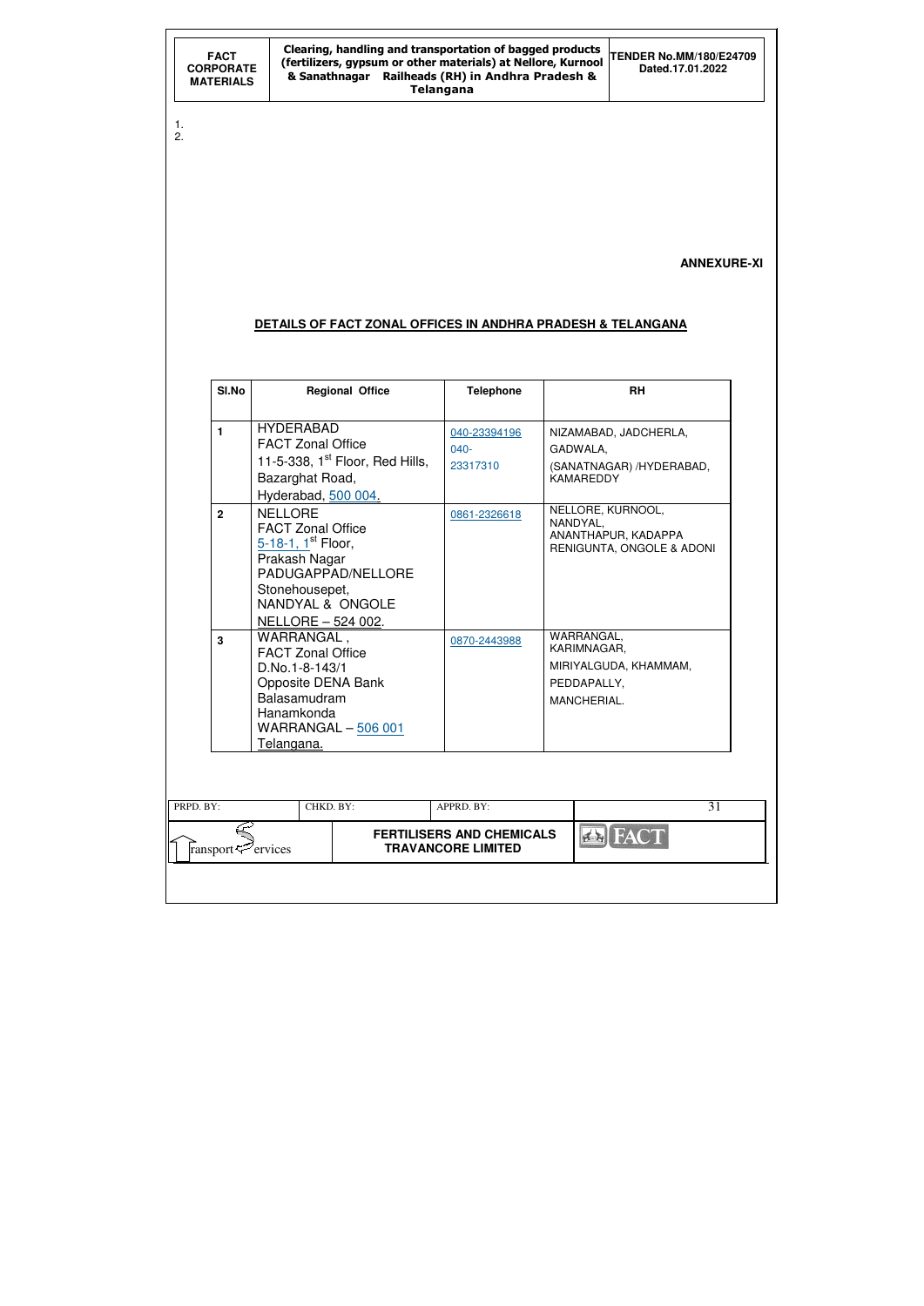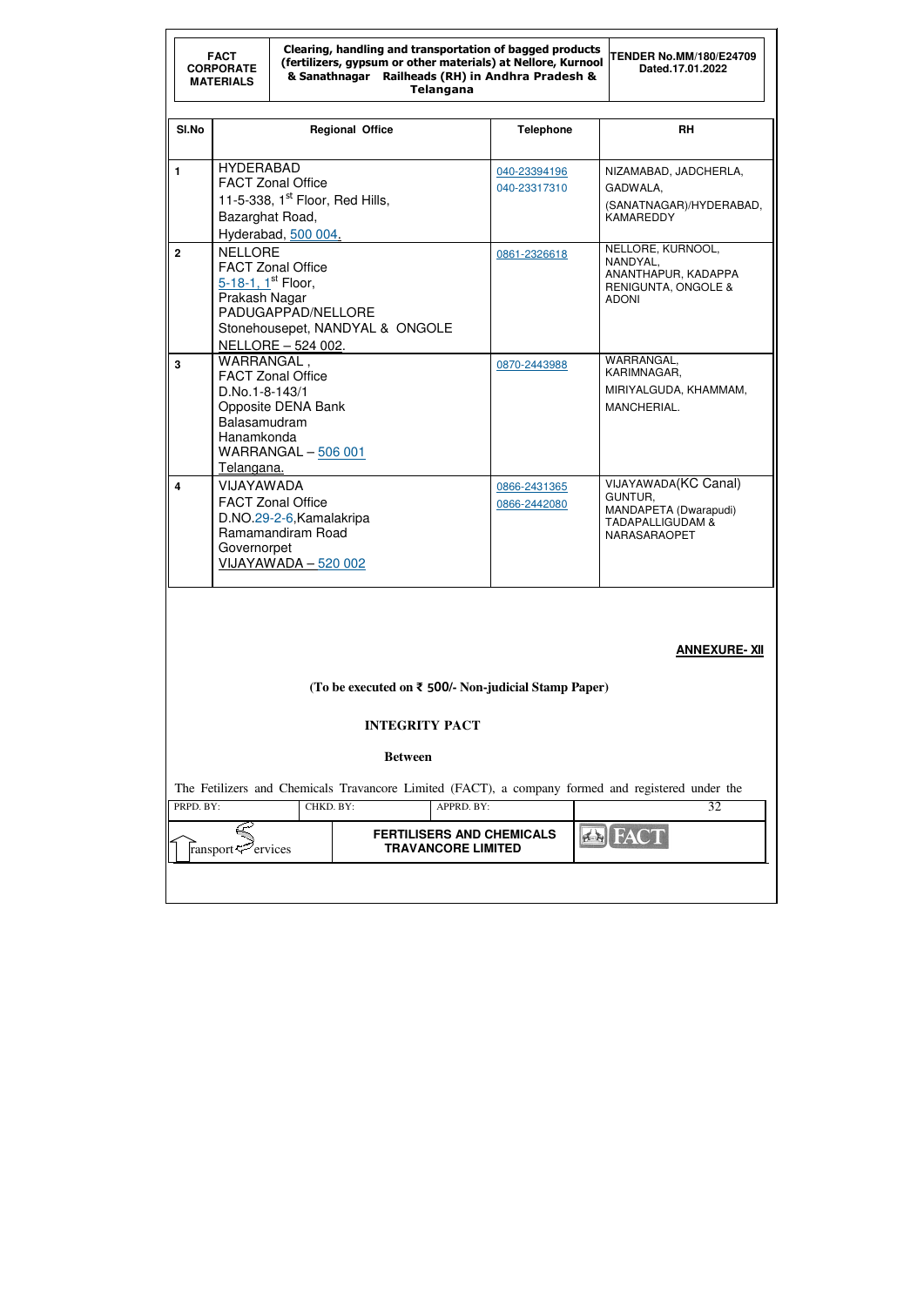| <b>FACT</b><br><b>CORPORATE</b><br><b>MATERIALS</b> |                                                                                                                                                                         | Clearing, handling and transportation of bagged products<br>(fertilizers, gypsum or other materials) at Nellore, Kurnool<br>& Sanathnagar Railheads (RH) in Andhra Pradesh &<br><b>Telangana</b> | <b>TENDER No.MM/180/E24709</b><br>Dated.17.01.2022   |                                                               |                              |  |                                                                                                                |
|-----------------------------------------------------|-------------------------------------------------------------------------------------------------------------------------------------------------------------------------|--------------------------------------------------------------------------------------------------------------------------------------------------------------------------------------------------|------------------------------------------------------|---------------------------------------------------------------|------------------------------|--|----------------------------------------------------------------------------------------------------------------|
| SI.No                                               |                                                                                                                                                                         | <b>Regional Office</b>                                                                                                                                                                           |                                                      |                                                               | <b>Telephone</b>             |  | <b>RH</b>                                                                                                      |
| $\blacksquare$                                      | <b>HYDERABAD</b><br><b>FACT Zonal Office</b><br>11-5-338, $1st$ Floor, Red Hills,<br>Bazarghat Road,<br>Hyderabad, 500 004.                                             |                                                                                                                                                                                                  |                                                      |                                                               | 040-23394196<br>040-23317310 |  | NIZAMABAD, JADCHERLA,<br>GADWALA,<br>(SANATNAGAR)/HYDERABAD,<br><b>KAMAREDDY</b>                               |
| $\overline{2}$                                      | <b>NELLORE</b><br><b>FACT Zonal Office</b><br>5-18-1, 1st Floor,<br>Prakash Nagar<br>PADUGAPPAD/NELLORE<br>Stonehousepet, NANDYAL & ONGOLE<br><b>NELLORE - 524 002.</b> |                                                                                                                                                                                                  |                                                      |                                                               | 0861-2326618                 |  | NELLORE, KURNOOL,<br>NANDYAL,<br>ANANTHAPUR, KADAPPA<br><b>RENIGUNTA, ONGOLE &amp;</b><br><b>ADONI</b>         |
| 3                                                   | WARRANGAL,<br><b>FACT Zonal Office</b><br>D.No.1-8-143/1<br>Opposite DENA Bank<br>Balasamudram<br>Hanamkonda<br><b>WARRANGAL - 506 001</b>                              |                                                                                                                                                                                                  |                                                      |                                                               | 0870-2443988                 |  | WARRANGAL,<br>KARIMNAGAR,<br>MIRIYALGUDA, KHAMMAM,<br>MANCHERIAL.                                              |
| $\overline{\mathbf{4}}$                             | Telangana.<br><b>VIJAYAWADA</b><br><b>FACT Zonal Office</b><br>D.NO.29-2-6, Kamalakripa<br>Ramamandiram Road<br>Governorpet<br>VIJAYAWADA - 520 002                     |                                                                                                                                                                                                  |                                                      |                                                               | 0866-2431365<br>0866-2442080 |  | <b>VIJAYAWADA(KC Canal)</b><br>GUNTUR,<br>MANDAPETA (Dwarapudi)<br><b>TADAPALLIGUDAM &amp;</b><br>NARASARAOPET |
|                                                     |                                                                                                                                                                         |                                                                                                                                                                                                  |                                                      |                                                               |                              |  | <b>ANNEXURE-XII</b>                                                                                            |
|                                                     |                                                                                                                                                                         |                                                                                                                                                                                                  | (To be executed on ₹ 500/- Non-judicial Stamp Paper) |                                                               |                              |  |                                                                                                                |
|                                                     |                                                                                                                                                                         |                                                                                                                                                                                                  |                                                      | <b>INTEGRITY PACT</b>                                         |                              |  |                                                                                                                |
|                                                     |                                                                                                                                                                         |                                                                                                                                                                                                  | <b>Between</b>                                       |                                                               |                              |  |                                                                                                                |
| PRPD. BY:                                           |                                                                                                                                                                         | CHKD. BY:                                                                                                                                                                                        |                                                      | APPRD. BY:                                                    |                              |  | The Fetilizers and Chemicals Travancore Limited (FACT), a company formed and registered under the<br>32        |
|                                                     | ransport <sup>exp</sup> ervices                                                                                                                                         |                                                                                                                                                                                                  |                                                      | <b>FERTILISERS AND CHEMICALS</b><br><b>TRAVANCORE LIMITED</b> |                              |  | <b>EN FAC</b>                                                                                                  |
|                                                     |                                                                                                                                                                         |                                                                                                                                                                                                  |                                                      |                                                               |                              |  |                                                                                                                |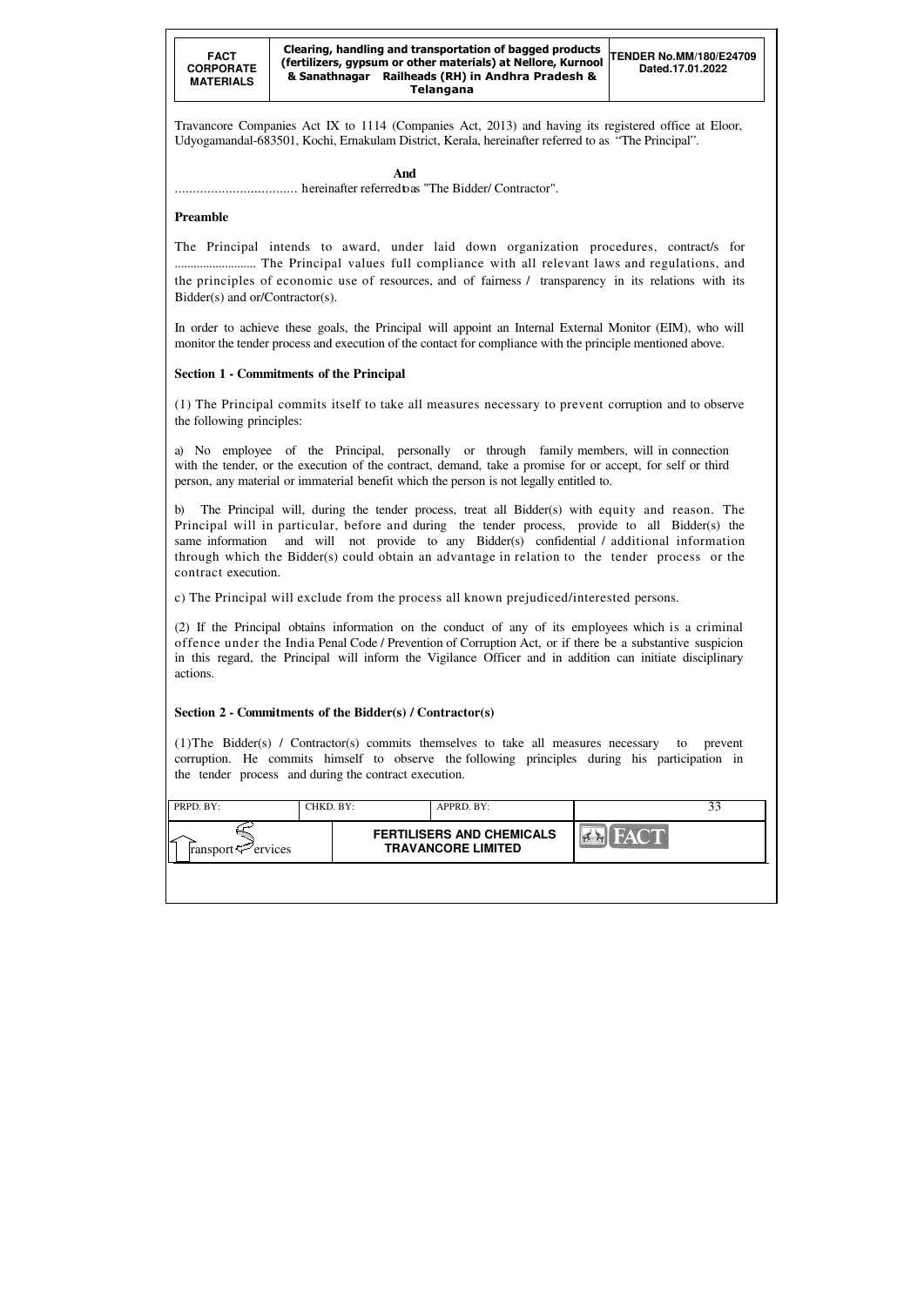| PRPD. BY:                      | CHKD. BY: | APPRD. BY:                                                    |             |  |
|--------------------------------|-----------|---------------------------------------------------------------|-------------|--|
| ransport $\mathcal{P}$ ervices |           | <b>FERTILISERS AND CHEMICALS</b><br><b>TRAVANCORE LIMITED</b> | <b>FACT</b> |  |
|                                |           |                                                               |             |  |

Travancore Companies Act IX to 1114 (Companies Act, 2013) and having its registered office at Eloor, Udyogamandal-683501, Kochi, Ernakulam District, Kerala, hereinafter referred to as "The Principal".

 **And** .................................. hereinafter referred to as "The Bidder/ Contractor".

## **Preamble**

The Principal intends to award, under laid down organization procedures, contract/s for .......................... The Principal values full compliance with all relevant laws and regulations, and the principles of economic use of resources, and of fairness / transparency in its relations with its Bidder(s) and or/Contractor(s).

In order to achieve these goals, the Principal will appoint an Internal External Monitor (EIM), who will monitor the tender process and execution of the contact for compliance with the principle mentioned above.

# **Section 1 - Commitments of the Principal**

(1) The Principal commits itself to take all measures necessary to prevent corruption and to observe the following principles:

a) No employee of the Principal, personally or through family members, will in connection with the tender, or the execution of the contract, demand, take a promise for or accept, for self or third person, any material or immaterial benefit which the person is not legally entitled to.

b) The Principal will, during the tender process, treat all Bidder(s) with equity and reason. The Principal will in particular, before and during the tender process, provide to all Bidder(s) the same information and will not provide to any Bidder(s) confidential / additional information through which the Bidder(s) could obtain an advantage in relation to the tender process or the contract execution.

c) The Principal will exclude from the process all known prejudiced/interested persons.

(2) If the Principal obtains information on the conduct of any of its employees which is a criminal offence under the India Penal Code / Prevention of Corruption Act, or if there be a substantive suspicion in this regard, the Principal will inform the Vigilance Officer and in addition can initiate disciplinary actions.

## **Section 2 - Commitments of the Bidder(s) / Contractor(s)**

(1)The Bidder(s) / Contractor(s) commits themselves to take all measures necessary to prevent corruption. He commits himself to observe the following principles during his participation in the tender process and during the contract execution.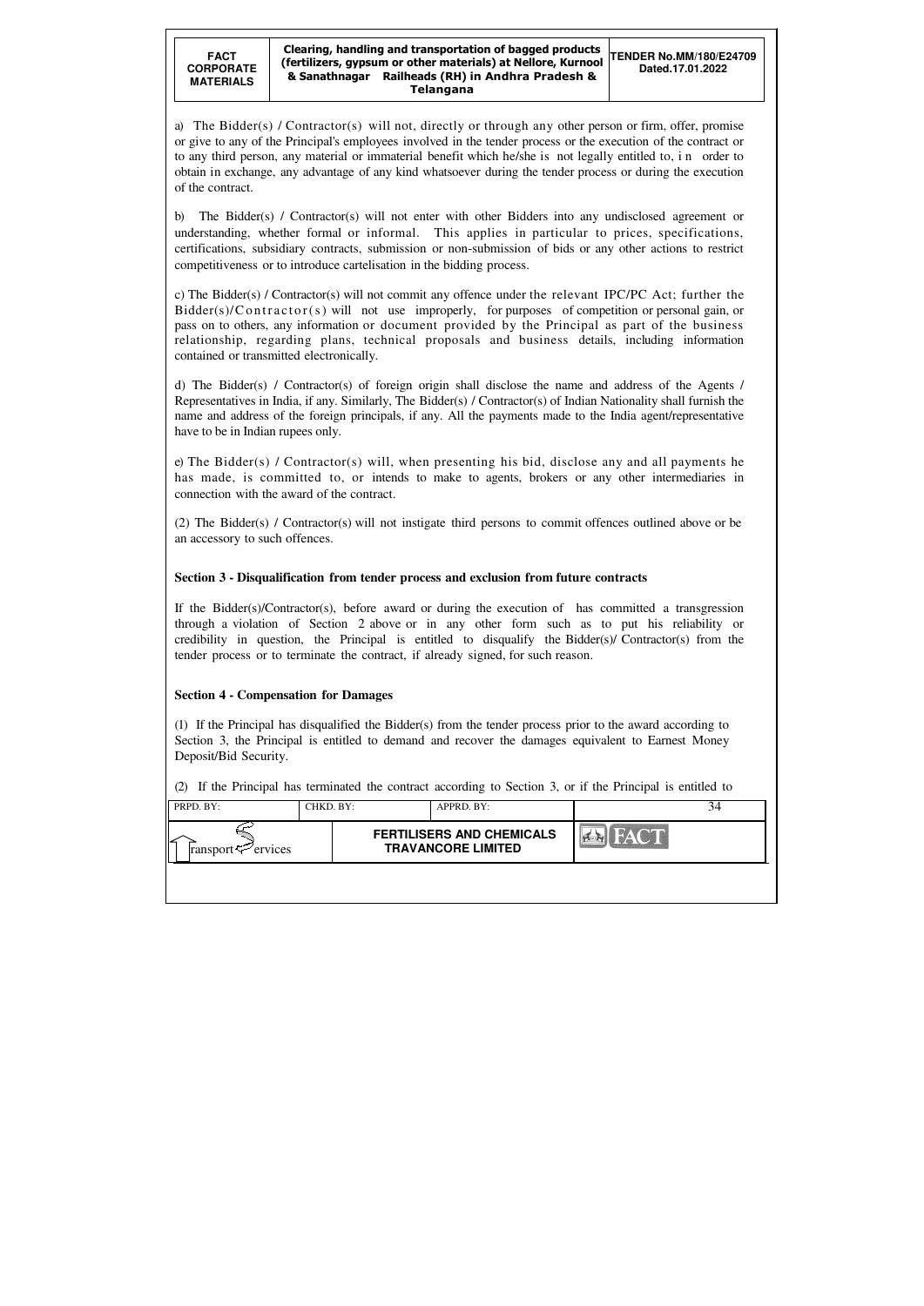| PRPD. BY:                      | CHKD. BY: | APPRD. BY:                                                    |  |
|--------------------------------|-----------|---------------------------------------------------------------|--|
| ransport $\mathcal{F}$ ervices |           | <b>FERTILISERS AND CHEMICALS</b><br><b>TRAVANCORE LIMITED</b> |  |
|                                |           |                                                               |  |

a) The Bidder(s) / Contractor(s) will not, directly or through any other person or firm, offer, promise or give to any of the Principal's employees involved in the tender process or the execution of the contract or to any third person, any material or immaterial benefit which he/she is not legally entitled to, i n order to obtain in exchange, any advantage of any kind whatsoever during the tender process or during the execution of the contract.

b) The Bidder(s) / Contractor(s) will not enter with other Bidders into any undisclosed agreement or understanding, whether formal or informal. This applies in particular to prices, specifications, certifications, subsidiary contracts, submission or non-submission of bids or any other actions to restrict competitiveness or to introduce cartelisation in the bidding process.

c) The Bidder(s) / Contractor(s) will not commit any offence under the relevant IPC/PC Act; further the  $Bidder(s)/Contractor(s)$  will not use improperly, for purposes of competition or personal gain, or pass on to others, any information or document provided by the Principal as part of the business relationship, regarding plans, technical proposals and business details, including information contained or transmitted electronically.

d) The Bidder(s) / Contractor(s) of foreign origin shall disclose the name and address of the Agents / Representatives in India, if any. Similarly, The Bidder(s) / Contractor(s) of Indian Nationality shall furnish the name and address of the foreign principals, if any. All the payments made to the India agent/representative have to be in Indian rupees only.

e) The Bidder(s) / Contractor(s) will, when presenting his bid, disclose any and all payments he has made, is committed to, or intends to make to agents, brokers or any other intermediaries in connection with the award of the contract.

(2) The Bidder(s) / Contractor(s) will not instigate third persons to commit offences outlined above or be an accessory to such offences.

## **Section 3 - Disqualification from tender process and exclusion from future contracts**

If the Bidder(s)/Contractor(s), before award or during the execution of has committed a transgression through a violation of Section 2 above or in any other form such as to put his reliability or credibility in question, the Principal is entitled to disqualify the Bidder(s)/ Contractor(s) from the tender process or to terminate the contract, if already signed, for such reason.

## **Section 4 - Compensation for Damages**

(1) If the Principal has disqualified the Bidder(s) from the tender process prior to the award according to Section 3, the Principal is entitled to demand and recover the damages equivalent to Earnest Money Deposit/Bid Security.

(2) If the Principal has terminated the contract according to Section 3, or if the Principal is entitled to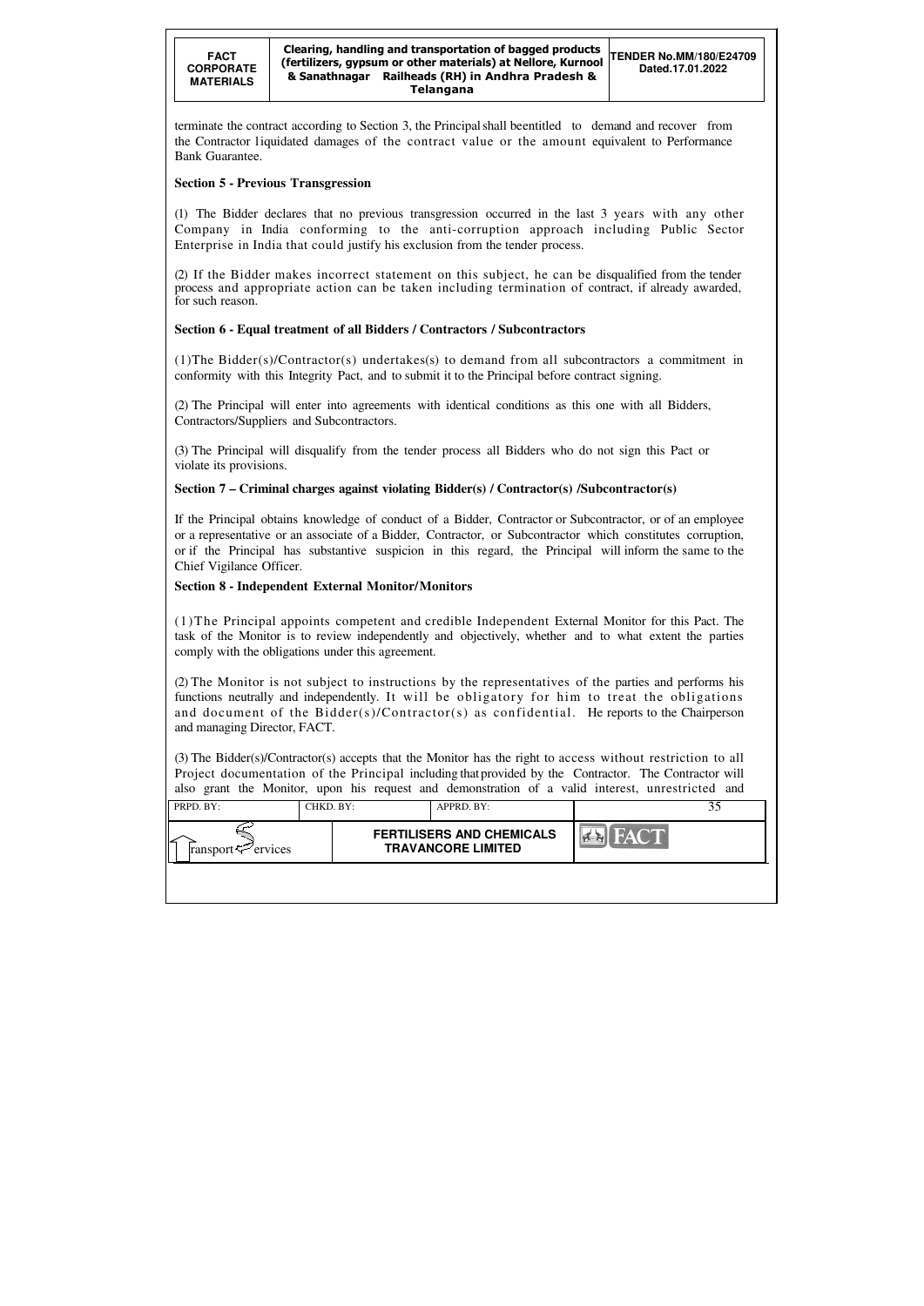| PRPD. BY:                      | CHKD. BY: | APPRD. BY:                                                    |      |  |
|--------------------------------|-----------|---------------------------------------------------------------|------|--|
| ransport $\mathcal{P}$ ervices |           | <b>FERTILISERS AND CHEMICALS</b><br><b>TRAVANCORE LIMITED</b> | FACT |  |
|                                |           |                                                               |      |  |

terminate the contract according to Section 3, the Principal shall beentitled to demand and recover from the Contractor l iquidated damages of the contract value or the amount equivalent to Performance Bank Guarantee.

## **Section 5 - Previous Transgression**

(1) The Bidder declares that no previous transgression occurred in the last 3 years with any other Company in India conforming to the anti-corruption approach including Public Sector Enterprise in India that could justify his exclusion from the tender process.

(2) If the Bidder makes incorrect statement on this subject, he can be disqualified from the tender process and appropriate action can be taken including termination of contract, if already awarded, for such reason.

## **Section 6 - Equal treatment of all Bidders / Contractors / Subcontractors**

(1)The Bidder(s)/Contractor(s) undertakes(s) to demand from all subcontractors a commitment in conformity with this Integrity Pact, and to submit it to the Principal before contract signing.

(2) The Principal will enter into agreements with identical conditions as this one with all Bidders, Contractors/Suppliers and Subcontractors.

(3) The Principal will disqualify from the tender process all Bidders who do not sign this Pact or violate its provisions.

## **Section 7 – Criminal charges against violating Bidder(s) / Contractor(s) /Subcontractor(s)**

If the Principal obtains knowledge of conduct of a Bidder, Contractor or Subcontractor, or of an employee or a representative or an associate of a Bidder, Contractor, or Subcontractor which constitutes corruption, or if the Principal has substantive suspicion in this regard, the Principal will inform the same to the Chief Vigilance Officer.

## **Section 8 - Independent External Monitor/Monitors**

(1)The Principal appoints competent and credible Independent External Monitor for this Pact. The task of the Monitor is to review independently and objectively, whether and to what extent the parties comply with the obligations under this agreement.

(2) The Monitor is not subject to instructions by the representatives of the parties and performs his functions neutrally and independently. It will be obligatory for him to treat the obligations and document of the Bidder(s)/Contractor(s) as confidential. He reports to the Chairperson and managing Director, FACT.

(3) The Bidder(s)/Contractor(s) accepts that the Monitor has the right to access without restriction to all Project documentation of the Principal including that provided by the Contractor. The Contractor will also grant the Monitor, upon his request and demonstration of a valid interest, unrestricted and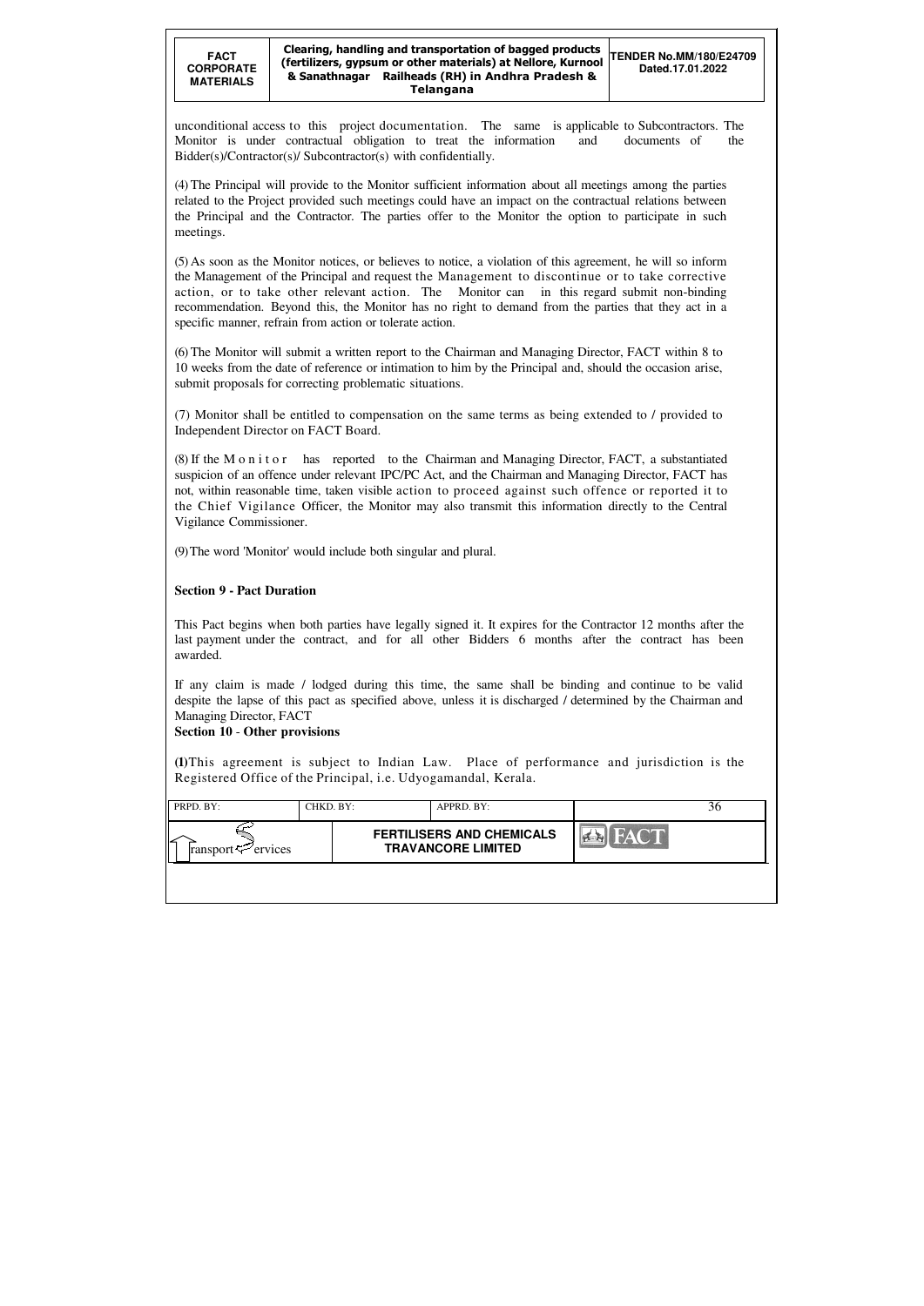| PRPD. BY:                      | CHKD. BY: | APPRD. BY:                                                    |             | 30 |
|--------------------------------|-----------|---------------------------------------------------------------|-------------|----|
| ransport $\mathcal{P}$ ervices |           | <b>FERTILISERS AND CHEMICALS</b><br><b>TRAVANCORE LIMITED</b> | <b>FACT</b> |    |
|                                |           |                                                               |             |    |

(5) As soon as the Monitor notices, or believes to notice, a violation of this agreement, he will so inform the Management of the Principal and request the Management to discontinue or to take corrective action, or to take other relevant action. The Monitor can in this regard submit non-binding recommendation. Beyond this, the Monitor has no right to demand from the parties that they act in a specific manner, refrain from action or tolerate action.

unconditional access to this project documentation. The same is applicable to Subcontractors. The Monitor is under contractual obligation to treat the information and documents of the Bidder(s)/Contractor(s)/ Subcontractor(s) with confidentially.

(4) The Principal will provide to the Monitor sufficient information about all meetings among the parties related to the Project provided such meetings could have an impact on the contractual relations between the Principal and the Contractor. The parties offer to the Monitor the option to participate in such meetings.

(6) The Monitor will submit a written report to the Chairman and Managing Director, FACT within 8 to 10 weeks from the date of reference or intimation to him by the Principal and, should the occasion arise, submit proposals for correcting problematic situations.

(7) Monitor shall be entitled to compensation on the same terms as being extended to / provided to Independent Director on FACT Board.

(8) If the M o n i t o r has reported to the Chairman and Managing Director, FACT, a substantiated suspicion of an offence under relevant IPC/PC Act, and the Chairman and Managing Director, FACT has not, within reasonable time, taken visible action to proceed against such offence or reported it to the Chief Vigilance Officer, the Monitor may also transmit this information directly to the Central Vigilance Commissioner.

(9) The word 'Monitor' would include both singular and plural.

# **Section 9 - Pact Duration**

This Pact begins when both parties have legally signed it. It expires for the Contractor 12 months after the last payment under the contract, and for all other Bidders 6 months after the contract has been awarded.

If any claim is made / lodged during this time, the same shall be binding and continue to be valid despite the lapse of this pact as specified above, unless it is discharged / determined by the Chairman and Managing Director, FACT

## **Section 10** - **Other provisions**

**(1)**This agreement is subject to Indian Law. Place of performance and jurisdiction is the Registered Office of the Principal, i.e. Udyogamandal, Kerala.